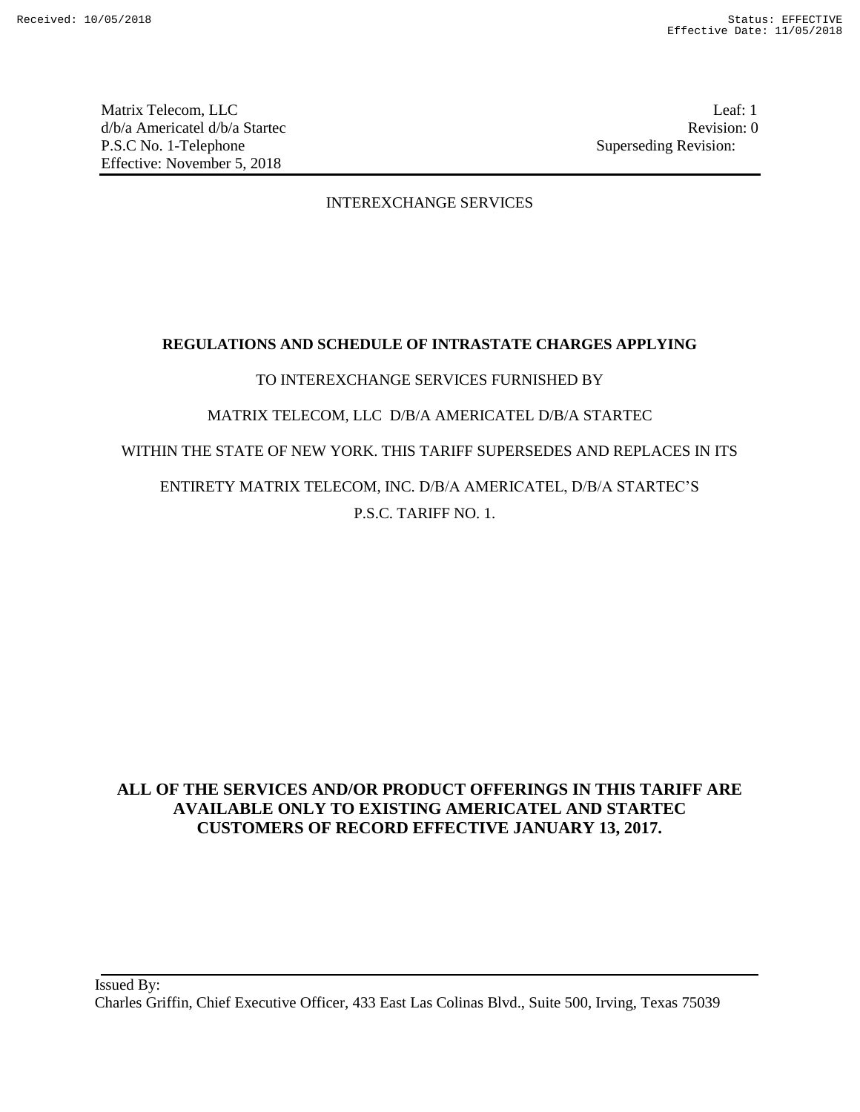Matrix Telecom, LLC Leaf: 1 d/b/a Americatel d/b/a Startec **Revision:** 0 P.S.C No. 1-Telephone Superseding Revision: Effective: November 5, 2018

## INTEREXCHANGE SERVICES

## **REGULATIONS AND SCHEDULE OF INTRASTATE CHARGES APPLYING**

## TO INTEREXCHANGE SERVICES FURNISHED BY

## MATRIX TELECOM, LLC D/B/A AMERICATEL D/B/A STARTEC

## WITHIN THE STATE OF NEW YORK. THIS TARIFF SUPERSEDES AND REPLACES IN ITS

# ENTIRETY MATRIX TELECOM, INC. D/B/A AMERICATEL, D/B/A STARTEC'S P.S.C. TARIFF NO. 1.

## **ALL OF THE SERVICES AND/OR PRODUCT OFFERINGS IN THIS TARIFF ARE AVAILABLE ONLY TO EXISTING AMERICATEL AND STARTEC CUSTOMERS OF RECORD EFFECTIVE JANUARY 13, 2017.**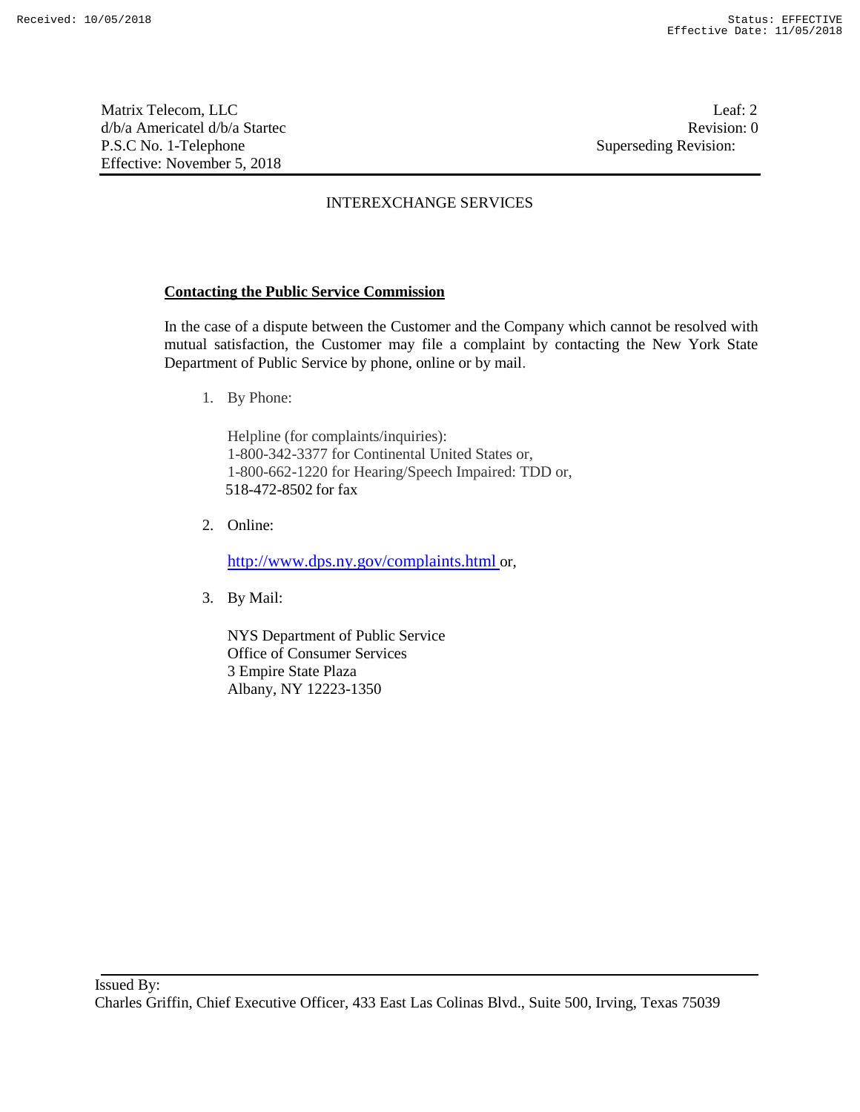Matrix Telecom, LLC Leaf: 2 d/b/a Americatel d/b/a Startec **Revision:** 0 P.S.C No. 1-Telephone Superseding Revision: Effective: November 5, 2018

## INTEREXCHANGE SERVICES

## **Contacting the Public Service Commission**

In the case of a dispute between the Customer and the Company which cannot be resolved with mutual satisfaction, the Customer may file a complaint by contacting the New York State Department of Public Service by phone, online or by mail.

1. By Phone:

Helpline (for complaints/inquiries): 1-800-342-3377 for Continental United States or, 1-800-662-1220 for Hearing/Speech Impaired: TDD or, 518-472-8502 for fax

2. Online:

http://www.dps.ny.gov/complaints.html or,

3. By Mail:

NYS Department of Public Service Office of Consumer Services 3 Empire State Plaza Albany, NY 12223-1350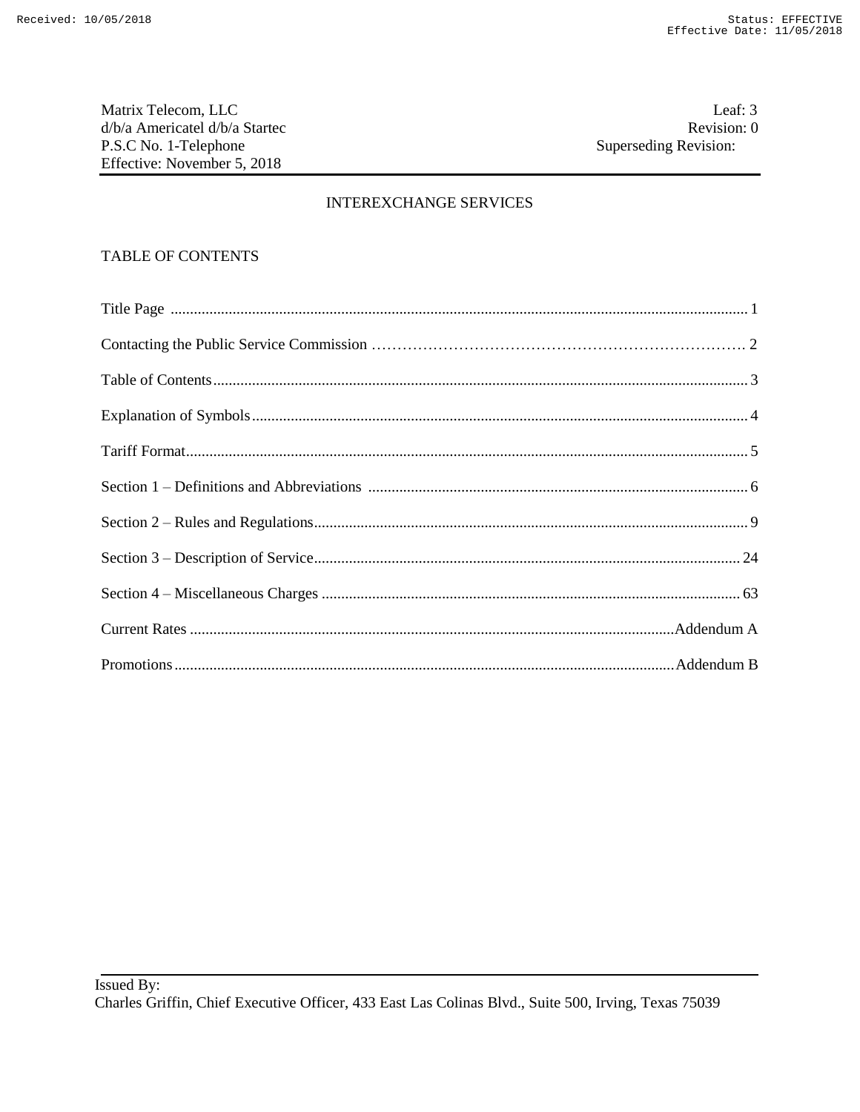Matrix Telecom, LLC d/b/a Americatel d/b/a Startec P.S.C No. 1-Telephone Effective: November 5, 2018

## **INTEREXCHANGE SERVICES**

## **TABLE OF CONTENTS**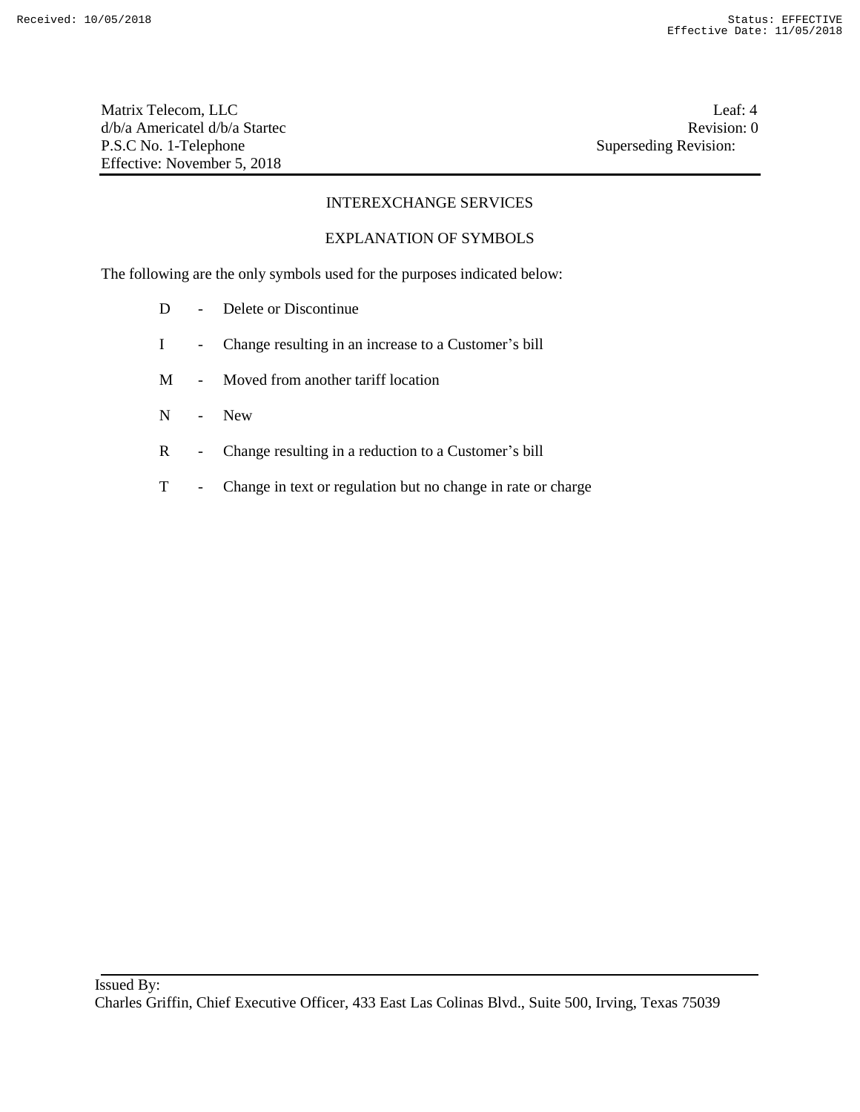Matrix Telecom, LLC Leaf: 4 d/b/a Americatel d/b/a Startec **Revision:** 0 P.S.C No. 1-Telephone Superseding Revision: Effective: November 5, 2018

## INTEREXCHANGE SERVICES

#### EXPLANATION OF SYMBOLS

The following are the only symbols used for the purposes indicated below:

- D Delete or Discontinue
- I Change resulting in an increase to a Customer's bill
- M Moved from another tariff location
- N New
- R Change resulting in a reduction to a Customer's bill
- T Change in text or regulation but no change in rate or charge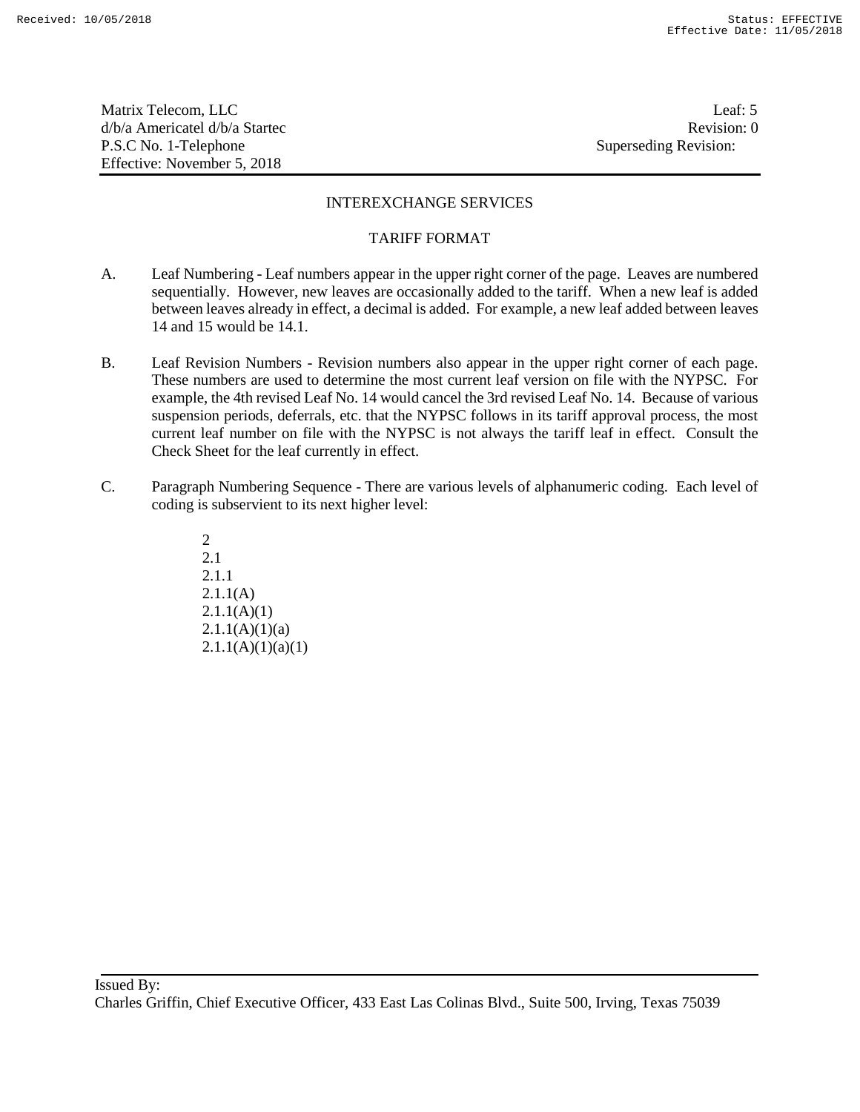Matrix Telecom, LLC Leaf: 5 d/b/a Americatel d/b/a Startec **Revision:** 0 P.S.C No. 1-Telephone Superseding Revision: Effective: November 5, 2018

## INTEREXCHANGE SERVICES

#### TARIFF FORMAT

- A. Leaf Numbering Leaf numbers appear in the upper right corner of the page. Leaves are numbered sequentially. However, new leaves are occasionally added to the tariff. When a new leaf is added between leaves already in effect, a decimal is added. For example, a new leaf added between leaves 14 and 15 would be 14.1.
- B. Leaf Revision Numbers Revision numbers also appear in the upper right corner of each page. These numbers are used to determine the most current leaf version on file with the NYPSC. For example, the 4th revised Leaf No. 14 would cancel the 3rd revised Leaf No. 14. Because of various suspension periods, deferrals, etc. that the NYPSC follows in its tariff approval process, the most current leaf number on file with the NYPSC is not always the tariff leaf in effect. Consult the Check Sheet for the leaf currently in effect.
- C. Paragraph Numbering Sequence There are various levels of alphanumeric coding. Each level of coding is subservient to its next higher level:

2 2.1 2.1.1 2.1.1(A)  $2.1.1(A)(1)$  $2.1.1(A)(1)(a)$  $2.1.1(A)(1)(a)(1)$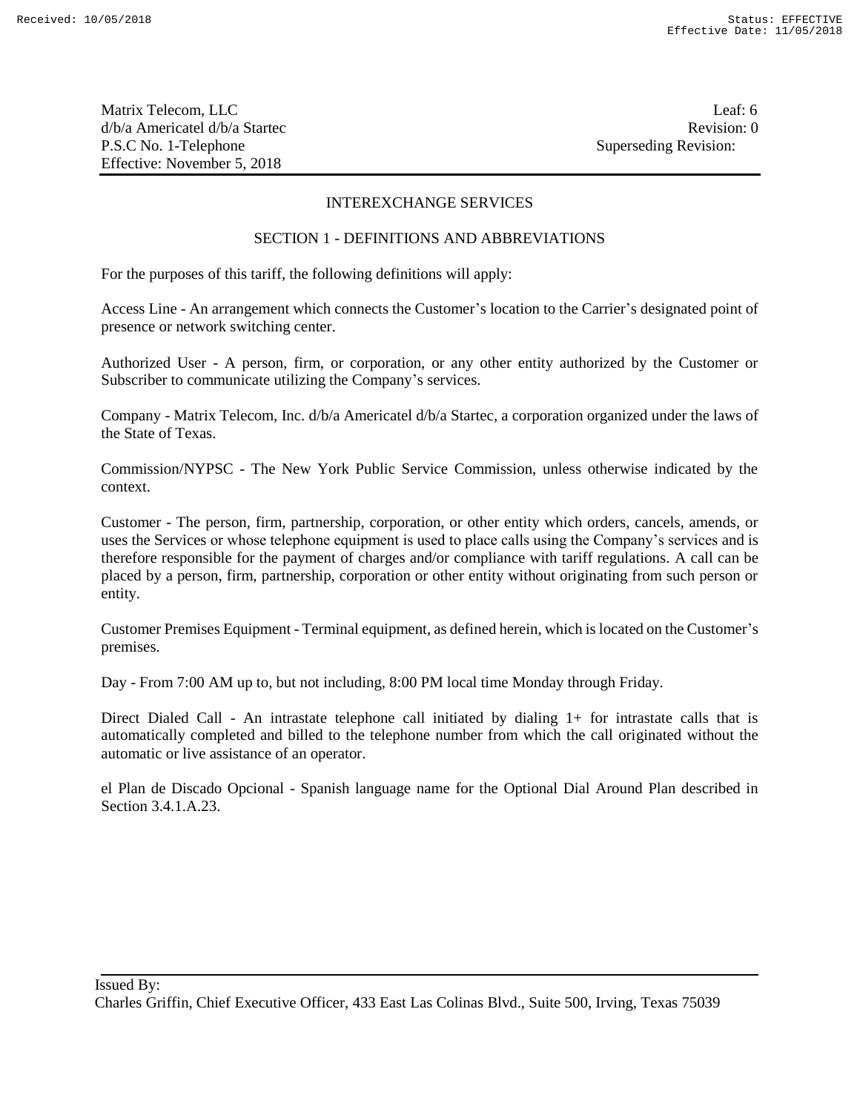Matrix Telecom, LLC Leaf: 6 d/b/a Americatel d/b/a Startec **Revision:** 0 P.S.C No. 1-Telephone Superseding Revision: Effective: November 5, 2018

## INTEREXCHANGE SERVICES

#### SECTION 1 - DEFINITIONS AND ABBREVIATIONS

For the purposes of this tariff, the following definitions will apply:

Access Line - An arrangement which connects the Customer's location to the Carrier's designated point of presence or network switching center.

Authorized User - A person, firm, or corporation, or any other entity authorized by the Customer or Subscriber to communicate utilizing the Company's services.

Company - Matrix Telecom, Inc. d/b/a Americatel d/b/a Startec, a corporation organized under the laws of the State of Texas.

Commission/NYPSC - The New York Public Service Commission, unless otherwise indicated by the context.

Customer - The person, firm, partnership, corporation, or other entity which orders, cancels, amends, or uses the Services or whose telephone equipment is used to place calls using the Company's services and is therefore responsible for the payment of charges and/or compliance with tariff regulations. A call can be placed by a person, firm, partnership, corporation or other entity without originating from such person or entity.

Customer Premises Equipment - Terminal equipment, as defined herein, which is located on the Customer's premises.

Day - From 7:00 AM up to, but not including, 8:00 PM local time Monday through Friday.

Direct Dialed Call - An intrastate telephone call initiated by dialing 1+ for intrastate calls that is automatically completed and billed to the telephone number from which the call originated without the automatic or live assistance of an operator.

el Plan de Discado Opcional - Spanish language name for the Optional Dial Around Plan described in Section 3.4.1.A.23.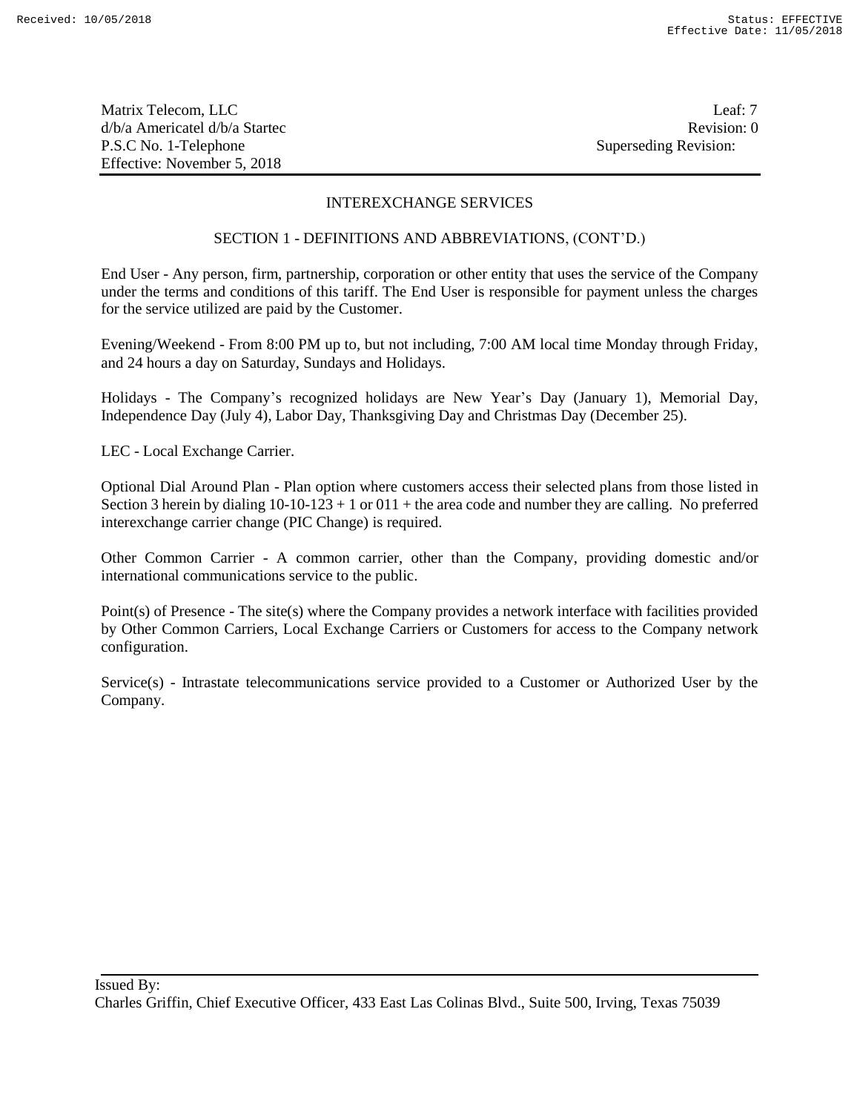Matrix Telecom, LLC Leaf: 7 d/b/a Americatel d/b/a Startec **Revision:** 0 P.S.C No. 1-Telephone Superseding Revision: Effective: November 5, 2018

## INTEREXCHANGE SERVICES

#### SECTION 1 - DEFINITIONS AND ABBREVIATIONS, (CONT'D.)

End User - Any person, firm, partnership, corporation or other entity that uses the service of the Company under the terms and conditions of this tariff. The End User is responsible for payment unless the charges for the service utilized are paid by the Customer.

Evening/Weekend - From 8:00 PM up to, but not including, 7:00 AM local time Monday through Friday, and 24 hours a day on Saturday, Sundays and Holidays.

Holidays - The Company's recognized holidays are New Year's Day (January 1), Memorial Day, Independence Day (July 4), Labor Day, Thanksgiving Day and Christmas Day (December 25).

LEC - Local Exchange Carrier.

Optional Dial Around Plan - Plan option where customers access their selected plans from those listed in Section 3 herein by dialing  $10-10-123+1$  or  $011+$  the area code and number they are calling. No preferred interexchange carrier change (PIC Change) is required.

Other Common Carrier - A common carrier, other than the Company, providing domestic and/or international communications service to the public.

Point(s) of Presence - The site(s) where the Company provides a network interface with facilities provided by Other Common Carriers, Local Exchange Carriers or Customers for access to the Company network configuration.

Service(s) - Intrastate telecommunications service provided to a Customer or Authorized User by the Company.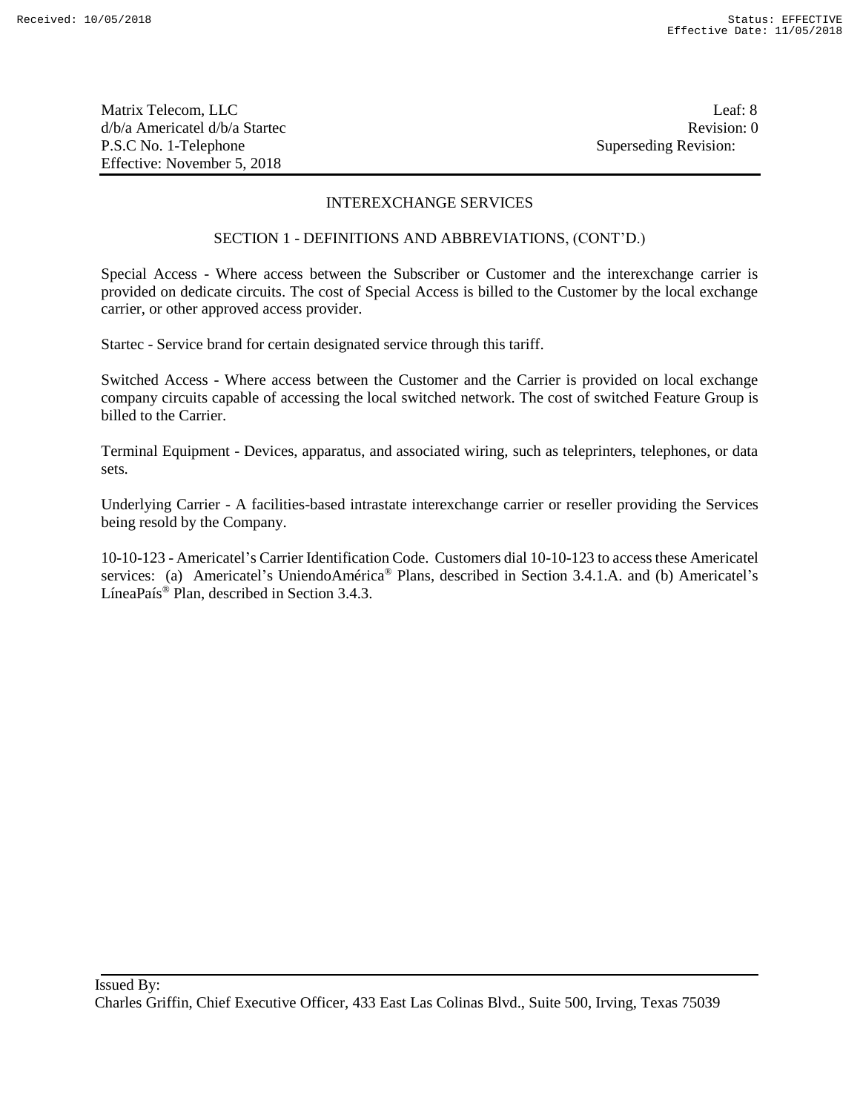Matrix Telecom, LLC Leaf: 8 d/b/a Americatel d/b/a Startec **Revision:** 0 P.S.C No. 1-Telephone Superseding Revision: Effective: November 5, 2018

#### INTEREXCHANGE SERVICES

#### SECTION 1 - DEFINITIONS AND ABBREVIATIONS, (CONT'D.)

Special Access - Where access between the Subscriber or Customer and the interexchange carrier is provided on dedicate circuits. The cost of Special Access is billed to the Customer by the local exchange carrier, or other approved access provider.

Startec - Service brand for certain designated service through this tariff.

Switched Access - Where access between the Customer and the Carrier is provided on local exchange company circuits capable of accessing the local switched network. The cost of switched Feature Group is billed to the Carrier.

Terminal Equipment - Devices, apparatus, and associated wiring, such as teleprinters, telephones, or data sets.

Underlying Carrier - A facilities-based intrastate interexchange carrier or reseller providing the Services being resold by the Company.

10-10-123 - Americatel's Carrier Identification Code. Customers dial 10-10-123 to access these Americatel services: (a) Americatel's UniendoAmérica® Plans, described in Section 3.4.1.A. and (b) Americatel's LíneaPaís® Plan, described in Section 3.4.3.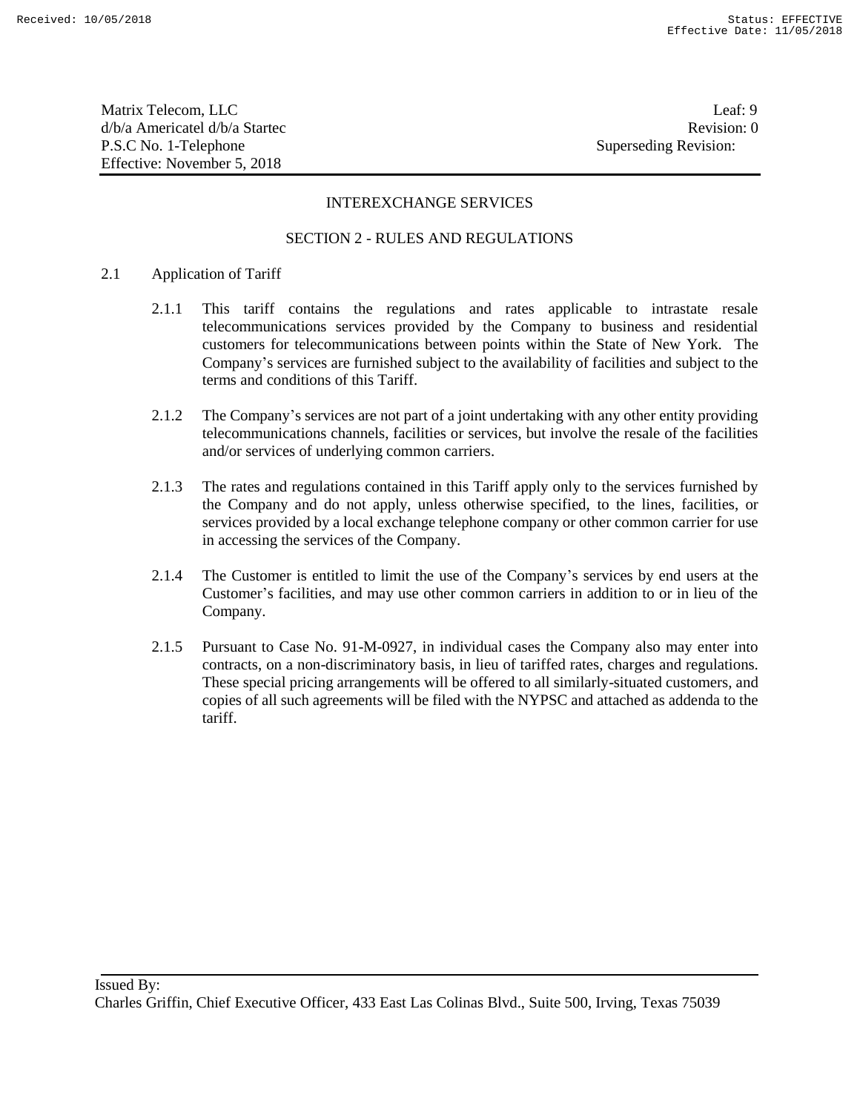Matrix Telecom, LLC Leaf: 9 d/b/a Americatel d/b/a Startec **Revision:** 0 P.S.C No. 1-Telephone Superseding Revision: Effective: November 5, 2018

## INTEREXCHANGE SERVICES

## SECTION 2 - RULES AND REGULATIONS

#### 2.1 Application of Tariff

- 2.1.1 This tariff contains the regulations and rates applicable to intrastate resale telecommunications services provided by the Company to business and residential customers for telecommunications between points within the State of New York. The Company's services are furnished subject to the availability of facilities and subject to the terms and conditions of this Tariff.
- 2.1.2 The Company's services are not part of a joint undertaking with any other entity providing telecommunications channels, facilities or services, but involve the resale of the facilities and/or services of underlying common carriers.
- 2.1.3 The rates and regulations contained in this Tariff apply only to the services furnished by the Company and do not apply, unless otherwise specified, to the lines, facilities, or services provided by a local exchange telephone company or other common carrier for use in accessing the services of the Company.
- 2.1.4 The Customer is entitled to limit the use of the Company's services by end users at the Customer's facilities, and may use other common carriers in addition to or in lieu of the Company.
- 2.1.5 Pursuant to Case No. 91-M-0927, in individual cases the Company also may enter into contracts, on a non-discriminatory basis, in lieu of tariffed rates, charges and regulations. These special pricing arrangements will be offered to all similarly-situated customers, and copies of all such agreements will be filed with the NYPSC and attached as addenda to the tariff.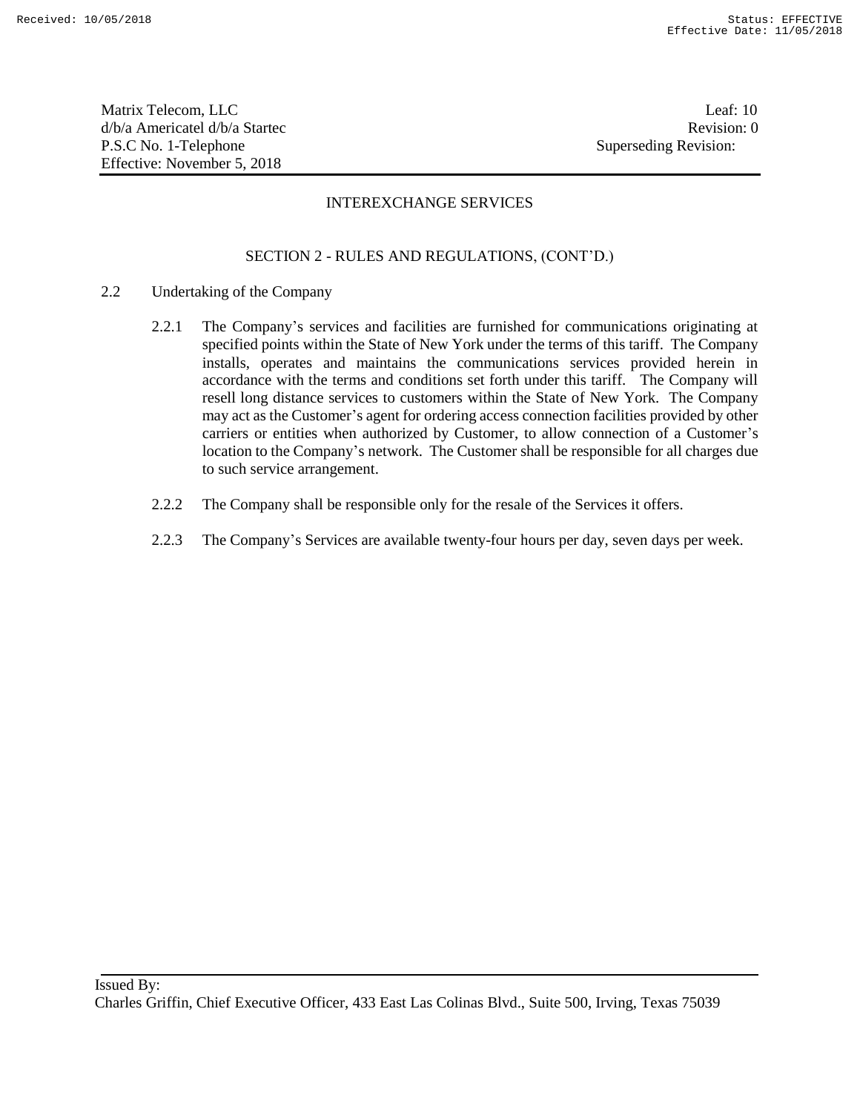Matrix Telecom, LLC Leaf: 10 d/b/a Americatel d/b/a Startec and a state of the state Revision: 0 P.S.C No. 1-Telephone Superseding Revision: Effective: November 5, 2018

## INTEREXCHANGE SERVICES

- 2.2 Undertaking of the Company
	- 2.2.1 The Company's services and facilities are furnished for communications originating at specified points within the State of New York under the terms of this tariff. The Company installs, operates and maintains the communications services provided herein in accordance with the terms and conditions set forth under this tariff. The Company will resell long distance services to customers within the State of New York. The Company may act as the Customer's agent for ordering access connection facilities provided by other carriers or entities when authorized by Customer, to allow connection of a Customer's location to the Company's network. The Customer shall be responsible for all charges due to such service arrangement.
	- 2.2.2 The Company shall be responsible only for the resale of the Services it offers.
	- 2.2.3 The Company's Services are available twenty-four hours per day, seven days per week.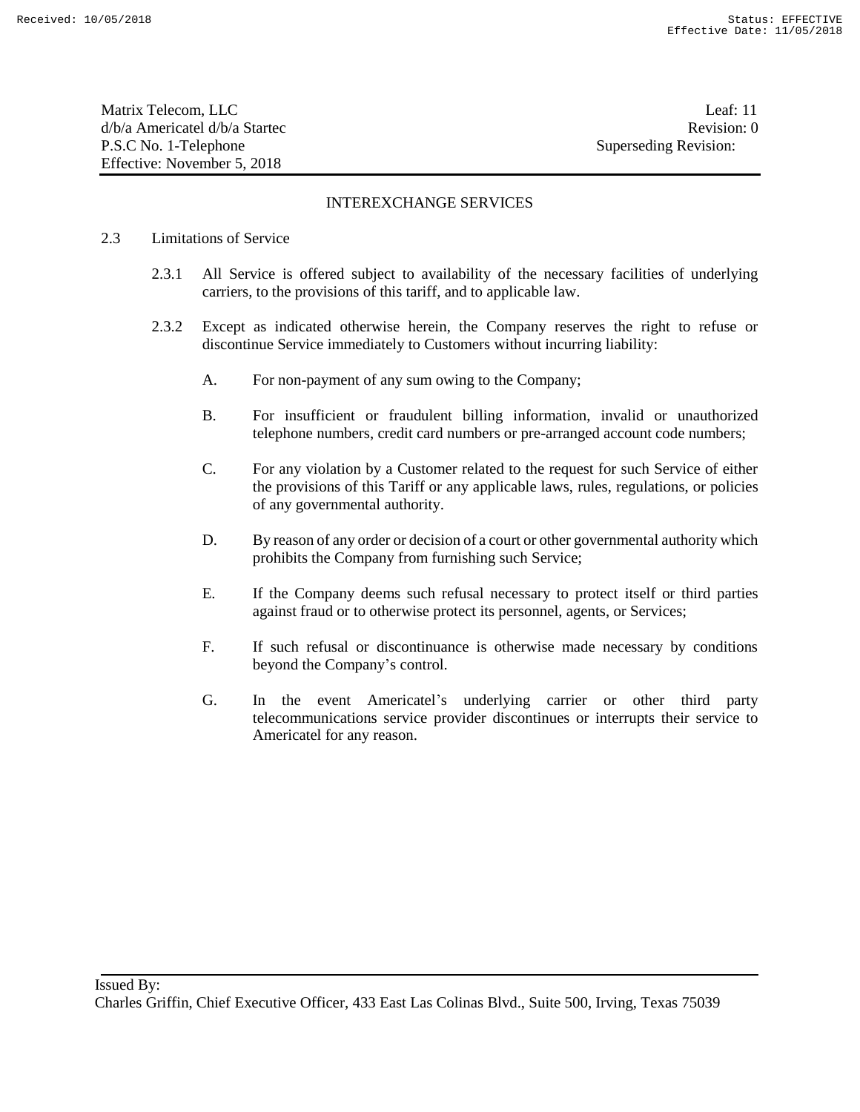Matrix Telecom, LLC Leaf: 11 d/b/a Americatel d/b/a Startec and a state of the state Revision: 0 P.S.C No. 1-Telephone Superseding Revision: Effective: November 5, 2018

## INTEREXCHANGE SERVICES

#### 2.3 Limitations of Service

- 2.3.1 All Service is offered subject to availability of the necessary facilities of underlying carriers, to the provisions of this tariff, and to applicable law.
- 2.3.2 Except as indicated otherwise herein, the Company reserves the right to refuse or discontinue Service immediately to Customers without incurring liability:
	- A. For non-payment of any sum owing to the Company;
	- B. For insufficient or fraudulent billing information, invalid or unauthorized telephone numbers, credit card numbers or pre-arranged account code numbers;
	- C. For any violation by a Customer related to the request for such Service of either the provisions of this Tariff or any applicable laws, rules, regulations, or policies of any governmental authority.
	- D. By reason of any order or decision of a court or other governmental authority which prohibits the Company from furnishing such Service;
	- E. If the Company deems such refusal necessary to protect itself or third parties against fraud or to otherwise protect its personnel, agents, or Services;
	- F. If such refusal or discontinuance is otherwise made necessary by conditions beyond the Company's control.
	- G. In the event Americatel's underlying carrier or other third party telecommunications service provider discontinues or interrupts their service to Americatel for any reason.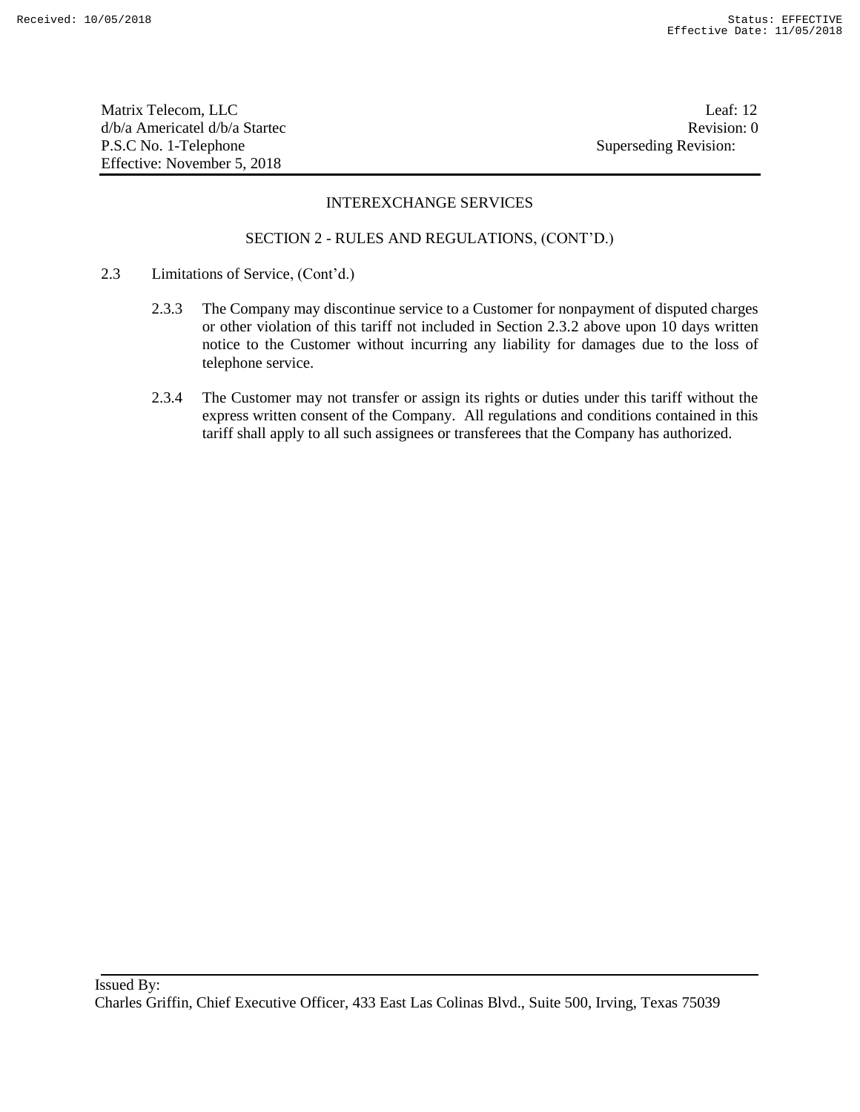Matrix Telecom, LLC Leaf: 12 d/b/a Americatel d/b/a Startec **Revision:** 0 P.S.C No. 1-Telephone Superseding Revision: Effective: November 5, 2018

## INTEREXCHANGE SERVICES

- 2.3 Limitations of Service, (Cont'd.)
	- 2.3.3 The Company may discontinue service to a Customer for nonpayment of disputed charges or other violation of this tariff not included in Section 2.3.2 above upon 10 days written notice to the Customer without incurring any liability for damages due to the loss of telephone service.
	- 2.3.4 The Customer may not transfer or assign its rights or duties under this tariff without the express written consent of the Company. All regulations and conditions contained in this tariff shall apply to all such assignees or transferees that the Company has authorized.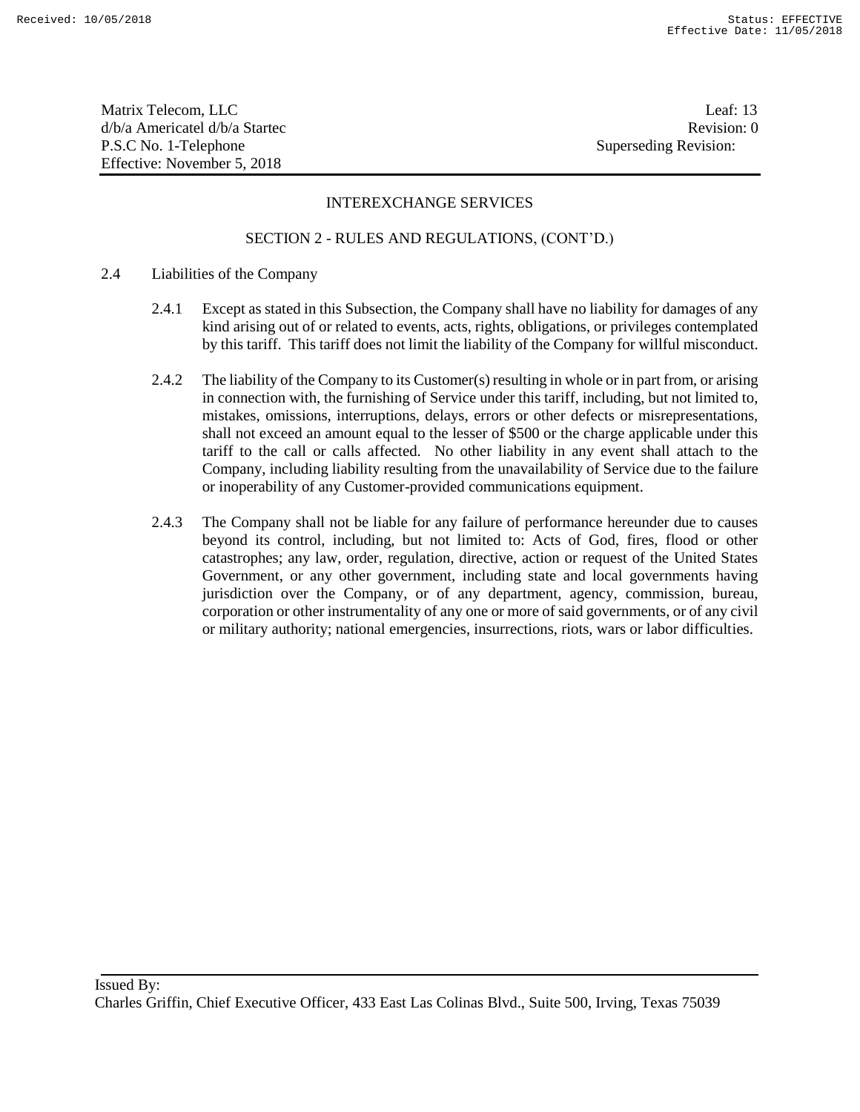Matrix Telecom, LLC Leaf: 13 d/b/a Americatel d/b/a Startec and a state of the state Revision: 0 P.S.C No. 1-Telephone Superseding Revision: Effective: November 5, 2018

## INTEREXCHANGE SERVICES

- 2.4 Liabilities of the Company
	- 2.4.1 Except as stated in this Subsection, the Company shall have no liability for damages of any kind arising out of or related to events, acts, rights, obligations, or privileges contemplated by this tariff. This tariff does not limit the liability of the Company for willful misconduct.
	- 2.4.2 The liability of the Company to its Customer(s) resulting in whole or in part from, or arising in connection with, the furnishing of Service under this tariff, including, but not limited to, mistakes, omissions, interruptions, delays, errors or other defects or misrepresentations, shall not exceed an amount equal to the lesser of \$500 or the charge applicable under this tariff to the call or calls affected. No other liability in any event shall attach to the Company, including liability resulting from the unavailability of Service due to the failure or inoperability of any Customer-provided communications equipment.
	- 2.4.3 The Company shall not be liable for any failure of performance hereunder due to causes beyond its control, including, but not limited to: Acts of God, fires, flood or other catastrophes; any law, order, regulation, directive, action or request of the United States Government, or any other government, including state and local governments having jurisdiction over the Company, or of any department, agency, commission, bureau, corporation or other instrumentality of any one or more of said governments, or of any civil or military authority; national emergencies, insurrections, riots, wars or labor difficulties.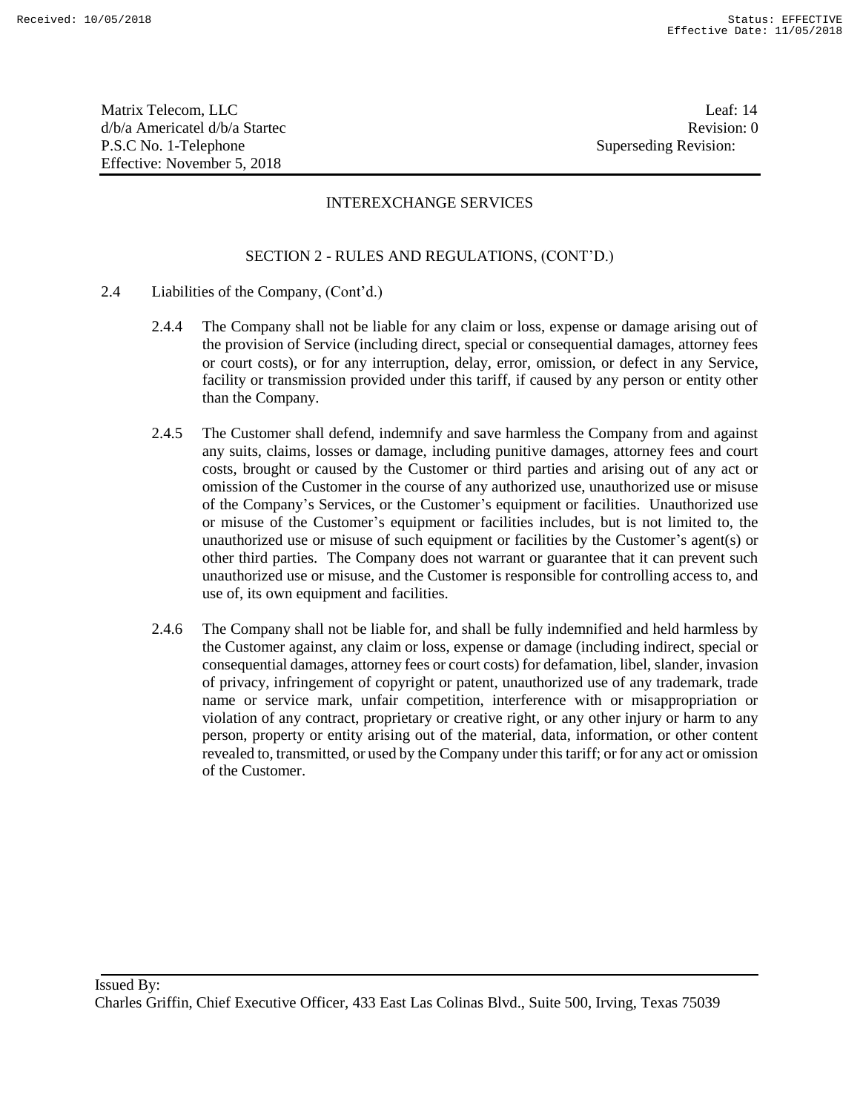Matrix Telecom, LLC Leaf: 14 d/b/a Americatel d/b/a Startec and a state of the state Revision: 0 P.S.C No. 1-Telephone Superseding Revision: Effective: November 5, 2018

## INTEREXCHANGE SERVICES

- 2.4 Liabilities of the Company, (Cont'd.)
	- 2.4.4 The Company shall not be liable for any claim or loss, expense or damage arising out of the provision of Service (including direct, special or consequential damages, attorney fees or court costs), or for any interruption, delay, error, omission, or defect in any Service, facility or transmission provided under this tariff, if caused by any person or entity other than the Company.
	- 2.4.5 The Customer shall defend, indemnify and save harmless the Company from and against any suits, claims, losses or damage, including punitive damages, attorney fees and court costs, brought or caused by the Customer or third parties and arising out of any act or omission of the Customer in the course of any authorized use, unauthorized use or misuse of the Company's Services, or the Customer's equipment or facilities. Unauthorized use or misuse of the Customer's equipment or facilities includes, but is not limited to, the unauthorized use or misuse of such equipment or facilities by the Customer's agent(s) or other third parties. The Company does not warrant or guarantee that it can prevent such unauthorized use or misuse, and the Customer is responsible for controlling access to, and use of, its own equipment and facilities.
	- 2.4.6 The Company shall not be liable for, and shall be fully indemnified and held harmless by the Customer against, any claim or loss, expense or damage (including indirect, special or consequential damages, attorney fees or court costs) for defamation, libel, slander, invasion of privacy, infringement of copyright or patent, unauthorized use of any trademark, trade name or service mark, unfair competition, interference with or misappropriation or violation of any contract, proprietary or creative right, or any other injury or harm to any person, property or entity arising out of the material, data, information, or other content revealed to, transmitted, or used by the Company under this tariff; or for any act or omission of the Customer.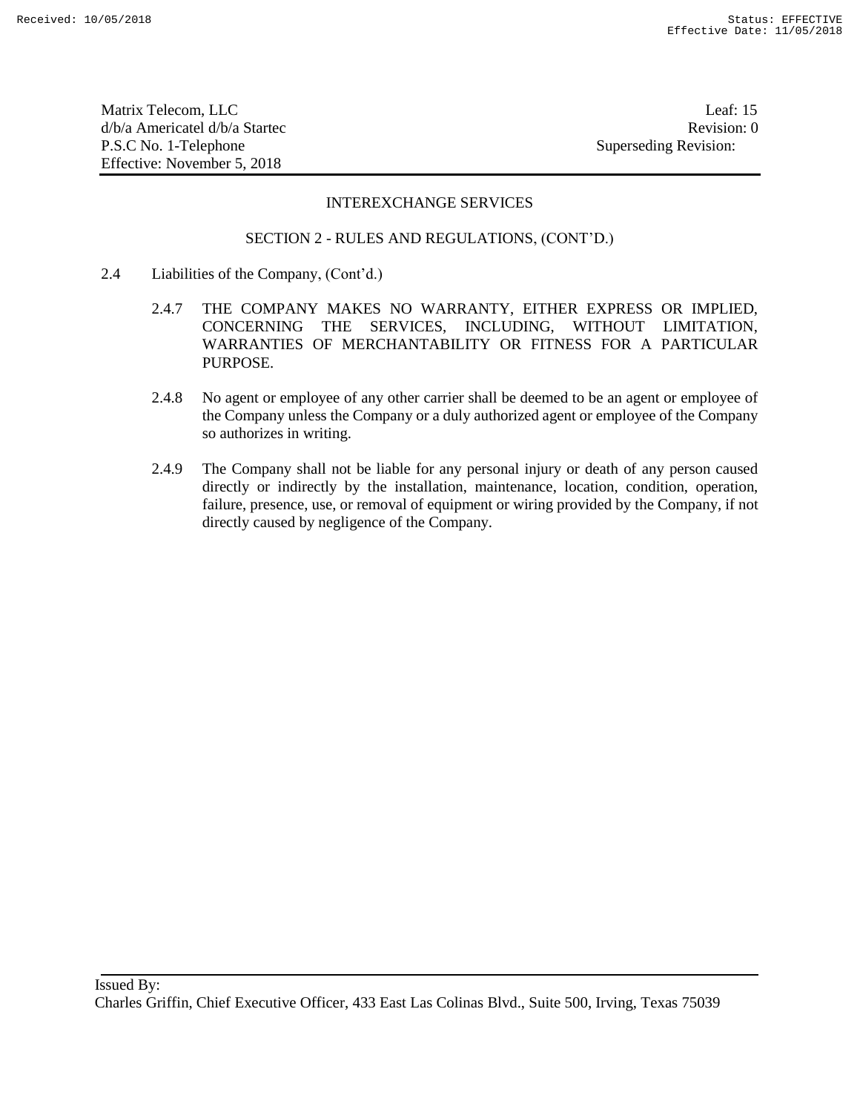Matrix Telecom, LLC Leaf: 15 d/b/a Americatel d/b/a Startec **Revision:** 0 P.S.C No. 1-Telephone Superseding Revision: Effective: November 5, 2018

#### INTEREXCHANGE SERVICES

- 2.4 Liabilities of the Company, (Cont'd.)
	- 2.4.7 THE COMPANY MAKES NO WARRANTY, EITHER EXPRESS OR IMPLIED, CONCERNING THE SERVICES, INCLUDING, WITHOUT LIMITATION, WARRANTIES OF MERCHANTABILITY OR FITNESS FOR A PARTICULAR PURPOSE.
	- 2.4.8 No agent or employee of any other carrier shall be deemed to be an agent or employee of the Company unless the Company or a duly authorized agent or employee of the Company so authorizes in writing.
	- 2.4.9 The Company shall not be liable for any personal injury or death of any person caused directly or indirectly by the installation, maintenance, location, condition, operation, failure, presence, use, or removal of equipment or wiring provided by the Company, if not directly caused by negligence of the Company.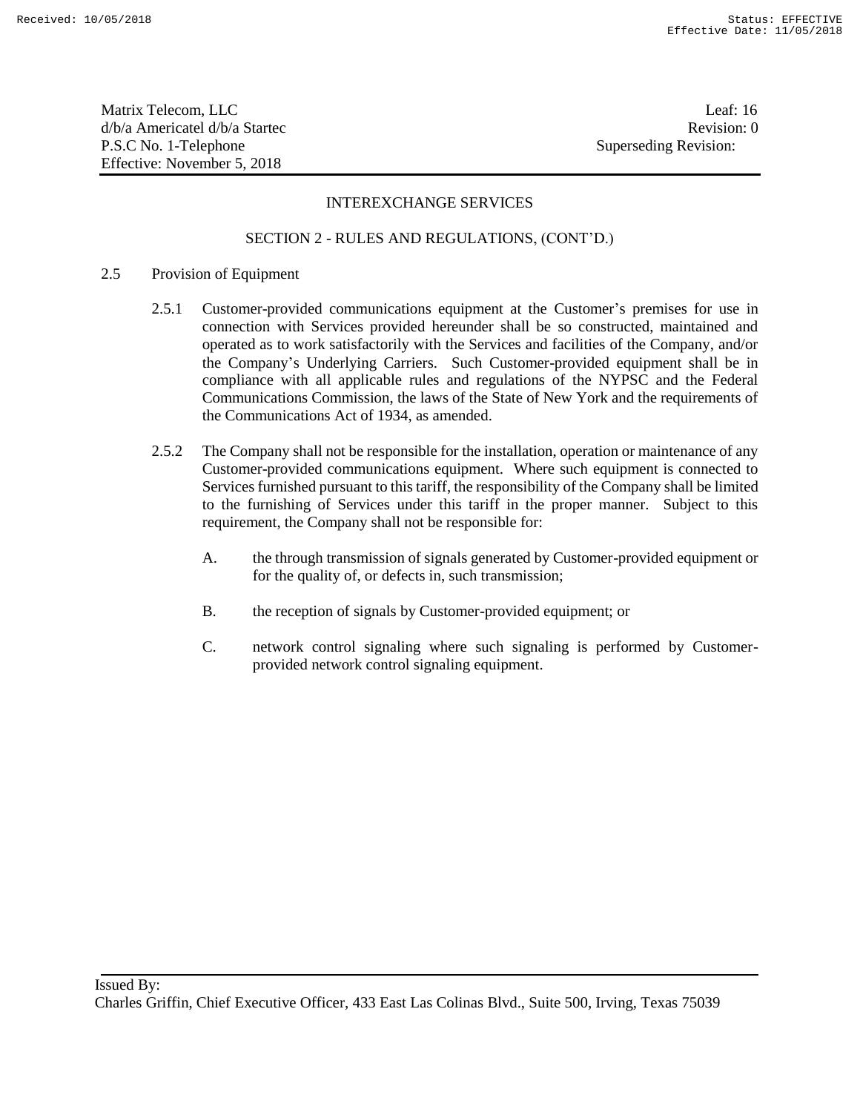Matrix Telecom, LLC Leaf: 16 d/b/a Americatel d/b/a Startec and a state of the state Revision: 0 P.S.C No. 1-Telephone Superseding Revision: Effective: November 5, 2018

## INTEREXCHANGE SERVICES

#### SECTION 2 - RULES AND REGULATIONS, (CONT'D.)

#### 2.5 Provision of Equipment

- 2.5.1 Customer-provided communications equipment at the Customer's premises for use in connection with Services provided hereunder shall be so constructed, maintained and operated as to work satisfactorily with the Services and facilities of the Company, and/or the Company's Underlying Carriers. Such Customer-provided equipment shall be in compliance with all applicable rules and regulations of the NYPSC and the Federal Communications Commission, the laws of the State of New York and the requirements of the Communications Act of 1934, as amended.
- 2.5.2 The Company shall not be responsible for the installation, operation or maintenance of any Customer-provided communications equipment. Where such equipment is connected to Services furnished pursuant to this tariff, the responsibility of the Company shall be limited to the furnishing of Services under this tariff in the proper manner. Subject to this requirement, the Company shall not be responsible for:
	- A. the through transmission of signals generated by Customer-provided equipment or for the quality of, or defects in, such transmission;
	- B. the reception of signals by Customer-provided equipment; or
	- C. network control signaling where such signaling is performed by Customerprovided network control signaling equipment.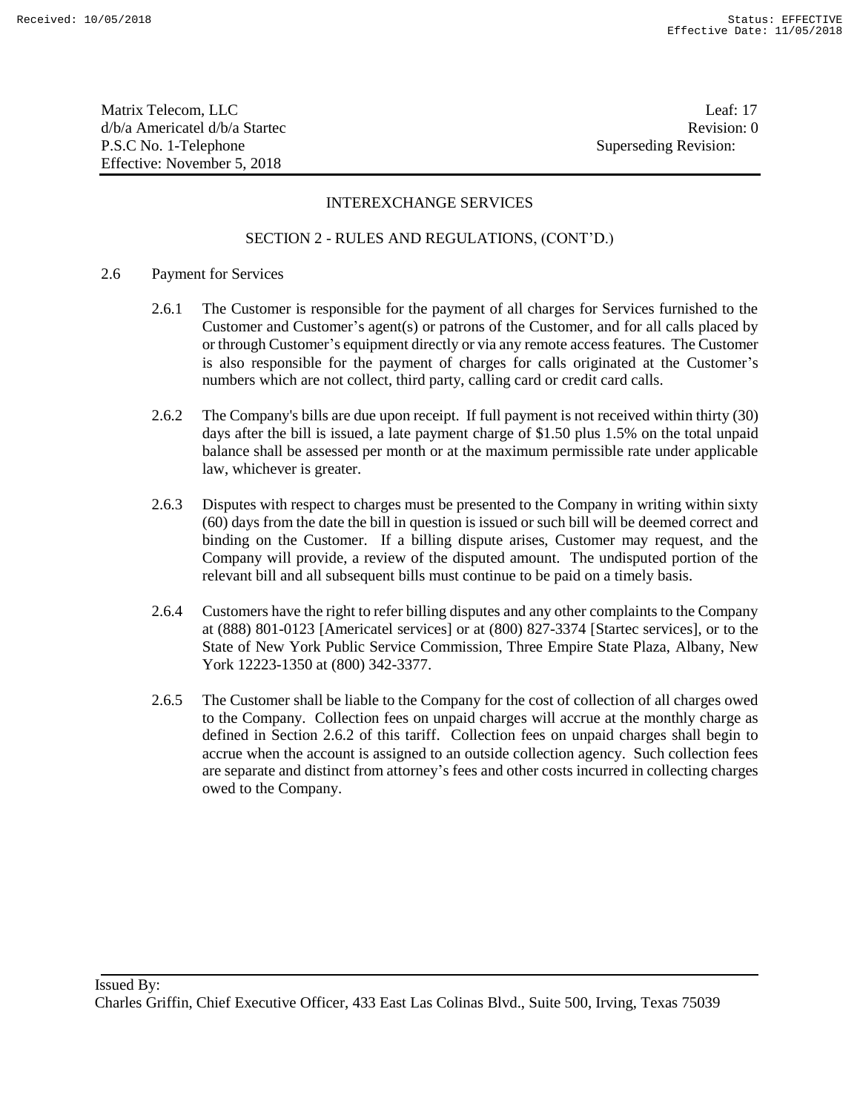Matrix Telecom, LLC Leaf: 17 d/b/a Americatel d/b/a Startec and a state of the state Revision: 0 P.S.C No. 1-Telephone Superseding Revision: Effective: November 5, 2018

## INTEREXCHANGE SERVICES

#### SECTION 2 - RULES AND REGULATIONS, (CONT'D.)

#### 2.6 Payment for Services

- 2.6.1 The Customer is responsible for the payment of all charges for Services furnished to the Customer and Customer's agent(s) or patrons of the Customer, and for all calls placed by or through Customer's equipment directly or via any remote access features. The Customer is also responsible for the payment of charges for calls originated at the Customer's numbers which are not collect, third party, calling card or credit card calls.
- 2.6.2 The Company's bills are due upon receipt. If full payment is not received within thirty (30) days after the bill is issued, a late payment charge of \$1.50 plus 1.5% on the total unpaid balance shall be assessed per month or at the maximum permissible rate under applicable law, whichever is greater.
- 2.6.3 Disputes with respect to charges must be presented to the Company in writing within sixty (60) days from the date the bill in question is issued or such bill will be deemed correct and binding on the Customer. If a billing dispute arises, Customer may request, and the Company will provide, a review of the disputed amount. The undisputed portion of the relevant bill and all subsequent bills must continue to be paid on a timely basis.
- 2.6.4 Customers have the right to refer billing disputes and any other complaints to the Company at (888) 801-0123 [Americatel services] or at (800) 827-3374 [Startec services], or to the State of New York Public Service Commission, Three Empire State Plaza, Albany, New York 12223-1350 at (800) 342-3377.
- 2.6.5 The Customer shall be liable to the Company for the cost of collection of all charges owed to the Company. Collection fees on unpaid charges will accrue at the monthly charge as defined in Section 2.6.2 of this tariff. Collection fees on unpaid charges shall begin to accrue when the account is assigned to an outside collection agency. Such collection fees are separate and distinct from attorney's fees and other costs incurred in collecting charges owed to the Company.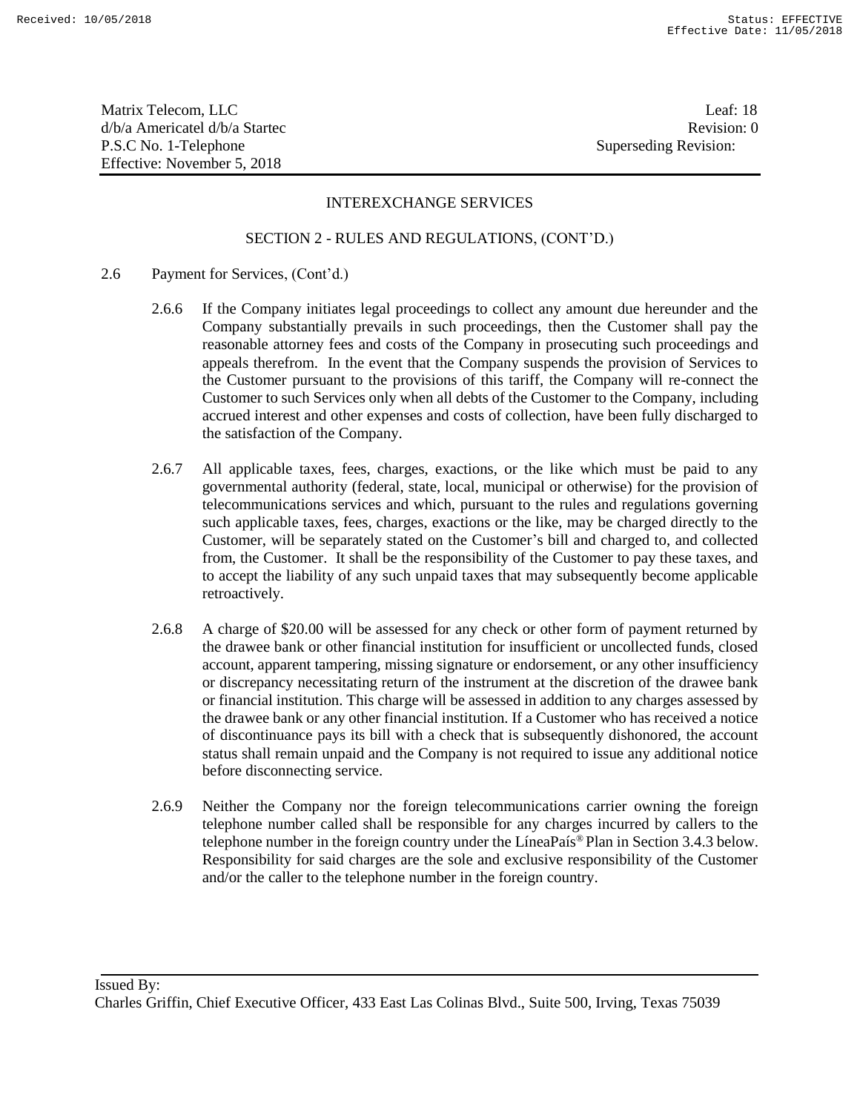Matrix Telecom, LLC Leaf: 18 d/b/a Americatel d/b/a Startec and a state of the state Revision: 0 P.S.C No. 1-Telephone Superseding Revision: Effective: November 5, 2018

## INTEREXCHANGE SERVICES

#### SECTION 2 - RULES AND REGULATIONS, (CONT'D.)

- 2.6 Payment for Services, (Cont'd.)
	- 2.6.6 If the Company initiates legal proceedings to collect any amount due hereunder and the Company substantially prevails in such proceedings, then the Customer shall pay the reasonable attorney fees and costs of the Company in prosecuting such proceedings and appeals therefrom. In the event that the Company suspends the provision of Services to the Customer pursuant to the provisions of this tariff, the Company will re-connect the Customer to such Services only when all debts of the Customer to the Company, including accrued interest and other expenses and costs of collection, have been fully discharged to the satisfaction of the Company.
	- 2.6.7 All applicable taxes, fees, charges, exactions, or the like which must be paid to any governmental authority (federal, state, local, municipal or otherwise) for the provision of telecommunications services and which, pursuant to the rules and regulations governing such applicable taxes, fees, charges, exactions or the like, may be charged directly to the Customer, will be separately stated on the Customer's bill and charged to, and collected from, the Customer. It shall be the responsibility of the Customer to pay these taxes, and to accept the liability of any such unpaid taxes that may subsequently become applicable retroactively.
	- 2.6.8 A charge of \$20.00 will be assessed for any check or other form of payment returned by the drawee bank or other financial institution for insufficient or uncollected funds, closed account, apparent tampering, missing signature or endorsement, or any other insufficiency or discrepancy necessitating return of the instrument at the discretion of the drawee bank or financial institution. This charge will be assessed in addition to any charges assessed by the drawee bank or any other financial institution. If a Customer who has received a notice of discontinuance pays its bill with a check that is subsequently dishonored, the account status shall remain unpaid and the Company is not required to issue any additional notice before disconnecting service.
	- 2.6.9 Neither the Company nor the foreign telecommunications carrier owning the foreign telephone number called shall be responsible for any charges incurred by callers to the telephone number in the foreign country under the LíneaPaís® Plan in Section 3.4.3 below. Responsibility for said charges are the sole and exclusive responsibility of the Customer and/or the caller to the telephone number in the foreign country.

Issued By:

Charles Griffin, Chief Executive Officer, 433 East Las Colinas Blvd., Suite 500, Irving, Texas 75039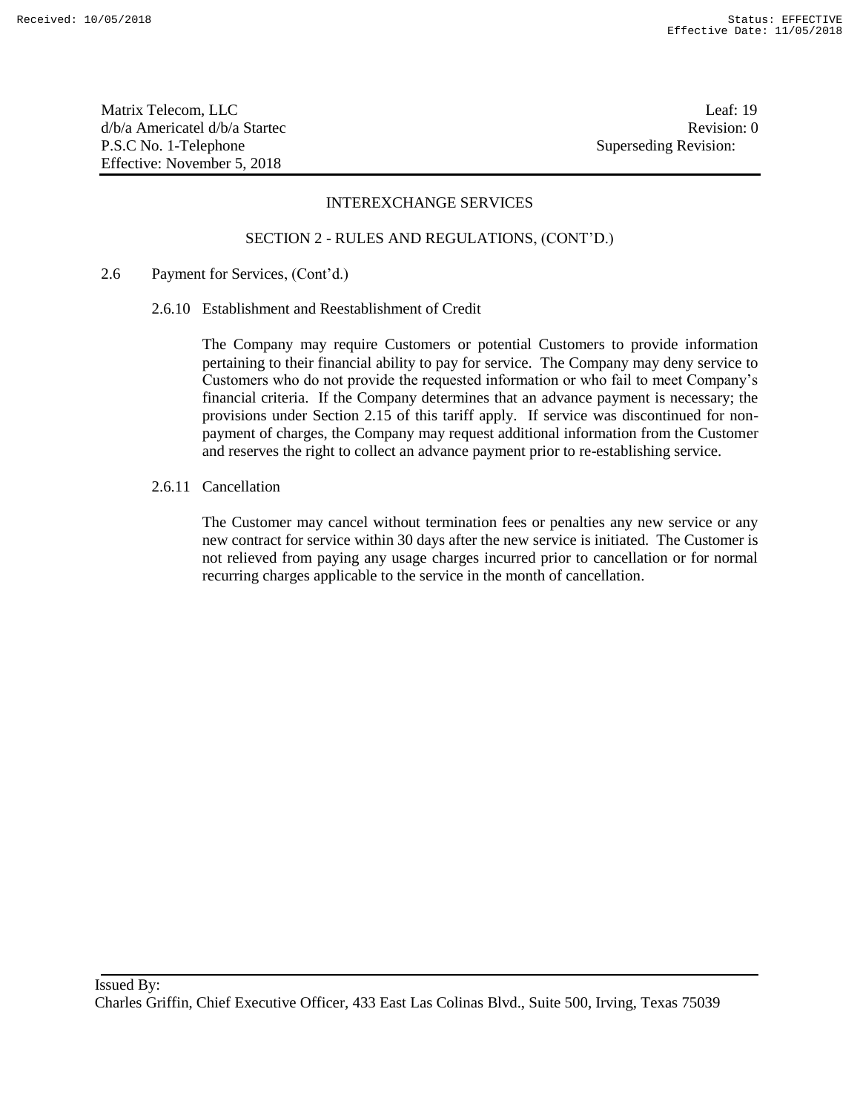Matrix Telecom, LLC Leaf: 19 d/b/a Americatel d/b/a Startec and a state of the state Revision: 0 P.S.C No. 1-Telephone Superseding Revision: Effective: November 5, 2018

## INTEREXCHANGE SERVICES

#### SECTION 2 - RULES AND REGULATIONS, (CONT'D.)

#### 2.6 Payment for Services, (Cont'd.)

2.6.10 Establishment and Reestablishment of Credit

The Company may require Customers or potential Customers to provide information pertaining to their financial ability to pay for service. The Company may deny service to Customers who do not provide the requested information or who fail to meet Company's financial criteria. If the Company determines that an advance payment is necessary; the provisions under Section 2.15 of this tariff apply. If service was discontinued for nonpayment of charges, the Company may request additional information from the Customer and reserves the right to collect an advance payment prior to re-establishing service.

2.6.11 Cancellation

The Customer may cancel without termination fees or penalties any new service or any new contract for service within 30 days after the new service is initiated. The Customer is not relieved from paying any usage charges incurred prior to cancellation or for normal recurring charges applicable to the service in the month of cancellation.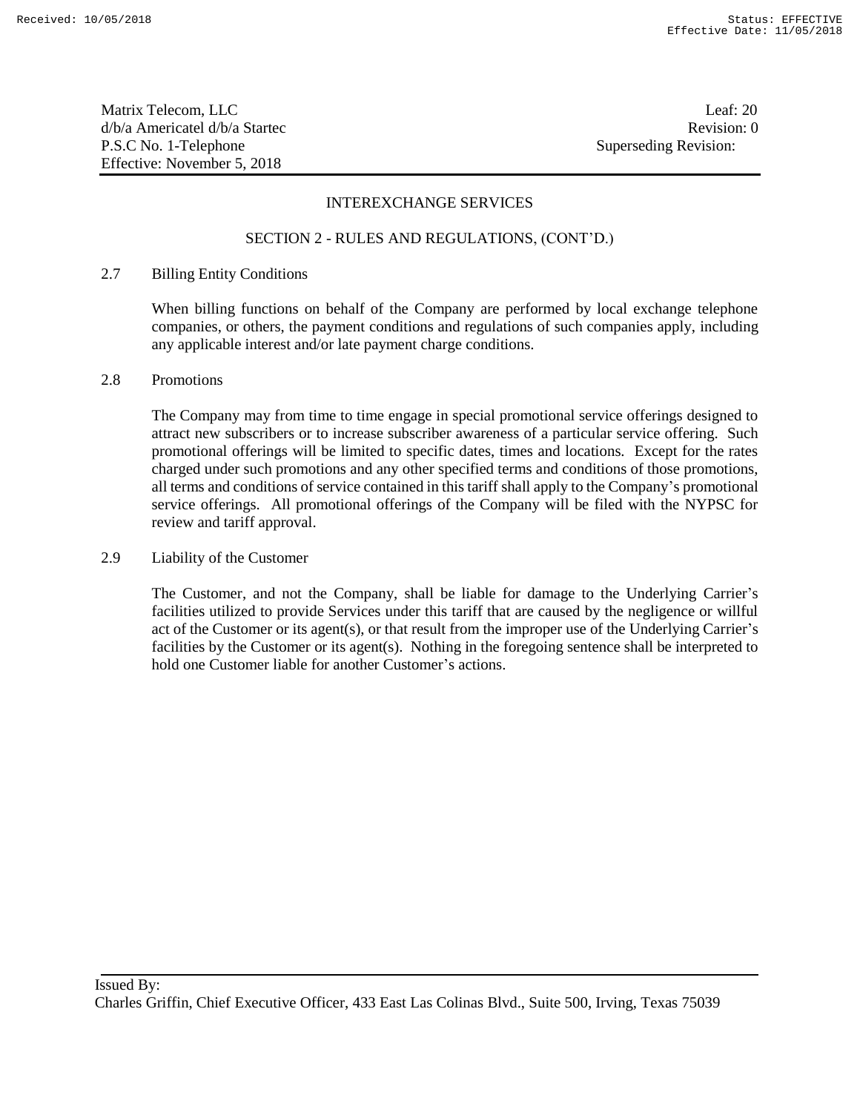Matrix Telecom, LLC Leaf: 20 d/b/a Americatel d/b/a Startec and a state of the state Revision: 0 P.S.C No. 1-Telephone Superseding Revision: Effective: November 5, 2018

## INTEREXCHANGE SERVICES

#### SECTION 2 - RULES AND REGULATIONS, (CONT'D.)

## 2.7 Billing Entity Conditions

When billing functions on behalf of the Company are performed by local exchange telephone companies, or others, the payment conditions and regulations of such companies apply, including any applicable interest and/or late payment charge conditions.

#### 2.8 Promotions

The Company may from time to time engage in special promotional service offerings designed to attract new subscribers or to increase subscriber awareness of a particular service offering. Such promotional offerings will be limited to specific dates, times and locations. Except for the rates charged under such promotions and any other specified terms and conditions of those promotions, all terms and conditions of service contained in this tariff shall apply to the Company's promotional service offerings. All promotional offerings of the Company will be filed with the NYPSC for review and tariff approval.

#### 2.9 Liability of the Customer

The Customer, and not the Company, shall be liable for damage to the Underlying Carrier's facilities utilized to provide Services under this tariff that are caused by the negligence or willful act of the Customer or its agent(s), or that result from the improper use of the Underlying Carrier's facilities by the Customer or its agent(s). Nothing in the foregoing sentence shall be interpreted to hold one Customer liable for another Customer's actions.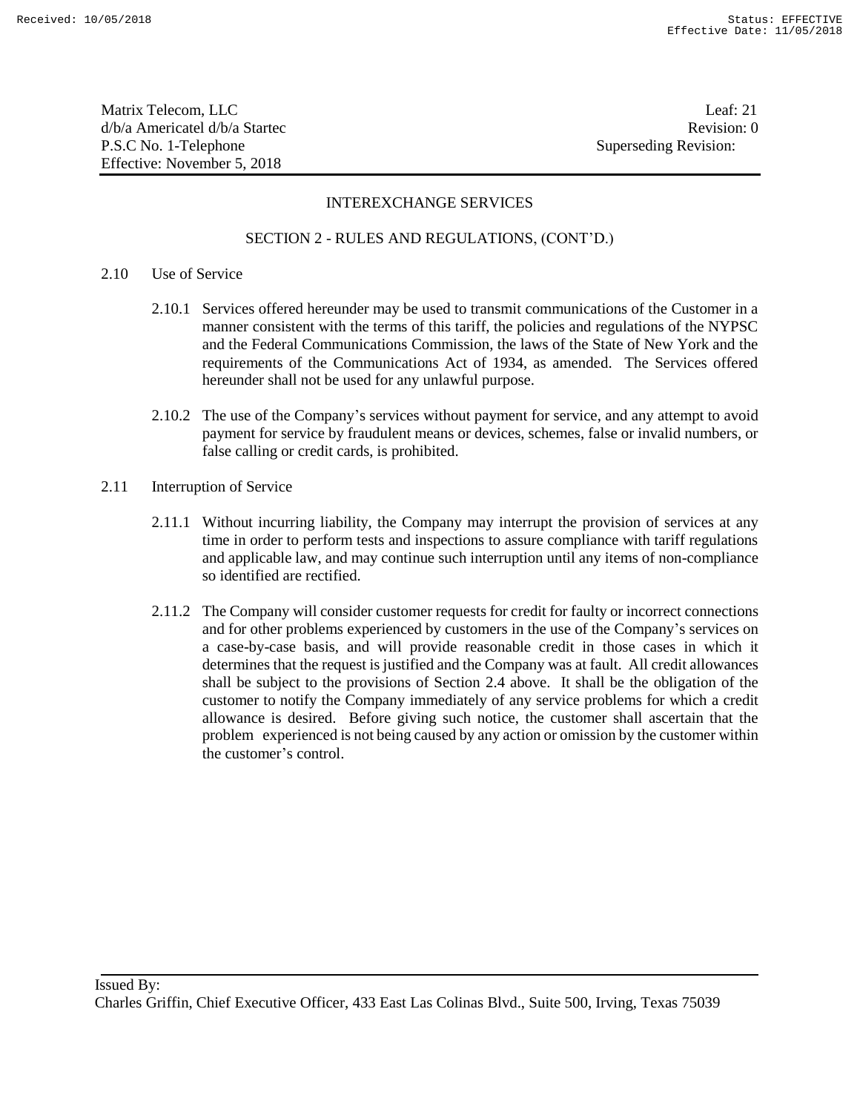Matrix Telecom, LLC Leaf: 21 d/b/a Americatel d/b/a Startec **Revision:** 0 P.S.C No. 1-Telephone Superseding Revision: Effective: November 5, 2018

## INTEREXCHANGE SERVICES

#### SECTION 2 - RULES AND REGULATIONS, (CONT'D.)

#### 2.10 Use of Service

- 2.10.1 Services offered hereunder may be used to transmit communications of the Customer in a manner consistent with the terms of this tariff, the policies and regulations of the NYPSC and the Federal Communications Commission, the laws of the State of New York and the requirements of the Communications Act of 1934, as amended. The Services offered hereunder shall not be used for any unlawful purpose.
- 2.10.2 The use of the Company's services without payment for service, and any attempt to avoid payment for service by fraudulent means or devices, schemes, false or invalid numbers, or false calling or credit cards, is prohibited.
- 2.11 Interruption of Service
	- 2.11.1 Without incurring liability, the Company may interrupt the provision of services at any time in order to perform tests and inspections to assure compliance with tariff regulations and applicable law, and may continue such interruption until any items of non-compliance so identified are rectified.
	- 2.11.2 The Company will consider customer requests for credit for faulty or incorrect connections and for other problems experienced by customers in the use of the Company's services on a case-by-case basis, and will provide reasonable credit in those cases in which it determines that the request is justified and the Company was at fault. All credit allowances shall be subject to the provisions of Section 2.4 above. It shall be the obligation of the customer to notify the Company immediately of any service problems for which a credit allowance is desired. Before giving such notice, the customer shall ascertain that the problem experienced is not being caused by any action or omission by the customer within the customer's control.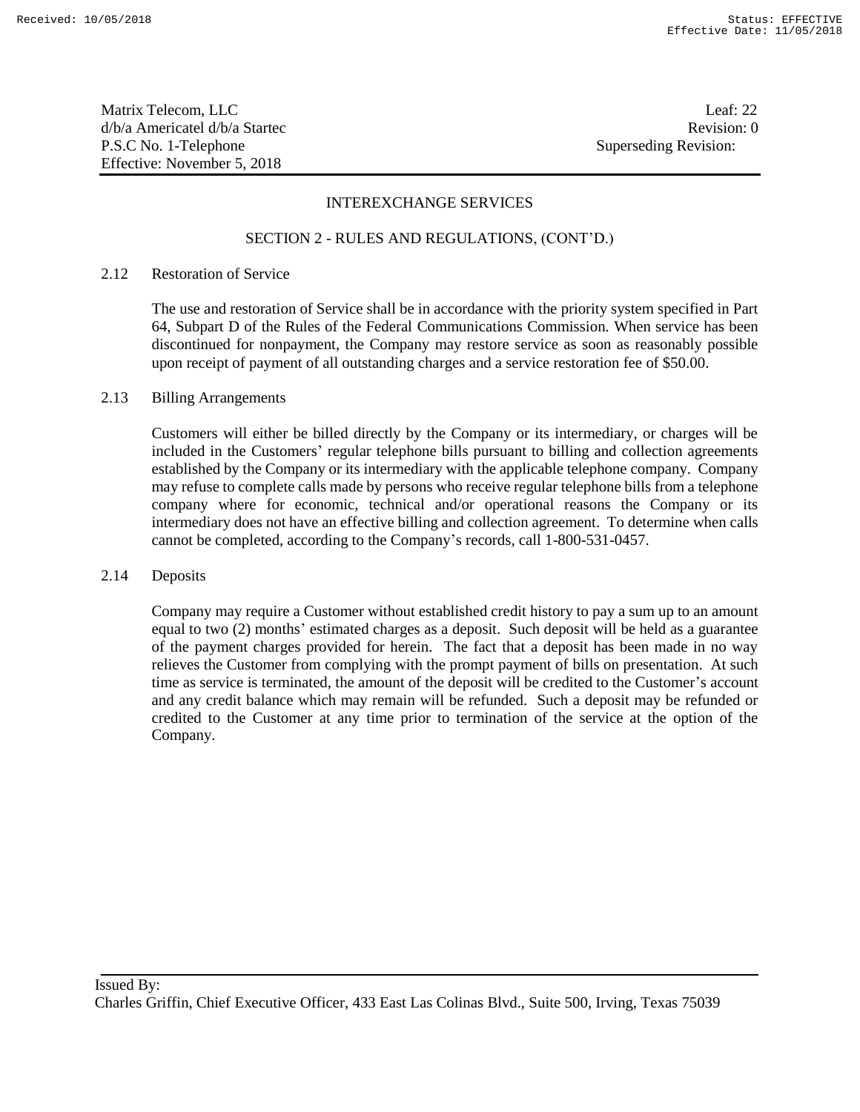Matrix Telecom, LLC Leaf: 22 d/b/a Americatel d/b/a Startec and a state of the state Revision: 0 P.S.C No. 1-Telephone Superseding Revision: Effective: November 5, 2018

#### INTEREXCHANGE SERVICES

#### SECTION 2 - RULES AND REGULATIONS, (CONT'D.)

## 2.12 Restoration of Service

The use and restoration of Service shall be in accordance with the priority system specified in Part 64, Subpart D of the Rules of the Federal Communications Commission. When service has been discontinued for nonpayment, the Company may restore service as soon as reasonably possible upon receipt of payment of all outstanding charges and a service restoration fee of \$50.00.

#### 2.13 Billing Arrangements

Customers will either be billed directly by the Company or its intermediary, or charges will be included in the Customers' regular telephone bills pursuant to billing and collection agreements established by the Company or its intermediary with the applicable telephone company. Company may refuse to complete calls made by persons who receive regular telephone bills from a telephone company where for economic, technical and/or operational reasons the Company or its intermediary does not have an effective billing and collection agreement. To determine when calls cannot be completed, according to the Company's records, call 1-800-531-0457.

#### 2.14 Deposits

Company may require a Customer without established credit history to pay a sum up to an amount equal to two (2) months' estimated charges as a deposit. Such deposit will be held as a guarantee of the payment charges provided for herein. The fact that a deposit has been made in no way relieves the Customer from complying with the prompt payment of bills on presentation. At such time as service is terminated, the amount of the deposit will be credited to the Customer's account and any credit balance which may remain will be refunded. Such a deposit may be refunded or credited to the Customer at any time prior to termination of the service at the option of the Company.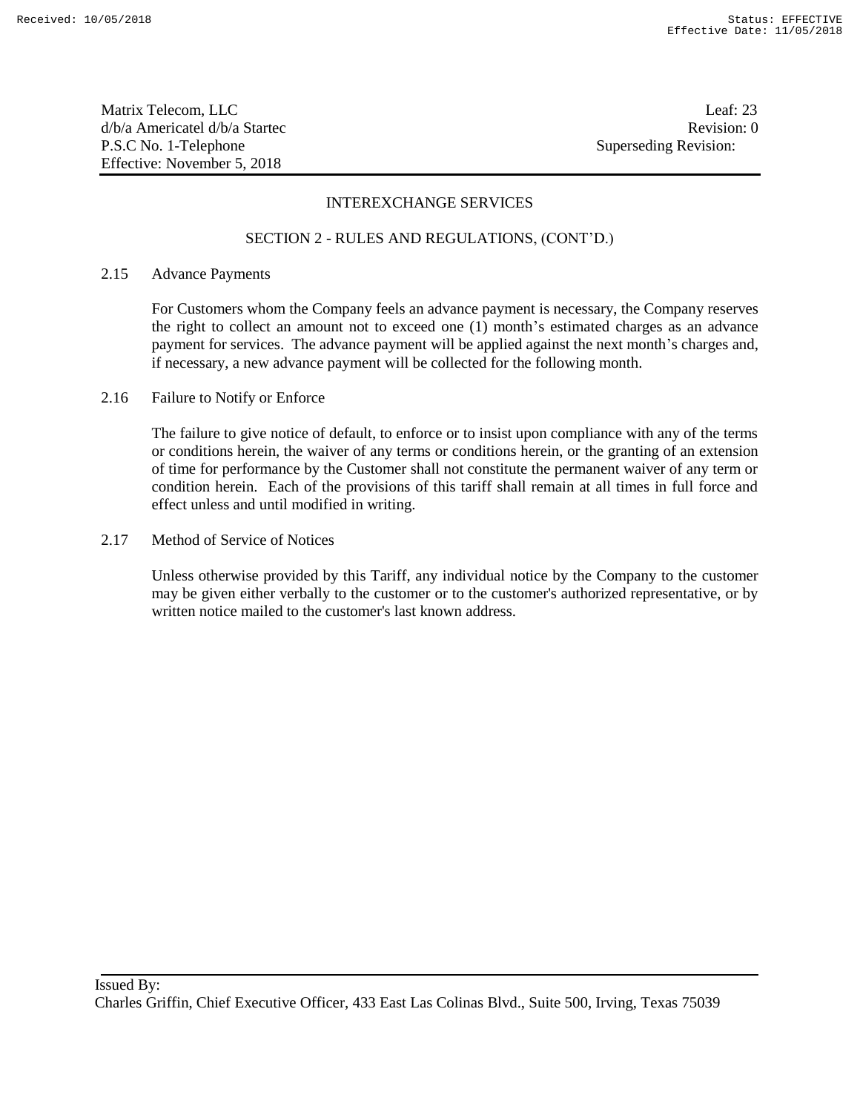Matrix Telecom, LLC Leaf: 23 d/b/a Americatel d/b/a Startec and a state of the state Revision: 0 P.S.C No. 1-Telephone Superseding Revision: Effective: November 5, 2018

## INTEREXCHANGE SERVICES

#### SECTION 2 - RULES AND REGULATIONS, (CONT'D.)

#### 2.15 Advance Payments

For Customers whom the Company feels an advance payment is necessary, the Company reserves the right to collect an amount not to exceed one (1) month's estimated charges as an advance payment for services. The advance payment will be applied against the next month's charges and, if necessary, a new advance payment will be collected for the following month.

2.16 Failure to Notify or Enforce

The failure to give notice of default, to enforce or to insist upon compliance with any of the terms or conditions herein, the waiver of any terms or conditions herein, or the granting of an extension of time for performance by the Customer shall not constitute the permanent waiver of any term or condition herein. Each of the provisions of this tariff shall remain at all times in full force and effect unless and until modified in writing.

2.17 Method of Service of Notices

Unless otherwise provided by this Tariff, any individual notice by the Company to the customer may be given either verbally to the customer or to the customer's authorized representative, or by written notice mailed to the customer's last known address.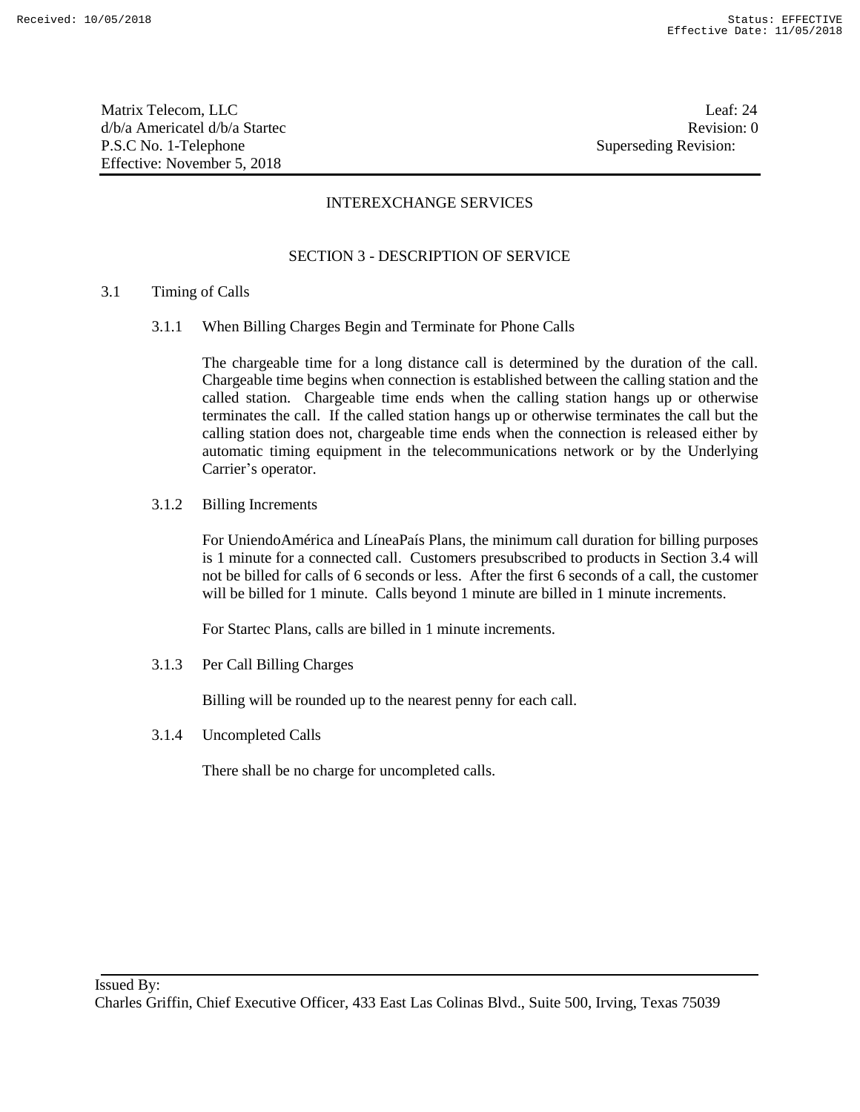Matrix Telecom, LLC Leaf: 24 d/b/a Americatel d/b/a Startec **Revision:** 0 P.S.C No. 1-Telephone Superseding Revision: Effective: November 5, 2018

## INTEREXCHANGE SERVICES

## SECTION 3 - DESCRIPTION OF SERVICE

#### 3.1 Timing of Calls

3.1.1 When Billing Charges Begin and Terminate for Phone Calls

The chargeable time for a long distance call is determined by the duration of the call. Chargeable time begins when connection is established between the calling station and the called station. Chargeable time ends when the calling station hangs up or otherwise terminates the call. If the called station hangs up or otherwise terminates the call but the calling station does not, chargeable time ends when the connection is released either by automatic timing equipment in the telecommunications network or by the Underlying Carrier's operator.

3.1.2 Billing Increments

For UniendoAmérica and LíneaPaís Plans, the minimum call duration for billing purposes is 1 minute for a connected call. Customers presubscribed to products in Section 3.4 will not be billed for calls of 6 seconds or less. After the first 6 seconds of a call, the customer will be billed for 1 minute. Calls beyond 1 minute are billed in 1 minute increments.

For Startec Plans, calls are billed in 1 minute increments.

3.1.3 Per Call Billing Charges

Billing will be rounded up to the nearest penny for each call.

3.1.4 Uncompleted Calls

There shall be no charge for uncompleted calls.

Charles Griffin, Chief Executive Officer, 433 East Las Colinas Blvd., Suite 500, Irving, Texas 75039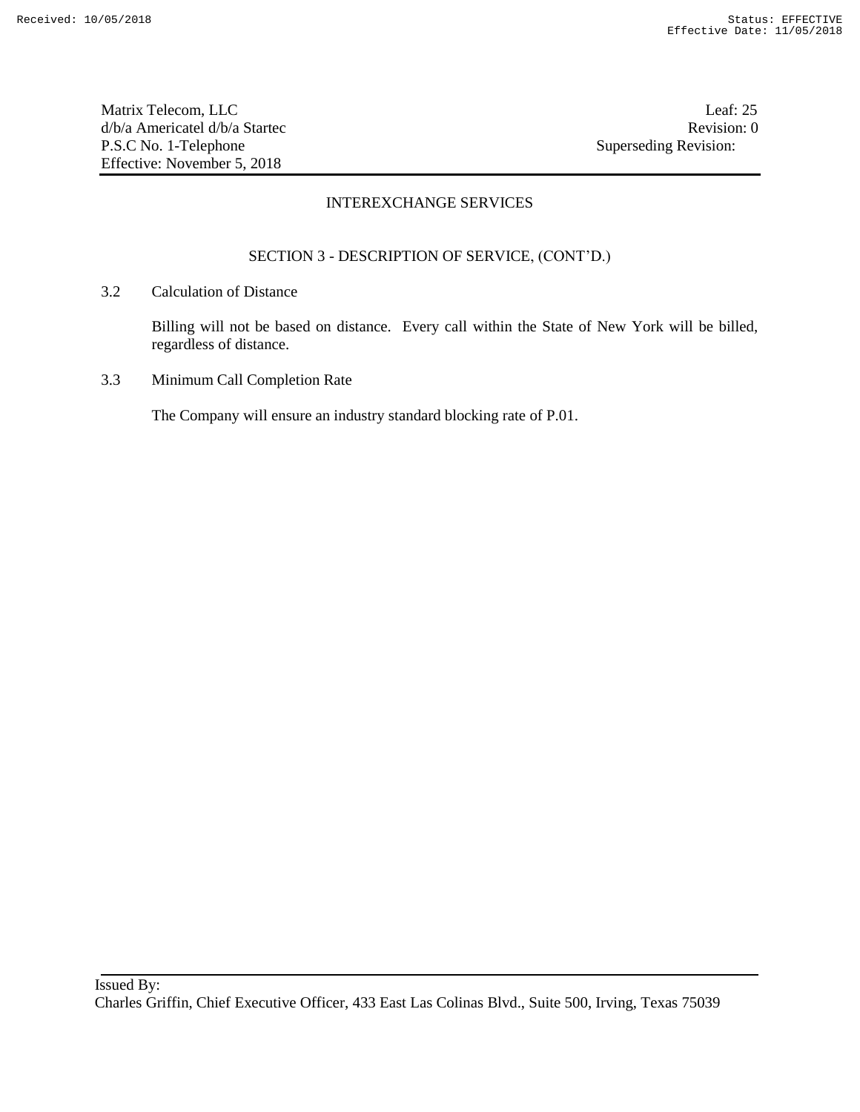Matrix Telecom, LLC Leaf: 25 d/b/a Americatel d/b/a Startec **Revision:** 0 P.S.C No. 1-Telephone Superseding Revision: Effective: November 5, 2018

## INTEREXCHANGE SERVICES

## SECTION 3 - DESCRIPTION OF SERVICE, (CONT'D.)

3.2 Calculation of Distance

Billing will not be based on distance. Every call within the State of New York will be billed, regardless of distance.

3.3 Minimum Call Completion Rate

The Company will ensure an industry standard blocking rate of P.01.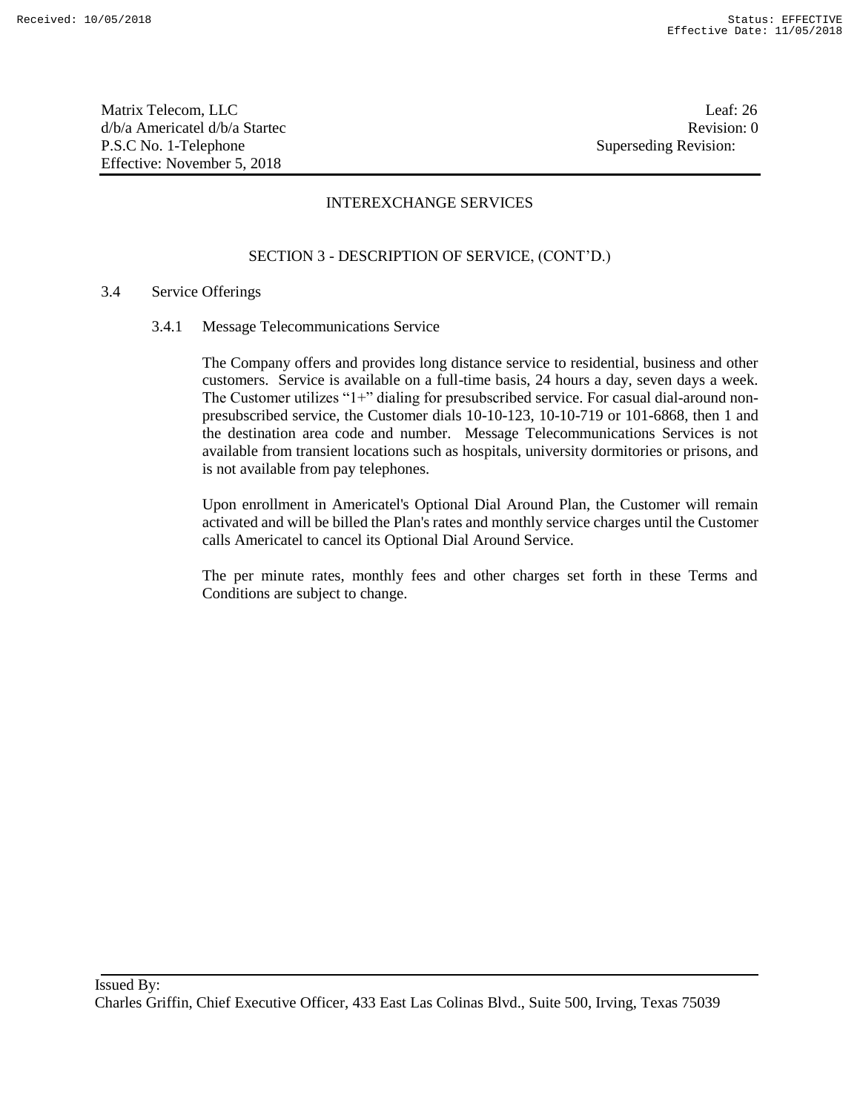Matrix Telecom, LLC Leaf: 26 d/b/a Americatel d/b/a Startec **Revision:** 0 P.S.C No. 1-Telephone Superseding Revision: Effective: November 5, 2018

## INTEREXCHANGE SERVICES

## SECTION 3 - DESCRIPTION OF SERVICE, (CONT'D.)

#### 3.4 Service Offerings

3.4.1 Message Telecommunications Service

The Company offers and provides long distance service to residential, business and other customers. Service is available on a full-time basis, 24 hours a day, seven days a week. The Customer utilizes "1+" dialing for presubscribed service. For casual dial-around nonpresubscribed service, the Customer dials 10-10-123, 10-10-719 or 101-6868, then 1 and the destination area code and number. Message Telecommunications Services is not available from transient locations such as hospitals, university dormitories or prisons, and is not available from pay telephones.

Upon enrollment in Americatel's Optional Dial Around Plan, the Customer will remain activated and will be billed the Plan's rates and monthly service charges until the Customer calls Americatel to cancel its Optional Dial Around Service.

The per minute rates, monthly fees and other charges set forth in these Terms and Conditions are subject to change.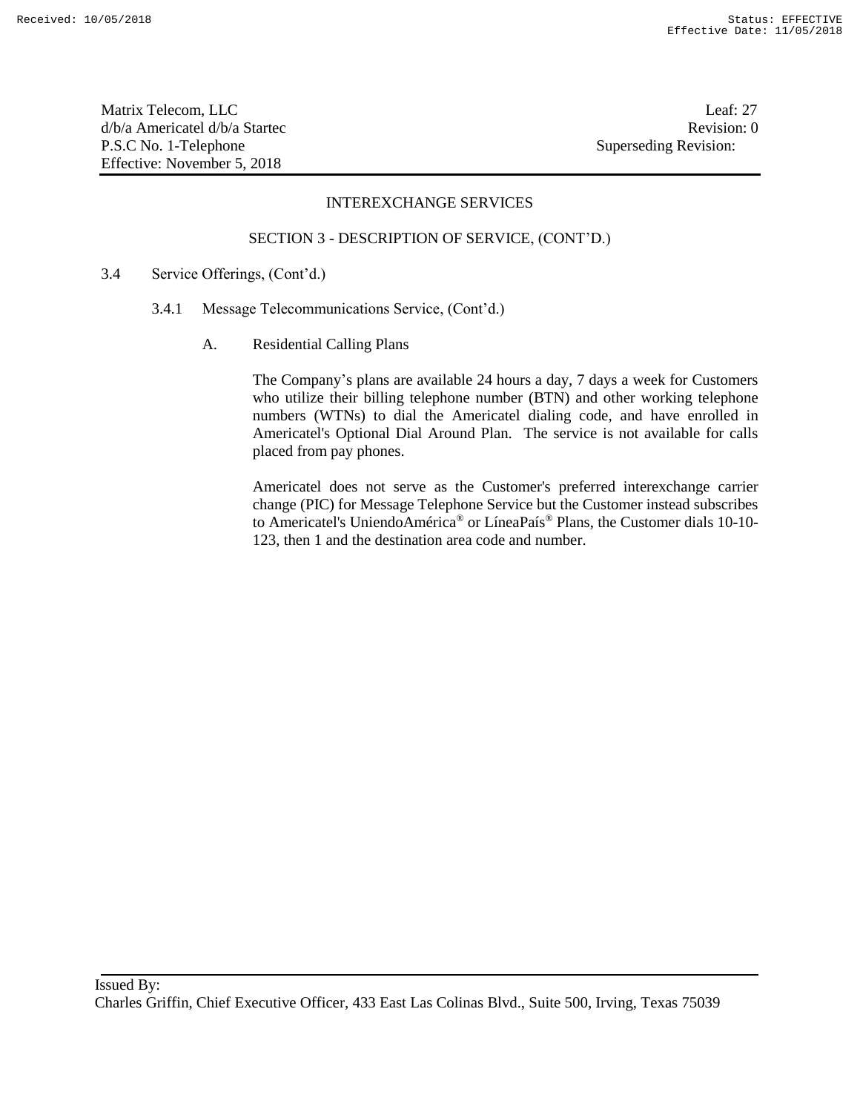Matrix Telecom, LLC Leaf: 27 d/b/a Americatel d/b/a Startec **Revision:** 0 P.S.C No. 1-Telephone Superseding Revision: Effective: November 5, 2018

## INTEREXCHANGE SERVICES

#### SECTION 3 - DESCRIPTION OF SERVICE, (CONT'D.)

- 3.4 Service Offerings, (Cont'd.)
	- 3.4.1 Message Telecommunications Service, (Cont'd.)
		- A. Residential Calling Plans

The Company's plans are available 24 hours a day, 7 days a week for Customers who utilize their billing telephone number (BTN) and other working telephone numbers (WTNs) to dial the Americatel dialing code, and have enrolled in Americatel's Optional Dial Around Plan. The service is not available for calls placed from pay phones.

Americatel does not serve as the Customer's preferred interexchange carrier change (PIC) for Message Telephone Service but the Customer instead subscribes to Americatel's UniendoAmérica® or LíneaPaís® Plans, the Customer dials 10-10- 123, then 1 and the destination area code and number.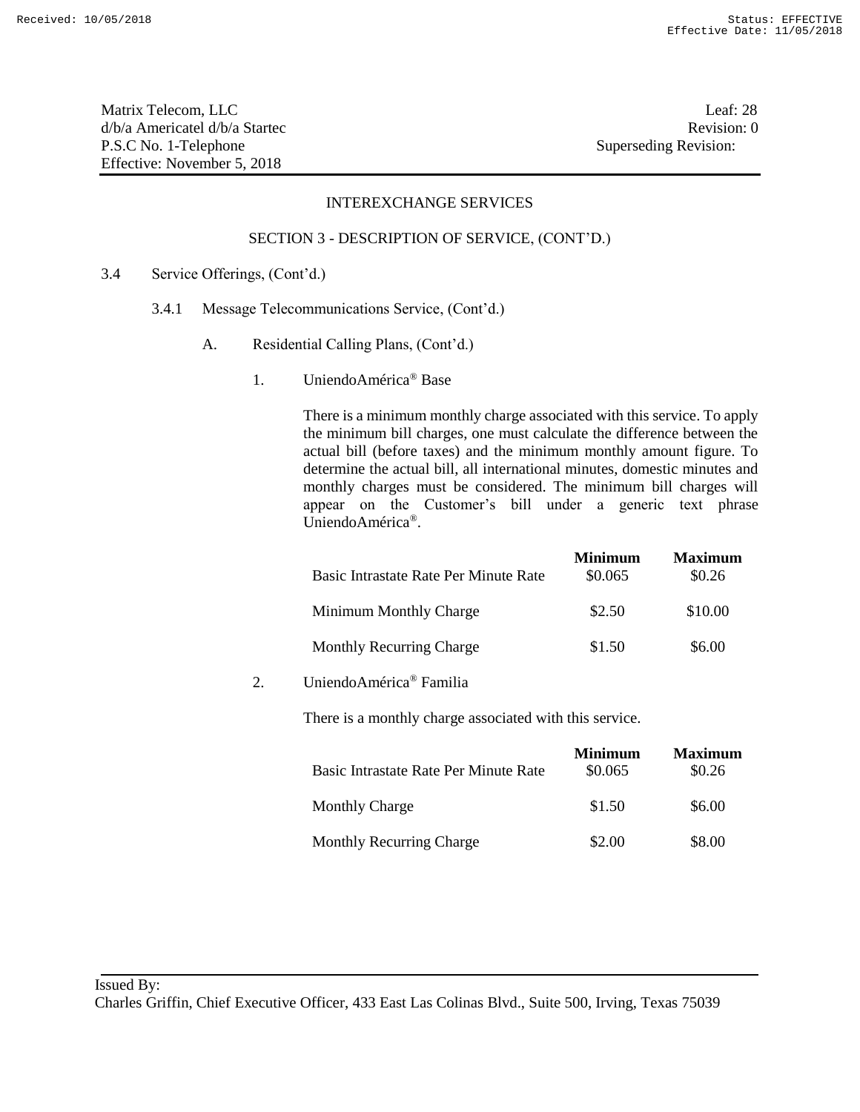Matrix Telecom, LLC Leaf: 28 d/b/a Americatel d/b/a Startec **Revision:** 0 P.S.C No. 1-Telephone Superseding Revision: Effective: November 5, 2018

#### INTEREXCHANGE SERVICES

#### SECTION 3 - DESCRIPTION OF SERVICE, (CONT'D.)

- 3.4 Service Offerings, (Cont'd.)
	- 3.4.1 Message Telecommunications Service, (Cont'd.)
		- A. Residential Calling Plans, (Cont'd.)
			- 1. UniendoAmérica® Base

There is a minimum monthly charge associated with this service. To apply the minimum bill charges, one must calculate the difference between the actual bill (before taxes) and the minimum monthly amount figure. To determine the actual bill, all international minutes, domestic minutes and monthly charges must be considered. The minimum bill charges will appear on the Customer's bill under a generic text phrase UniendoAmérica®.

|                                       | <b>Minimum</b> | <b>Maximum</b> |
|---------------------------------------|----------------|----------------|
| Basic Intrastate Rate Per Minute Rate | \$0.065        | \$0.26         |
| Minimum Monthly Charge                | \$2.50         | \$10.00        |
| <b>Monthly Recurring Charge</b>       | \$1.50         | \$6.00         |

2. UniendoAmérica® Familia

There is a monthly charge associated with this service.

| Basic Intrastate Rate Per Minute Rate | <b>Minimum</b><br>\$0.065 | <b>Maximum</b><br>\$0.26 |
|---------------------------------------|---------------------------|--------------------------|
| <b>Monthly Charge</b>                 | \$1.50                    | \$6.00                   |
| <b>Monthly Recurring Charge</b>       | \$2.00                    | \$8.00                   |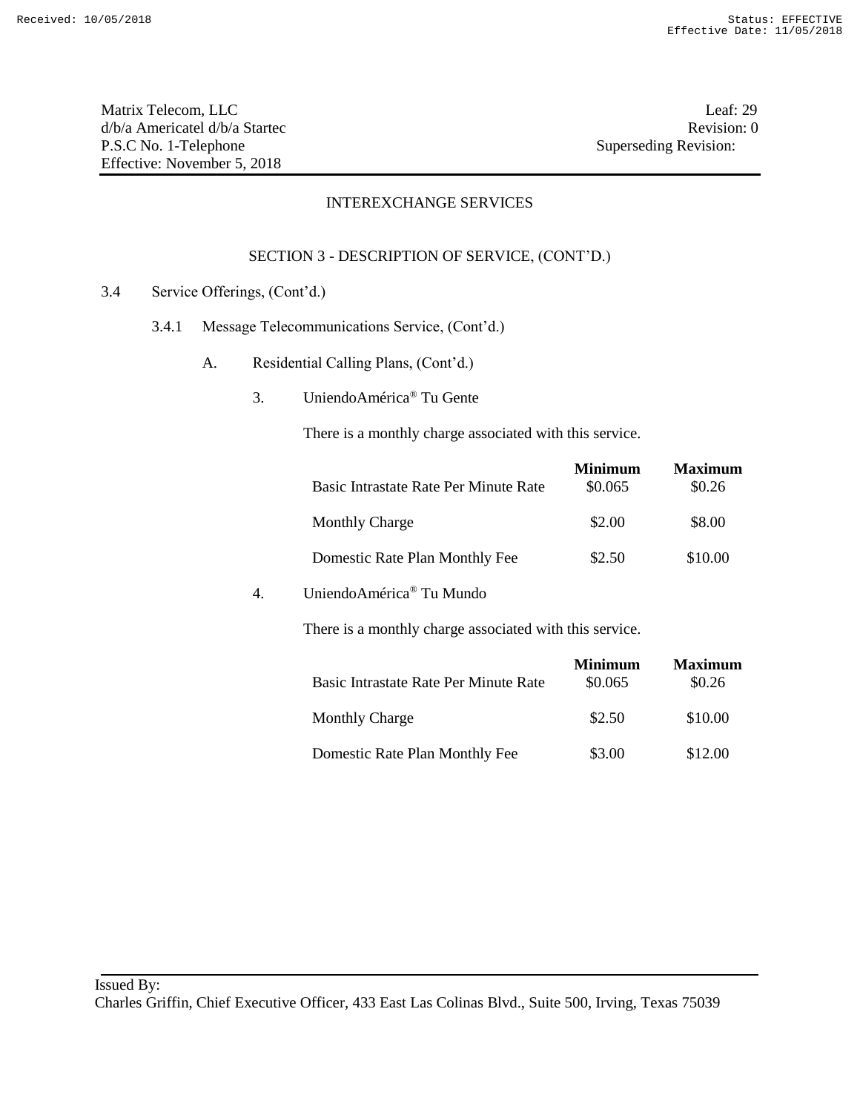Matrix Telecom, LLC Leaf: 29 d/b/a Americatel d/b/a Startec **Revision:** 0 P.S.C No. 1-Telephone Superseding Revision: Effective: November 5, 2018

## INTEREXCHANGE SERVICES

## SECTION 3 - DESCRIPTION OF SERVICE, (CONT'D.)

- 3.4 Service Offerings, (Cont'd.)
	- 3.4.1 Message Telecommunications Service, (Cont'd.)
		- A. Residential Calling Plans, (Cont'd.)
			- 3. UniendoAmérica® Tu Gente

There is a monthly charge associated with this service.

| Basic Intrastate Rate Per Minute Rate | Minimum<br>\$0.065 | <b>Maximum</b><br>\$0.26 |
|---------------------------------------|--------------------|--------------------------|
| <b>Monthly Charge</b>                 | \$2.00             | \$8.00                   |
| Domestic Rate Plan Monthly Fee        | \$2.50             | \$10.00                  |

## 4. UniendoAmérica® Tu Mundo

There is a monthly charge associated with this service.

| Basic Intrastate Rate Per Minute Rate | <b>Minimum</b><br>\$0.065 | <b>Maximum</b><br>\$0.26 |
|---------------------------------------|---------------------------|--------------------------|
| <b>Monthly Charge</b>                 | \$2.50                    | \$10.00                  |
| Domestic Rate Plan Monthly Fee        | \$3.00                    | \$12.00                  |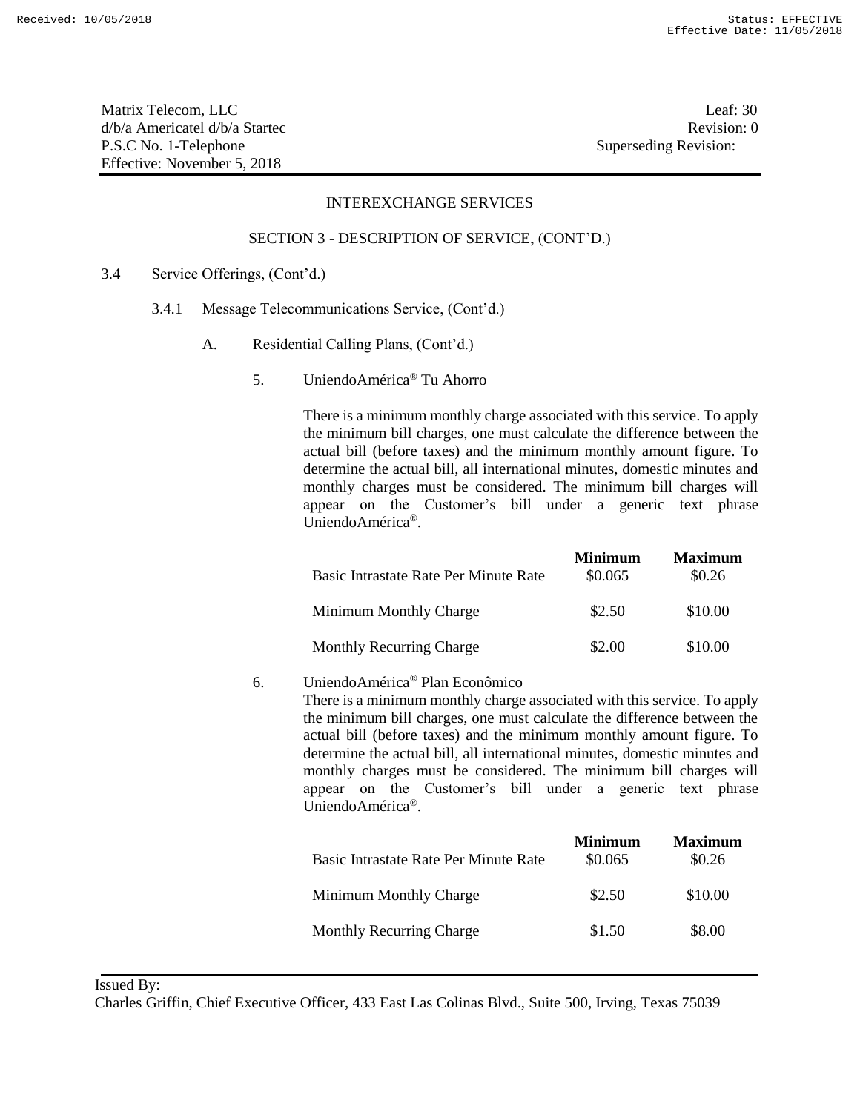Matrix Telecom, LLC Leaf: 30 d/b/a Americatel d/b/a Startec **Revision:** 0 P.S.C No. 1-Telephone Superseding Revision: Effective: November 5, 2018

## INTEREXCHANGE SERVICES

#### SECTION 3 - DESCRIPTION OF SERVICE, (CONT'D.)

- 3.4 Service Offerings, (Cont'd.)
	- 3.4.1 Message Telecommunications Service, (Cont'd.)
		- A. Residential Calling Plans, (Cont'd.)
			- 5. UniendoAmérica® Tu Ahorro

There is a minimum monthly charge associated with this service. To apply the minimum bill charges, one must calculate the difference between the actual bill (before taxes) and the minimum monthly amount figure. To determine the actual bill, all international minutes, domestic minutes and monthly charges must be considered. The minimum bill charges will appear on the Customer's bill under a generic text phrase UniendoAmérica®.

| Basic Intrastate Rate Per Minute Rate | <b>Minimum</b><br>\$0.065 | <b>Maximum</b><br>\$0.26 |
|---------------------------------------|---------------------------|--------------------------|
| Minimum Monthly Charge                | \$2.50                    | \$10.00                  |
| <b>Monthly Recurring Charge</b>       | \$2.00                    | \$10.00                  |

## 6. UniendoAmérica® Plan Econômico

There is a minimum monthly charge associated with this service. To apply the minimum bill charges, one must calculate the difference between the actual bill (before taxes) and the minimum monthly amount figure. To determine the actual bill, all international minutes, domestic minutes and monthly charges must be considered. The minimum bill charges will appear on the Customer's bill under a generic text phrase UniendoAmérica®.

| Basic Intrastate Rate Per Minute Rate | <b>Minimum</b><br>\$0.065 | <b>Maximum</b><br>\$0.26 |
|---------------------------------------|---------------------------|--------------------------|
| Minimum Monthly Charge                | \$2.50                    | \$10.00                  |
| <b>Monthly Recurring Charge</b>       | \$1.50                    | \$8.00                   |

Issued By:

Charles Griffin, Chief Executive Officer, 433 East Las Colinas Blvd., Suite 500, Irving, Texas 75039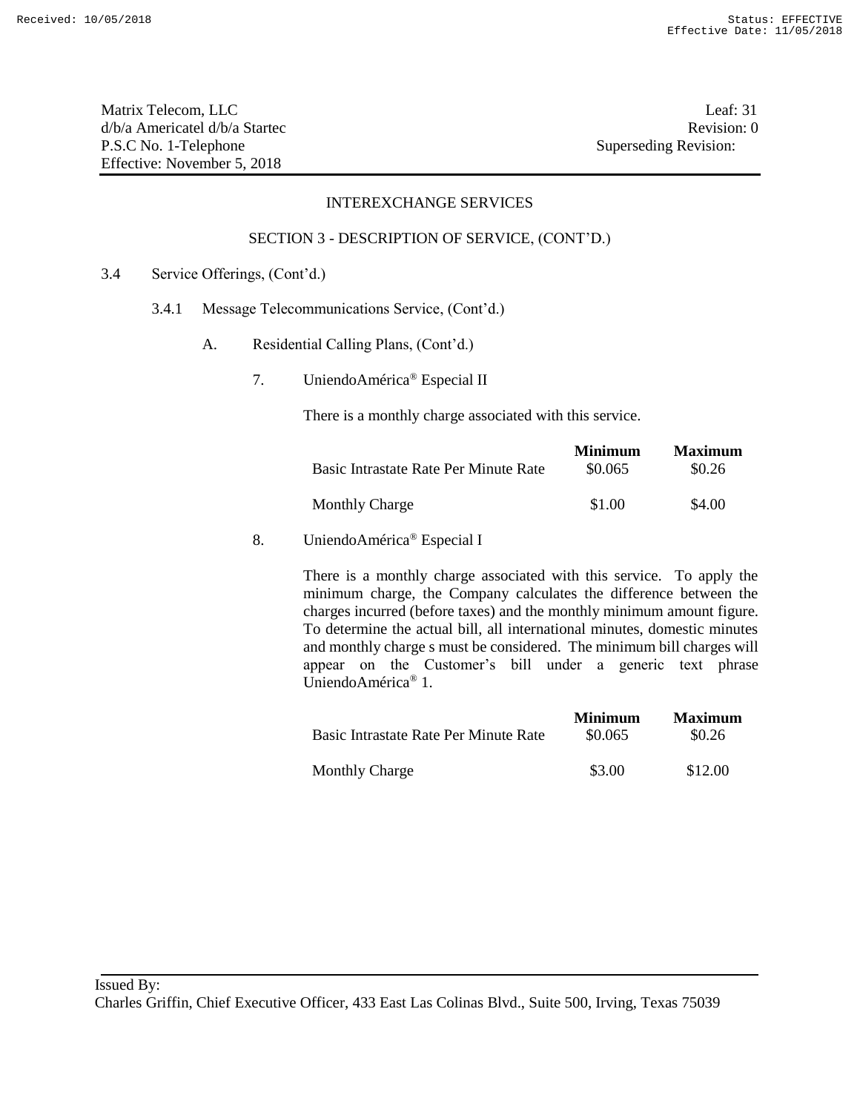Matrix Telecom, LLC Leaf: 31 d/b/a Americatel d/b/a Startec **Revision:** 0 P.S.C No. 1-Telephone Superseding Revision: Effective: November 5, 2018

## INTEREXCHANGE SERVICES

#### SECTION 3 - DESCRIPTION OF SERVICE, (CONT'D.)

- 3.4 Service Offerings, (Cont'd.)
	- 3.4.1 Message Telecommunications Service, (Cont'd.)
		- A. Residential Calling Plans, (Cont'd.)
			- 7. UniendoAmérica® Especial II

There is a monthly charge associated with this service.

| Basic Intrastate Rate Per Minute Rate | <b>Minimum</b><br>\$0.065 | <b>Maximum</b><br>\$0.26 |
|---------------------------------------|---------------------------|--------------------------|
| <b>Monthly Charge</b>                 | \$1.00                    | \$4.00                   |

## 8. UniendoAmérica® Especial I

|                                       | <b>Minimum</b> | <b>Maximum</b> |
|---------------------------------------|----------------|----------------|
| Basic Intrastate Rate Per Minute Rate | \$0.065        | \$0.26         |
| <b>Monthly Charge</b>                 | \$3.00         | \$12.00        |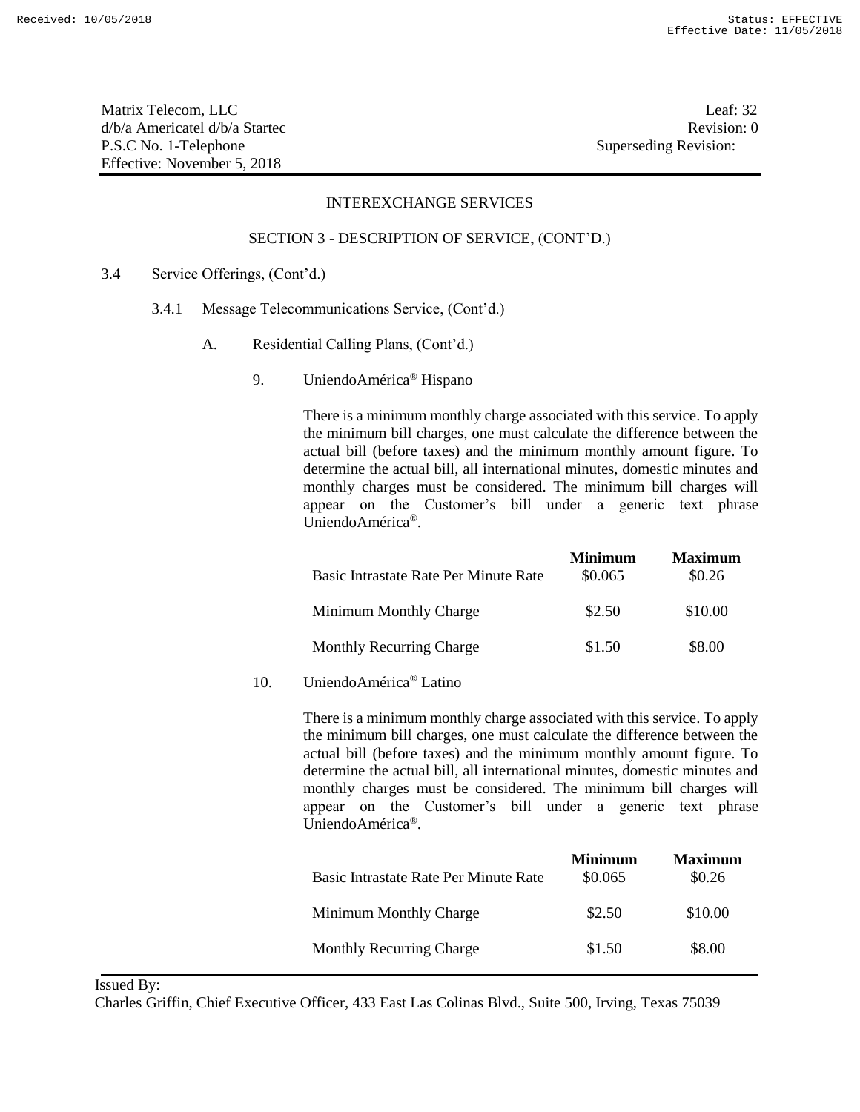Matrix Telecom, LLC Leaf: 32 d/b/a Americatel d/b/a Startec **Revision:** 0 P.S.C No. 1-Telephone Superseding Revision: Effective: November 5, 2018

## INTEREXCHANGE SERVICES

#### SECTION 3 - DESCRIPTION OF SERVICE, (CONT'D.)

- 3.4 Service Offerings, (Cont'd.)
	- 3.4.1 Message Telecommunications Service, (Cont'd.)
		- A. Residential Calling Plans, (Cont'd.)
			- 9. UniendoAmérica® Hispano

There is a minimum monthly charge associated with this service. To apply the minimum bill charges, one must calculate the difference between the actual bill (before taxes) and the minimum monthly amount figure. To determine the actual bill, all international minutes, domestic minutes and monthly charges must be considered. The minimum bill charges will appear on the Customer's bill under a generic text phrase UniendoAmérica®.

|                                       | <b>Minimum</b> | <b>Maximum</b> |
|---------------------------------------|----------------|----------------|
| Basic Intrastate Rate Per Minute Rate | \$0.065        | \$0.26         |
| Minimum Monthly Charge                | \$2.50         | \$10.00        |
| <b>Monthly Recurring Charge</b>       | \$1.50         | \$8.00         |

10. UniendoAmérica® Latino

There is a minimum monthly charge associated with this service. To apply the minimum bill charges, one must calculate the difference between the actual bill (before taxes) and the minimum monthly amount figure. To determine the actual bill, all international minutes, domestic minutes and monthly charges must be considered. The minimum bill charges will appear on the Customer's bill under a generic text phrase UniendoAmérica®.

| Basic Intrastate Rate Per Minute Rate | <b>Minimum</b><br>\$0.065 | <b>Maximum</b><br>\$0.26 |
|---------------------------------------|---------------------------|--------------------------|
| Minimum Monthly Charge                | \$2.50                    | \$10.00                  |
| <b>Monthly Recurring Charge</b>       | \$1.50                    | \$8.00                   |

Issued By:

Charles Griffin, Chief Executive Officer, 433 East Las Colinas Blvd., Suite 500, Irving, Texas 75039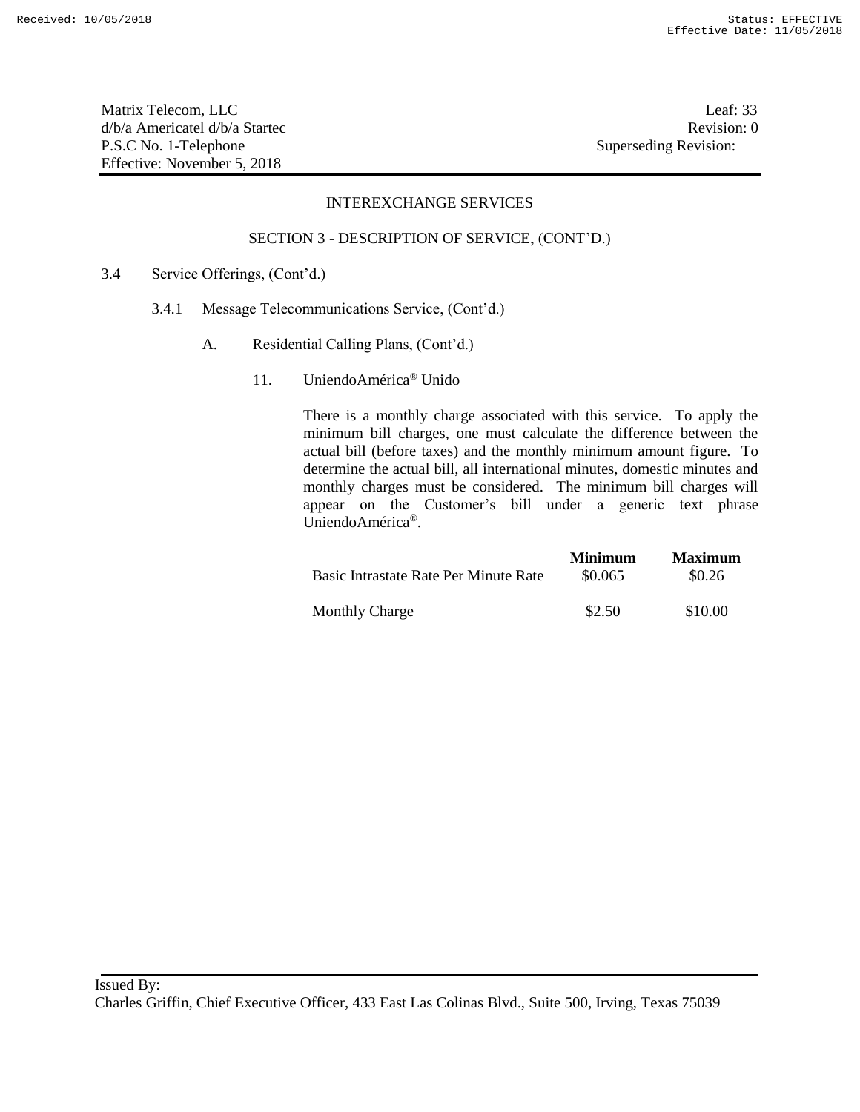Matrix Telecom, LLC Leaf: 33 d/b/a Americatel d/b/a Startec Revision: 0 P.S.C No. 1-Telephone Superseding Revision: Effective: November 5, 2018

#### INTEREXCHANGE SERVICES

#### SECTION 3 - DESCRIPTION OF SERVICE, (CONT'D.)

- 3.4 Service Offerings, (Cont'd.)
	- 3.4.1 Message Telecommunications Service, (Cont'd.)
		- A. Residential Calling Plans, (Cont'd.)
			- 11. UniendoAmérica® Unido

|                                       | <b>Minimum</b> | <b>Maximum</b> |
|---------------------------------------|----------------|----------------|
| Basic Intrastate Rate Per Minute Rate | \$0.065        | \$0.26         |
| <b>Monthly Charge</b>                 | \$2.50         | \$10.00        |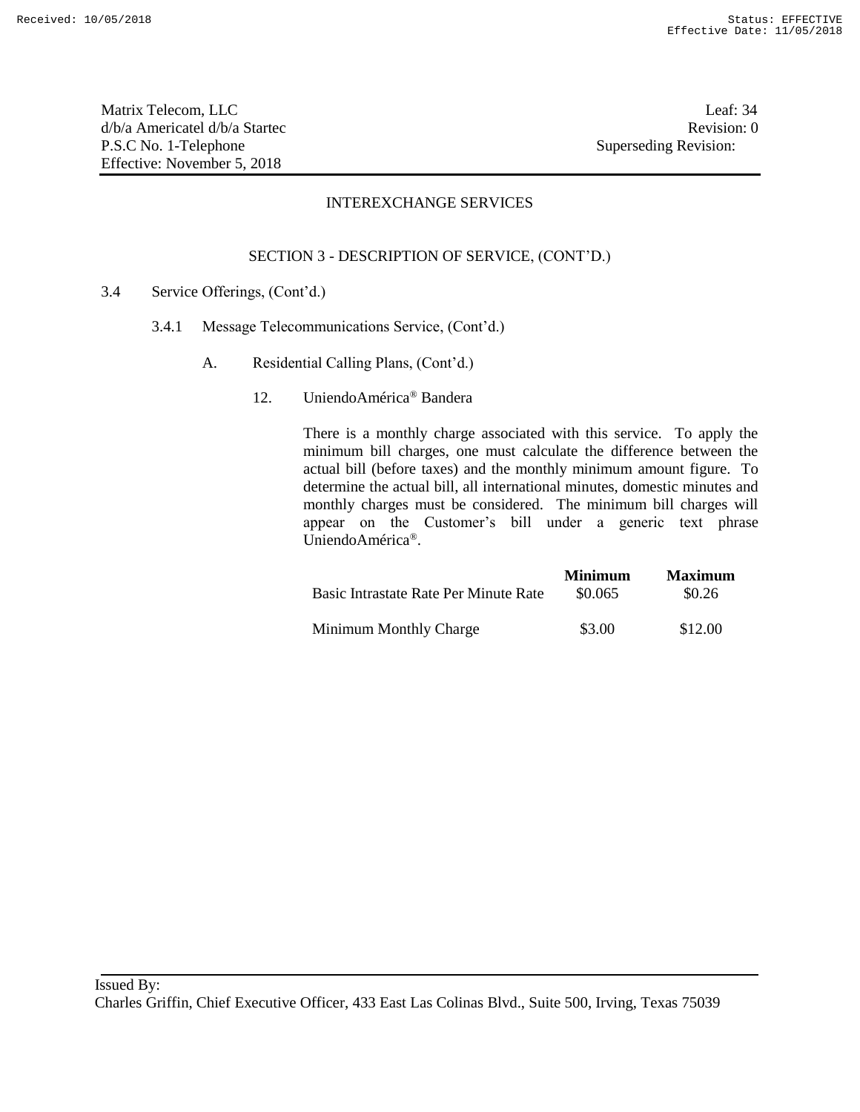Matrix Telecom, LLC Leaf: 34 d/b/a Americatel d/b/a Startec **Revision:** 0 P.S.C No. 1-Telephone Superseding Revision: Effective: November 5, 2018

## INTEREXCHANGE SERVICES

## SECTION 3 - DESCRIPTION OF SERVICE, (CONT'D.)

- 3.4 Service Offerings, (Cont'd.)
	- 3.4.1 Message Telecommunications Service, (Cont'd.)
		- A. Residential Calling Plans, (Cont'd.)
			- 12. UniendoAmérica® Bandera

| Basic Intrastate Rate Per Minute Rate | <b>Minimum</b><br>\$0.065 | <b>Maximum</b><br>\$0.26 |
|---------------------------------------|---------------------------|--------------------------|
| Minimum Monthly Charge                | \$3.00                    | \$12.00                  |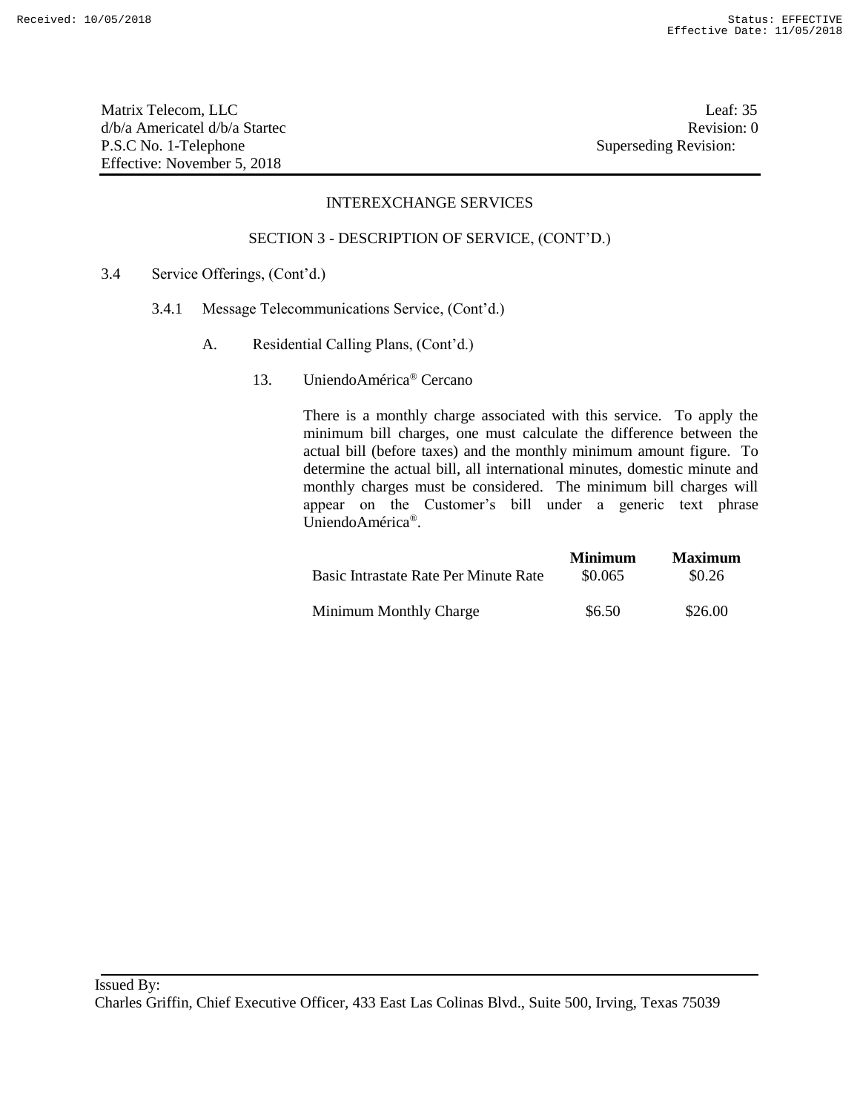Matrix Telecom, LLC Leaf: 35 d/b/a Americatel d/b/a Startec Revision: 0 P.S.C No. 1-Telephone Superseding Revision: Effective: November 5, 2018

## INTEREXCHANGE SERVICES

#### SECTION 3 - DESCRIPTION OF SERVICE, (CONT'D.)

- 3.4 Service Offerings, (Cont'd.)
	- 3.4.1 Message Telecommunications Service, (Cont'd.)
		- A. Residential Calling Plans, (Cont'd.)
			- 13. UniendoAmérica® Cercano

|                                       | <b>Minimum</b> | <b>Maximum</b> |
|---------------------------------------|----------------|----------------|
| Basic Intrastate Rate Per Minute Rate | \$0.065        | \$0.26         |
| Minimum Monthly Charge                | \$6.50         | \$26.00        |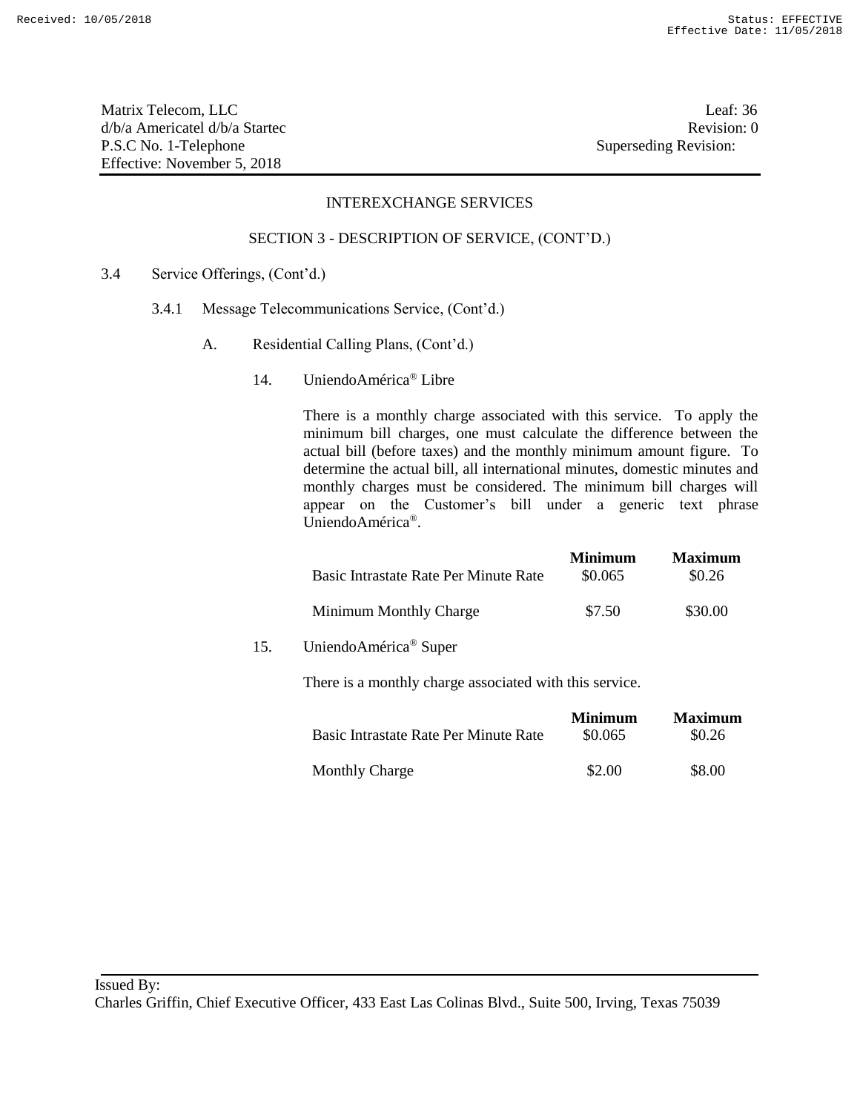Matrix Telecom, LLC Leaf: 36 d/b/a Americatel d/b/a Startec **Revision:** 0 P.S.C No. 1-Telephone Superseding Revision: Effective: November 5, 2018

#### INTEREXCHANGE SERVICES

#### SECTION 3 - DESCRIPTION OF SERVICE, (CONT'D.)

- 3.4 Service Offerings, (Cont'd.)
	- 3.4.1 Message Telecommunications Service, (Cont'd.)
		- A. Residential Calling Plans, (Cont'd.)
			- 14. UniendoAmérica® Libre

|     | Basic Intrastate Rate Per Minute Rate                   | <b>Minimum</b><br>\$0.065 | <b>Maximum</b><br>\$0.26 |
|-----|---------------------------------------------------------|---------------------------|--------------------------|
|     | Minimum Monthly Charge                                  | \$7.50                    | \$30.00                  |
| 15. | UniendoAmérica® Super                                   |                           |                          |
|     | There is a monthly charge associated with this service. |                           |                          |

| Basic Intrastate Rate Per Minute Rate | <b>Minimum</b><br>\$0.065 | <b>Maximum</b><br>\$0.26 |
|---------------------------------------|---------------------------|--------------------------|
| <b>Monthly Charge</b>                 | \$2.00                    | \$8.00                   |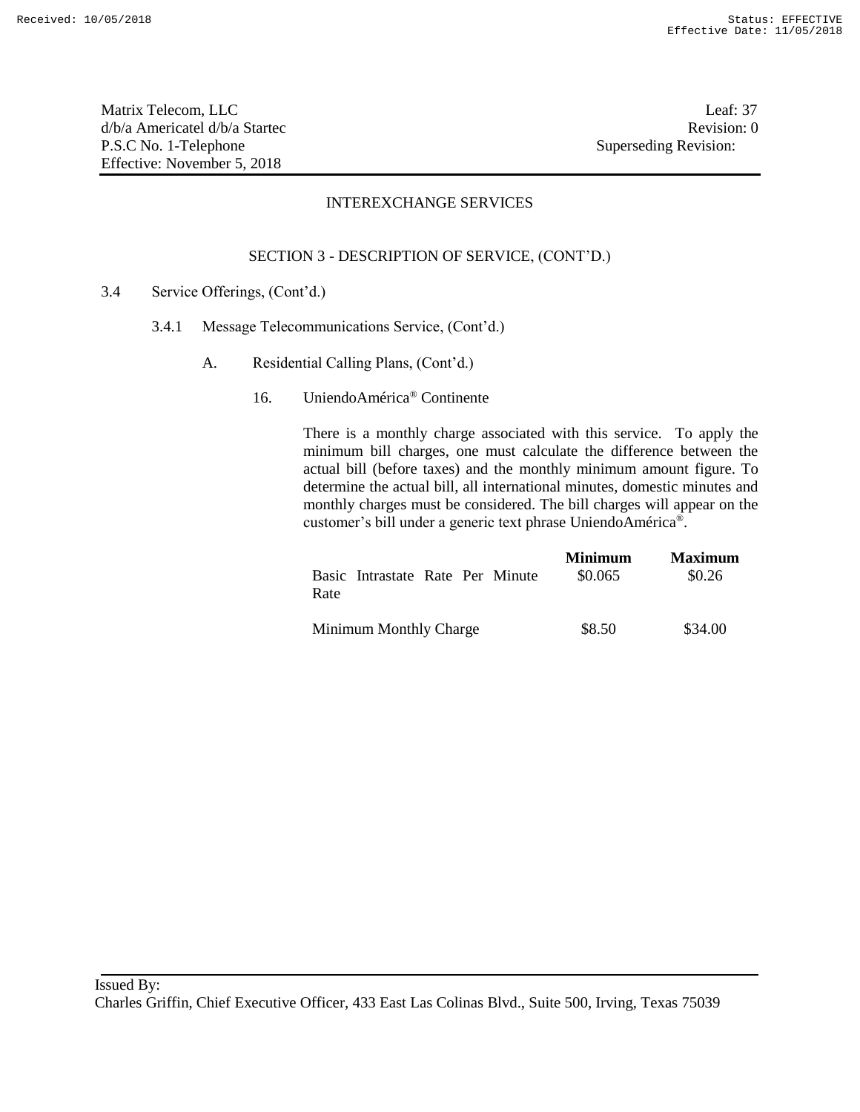Matrix Telecom, LLC Leaf: 37 d/b/a Americatel d/b/a Startec **Revision:** 0 P.S.C No. 1-Telephone Superseding Revision: Effective: November 5, 2018

## INTEREXCHANGE SERVICES

## SECTION 3 - DESCRIPTION OF SERVICE, (CONT'D.)

- 3.4 Service Offerings, (Cont'd.)
	- 3.4.1 Message Telecommunications Service, (Cont'd.)
		- A. Residential Calling Plans, (Cont'd.)
			- 16. UniendoAmérica® Continente

| Basic Intrastate Rate Per Minute | <b>Minimum</b> | <b>Maximum</b> |
|----------------------------------|----------------|----------------|
| Rate                             | \$0.065        | \$0.26         |
| Minimum Monthly Charge           | \$8.50         | \$34.00        |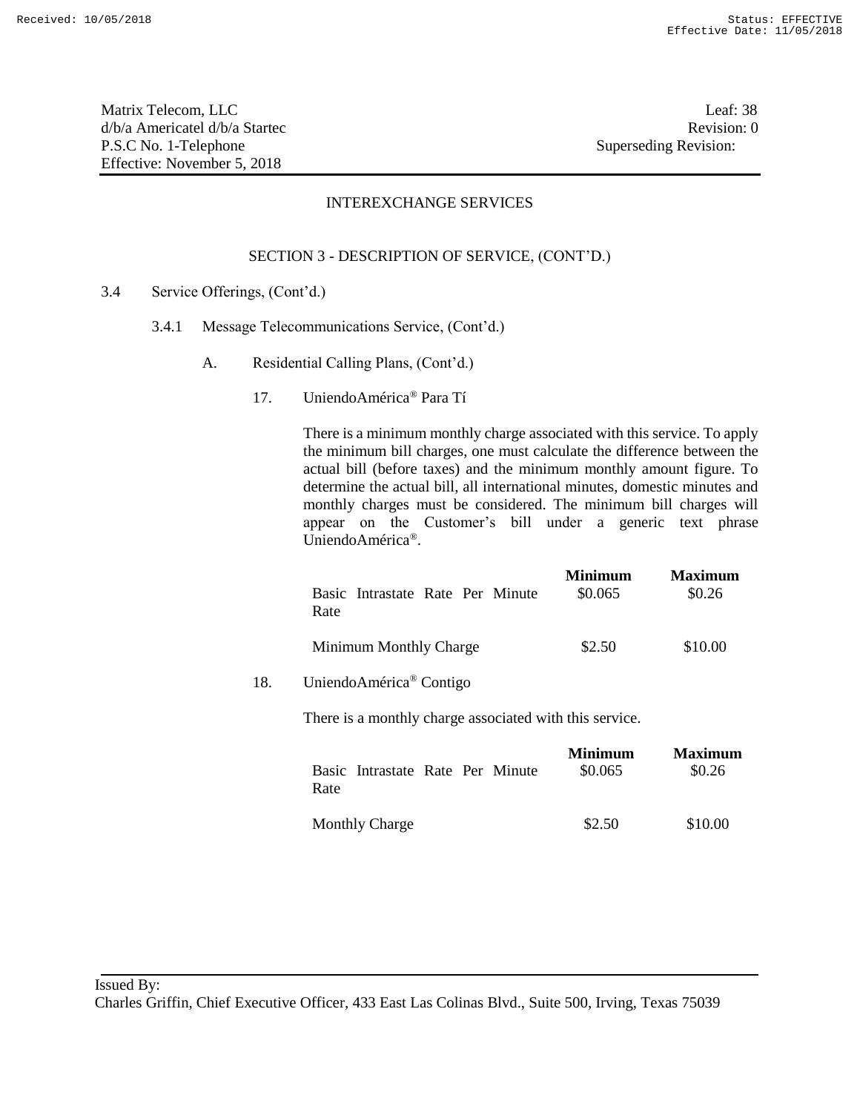Matrix Telecom, LLC Leaf: 38 d/b/a Americatel d/b/a Startec **Revision:** 0 P.S.C No. 1-Telephone Superseding Revision: Effective: November 5, 2018

## INTEREXCHANGE SERVICES

## SECTION 3 - DESCRIPTION OF SERVICE, (CONT'D.)

- 3.4 Service Offerings, (Cont'd.)
	- 3.4.1 Message Telecommunications Service, (Cont'd.)
		- A. Residential Calling Plans, (Cont'd.)
			- 17. UniendoAmérica® Para Tí

There is a minimum monthly charge associated with this service. To apply the minimum bill charges, one must calculate the difference between the actual bill (before taxes) and the minimum monthly amount figure. To determine the actual bill, all international minutes, domestic minutes and monthly charges must be considered. The minimum bill charges will appear on the Customer's bill under a generic text phrase UniendoAmérica®.

|     | Basic Intrastate Rate Per Minute<br>Rate                | Minimum<br>\$0.065        | Maximum<br>\$0.26        |
|-----|---------------------------------------------------------|---------------------------|--------------------------|
|     | Minimum Monthly Charge                                  | \$2.50                    | \$10.00                  |
| 18. | UniendoAmérica® Contigo                                 |                           |                          |
|     | There is a monthly charge associated with this service. |                           |                          |
|     | Basic Intrastate Rate Per Minute<br>Rate                | <b>Minimum</b><br>\$0.065 | <b>Maximum</b><br>\$0.26 |

Monthly Charge \$2.50 \$10.00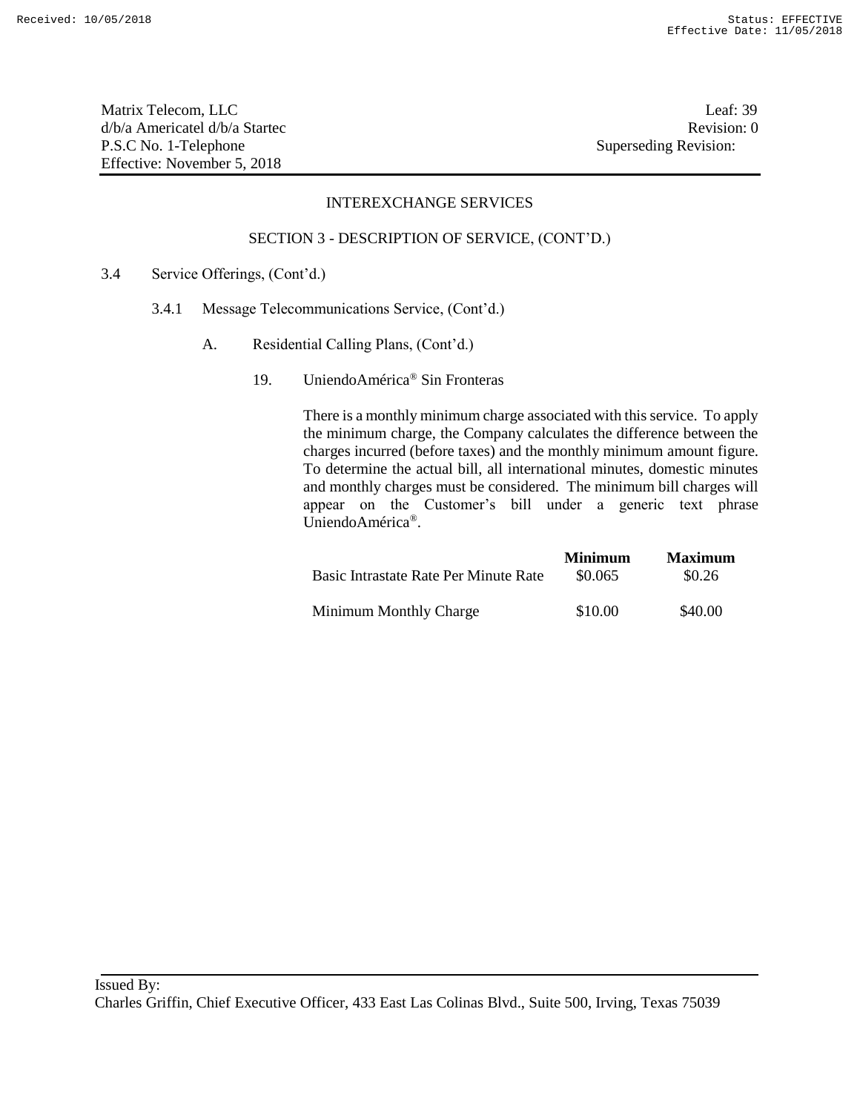Matrix Telecom, LLC Leaf: 39 d/b/a Americatel d/b/a Startec **Revision:** 0 P.S.C No. 1-Telephone Superseding Revision: Effective: November 5, 2018

## INTEREXCHANGE SERVICES

#### SECTION 3 - DESCRIPTION OF SERVICE, (CONT'D.)

- 3.4 Service Offerings, (Cont'd.)
	- 3.4.1 Message Telecommunications Service, (Cont'd.)
		- A. Residential Calling Plans, (Cont'd.)
			- 19. UniendoAmérica® Sin Fronteras

| Basic Intrastate Rate Per Minute Rate | <b>Minimum</b><br>\$0.065 | <b>Maximum</b><br>\$0.26 |
|---------------------------------------|---------------------------|--------------------------|
|                                       |                           |                          |
| Minimum Monthly Charge                | \$10.00                   | \$40.00                  |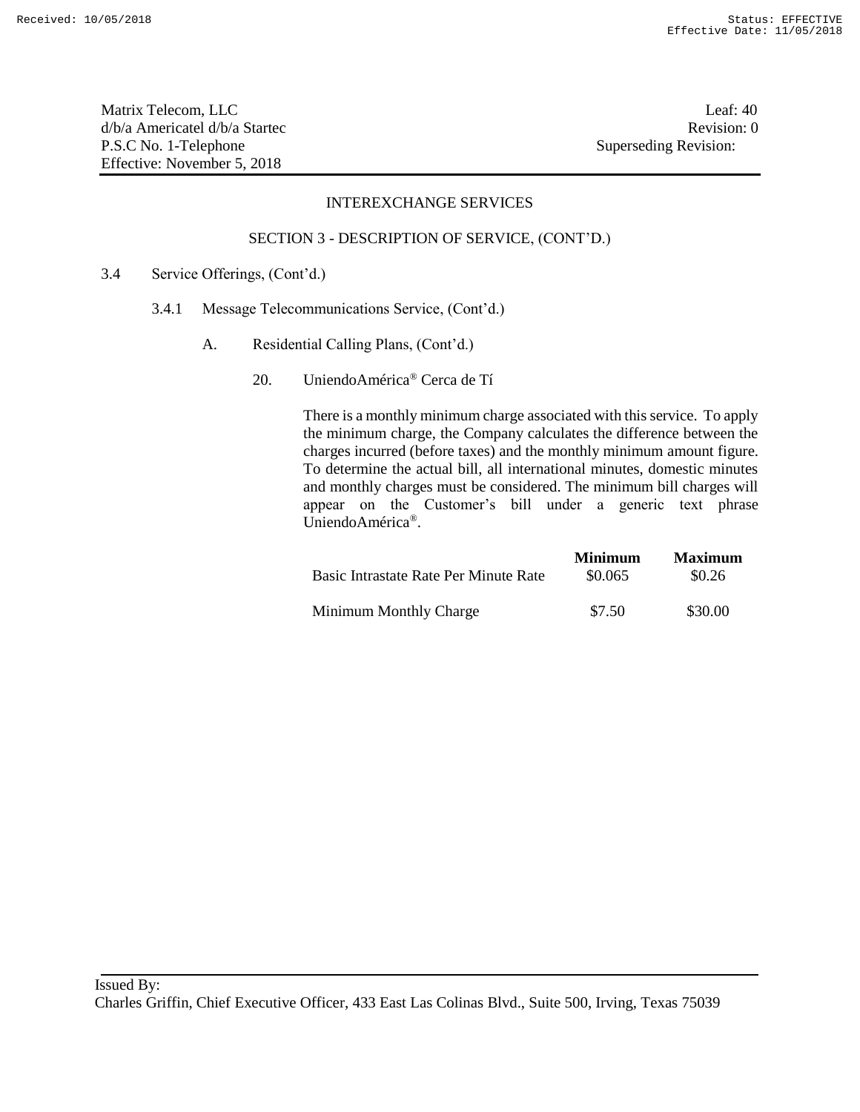Matrix Telecom, LLC Leaf: 40 d/b/a Americatel d/b/a Startec Revision: 0 P.S.C No. 1-Telephone Superseding Revision: Effective: November 5, 2018

## INTEREXCHANGE SERVICES

#### SECTION 3 - DESCRIPTION OF SERVICE, (CONT'D.)

- 3.4 Service Offerings, (Cont'd.)
	- 3.4.1 Message Telecommunications Service, (Cont'd.)
		- A. Residential Calling Plans, (Cont'd.)
			- 20. UniendoAmérica® Cerca de Tí

|                                       | <b>Minimum</b> | <b>Maximum</b> |
|---------------------------------------|----------------|----------------|
| Basic Intrastate Rate Per Minute Rate | \$0.065        | \$0.26         |
| Minimum Monthly Charge                | \$7.50         | \$30.00        |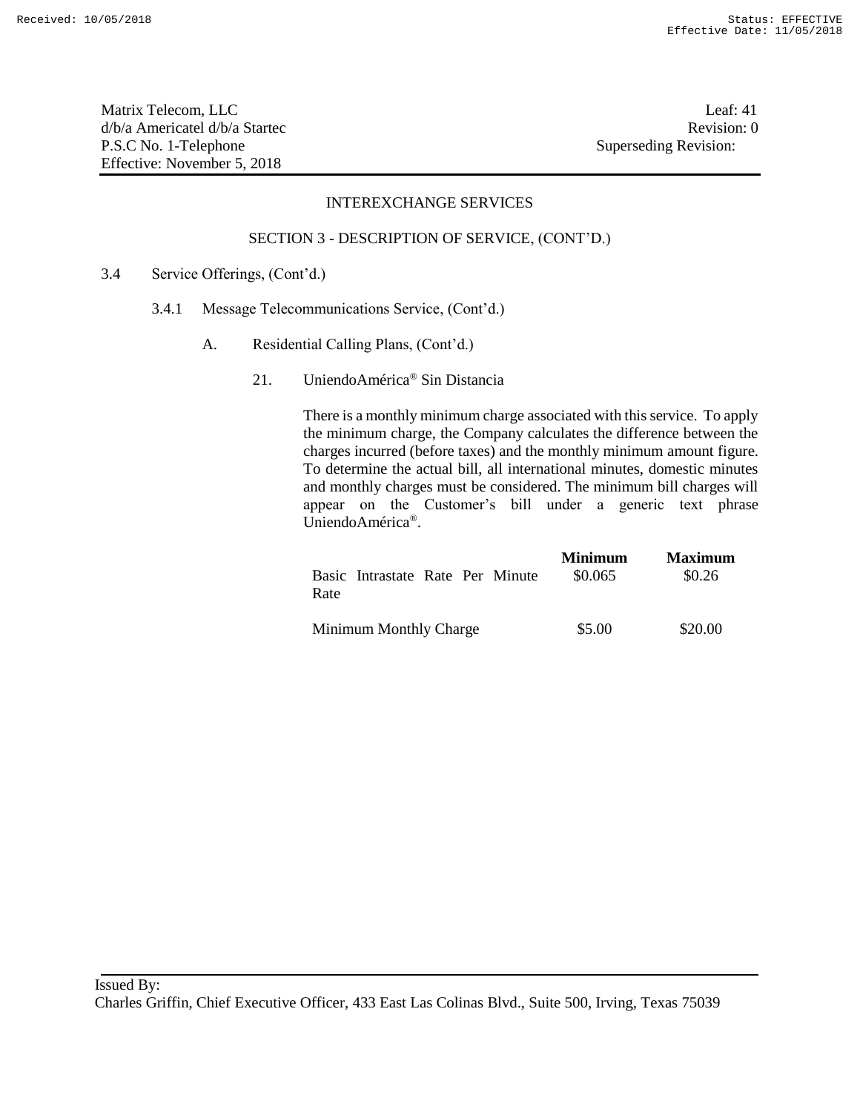Matrix Telecom, LLC Leaf: 41 d/b/a Americatel d/b/a Startec **Revision:** 0 P.S.C No. 1-Telephone Superseding Revision: Effective: November 5, 2018

#### INTEREXCHANGE SERVICES

#### SECTION 3 - DESCRIPTION OF SERVICE, (CONT'D.)

- 3.4 Service Offerings, (Cont'd.)
	- 3.4.1 Message Telecommunications Service, (Cont'd.)
		- A. Residential Calling Plans, (Cont'd.)
			- 21. UniendoAmérica® Sin Distancia

| Basic Intrastate Rate Per Minute | <b>Minimum</b> | <b>Maximum</b> |
|----------------------------------|----------------|----------------|
| Rate                             | \$0.065        | \$0.26         |
| Minimum Monthly Charge           | \$5.00         | \$20.00        |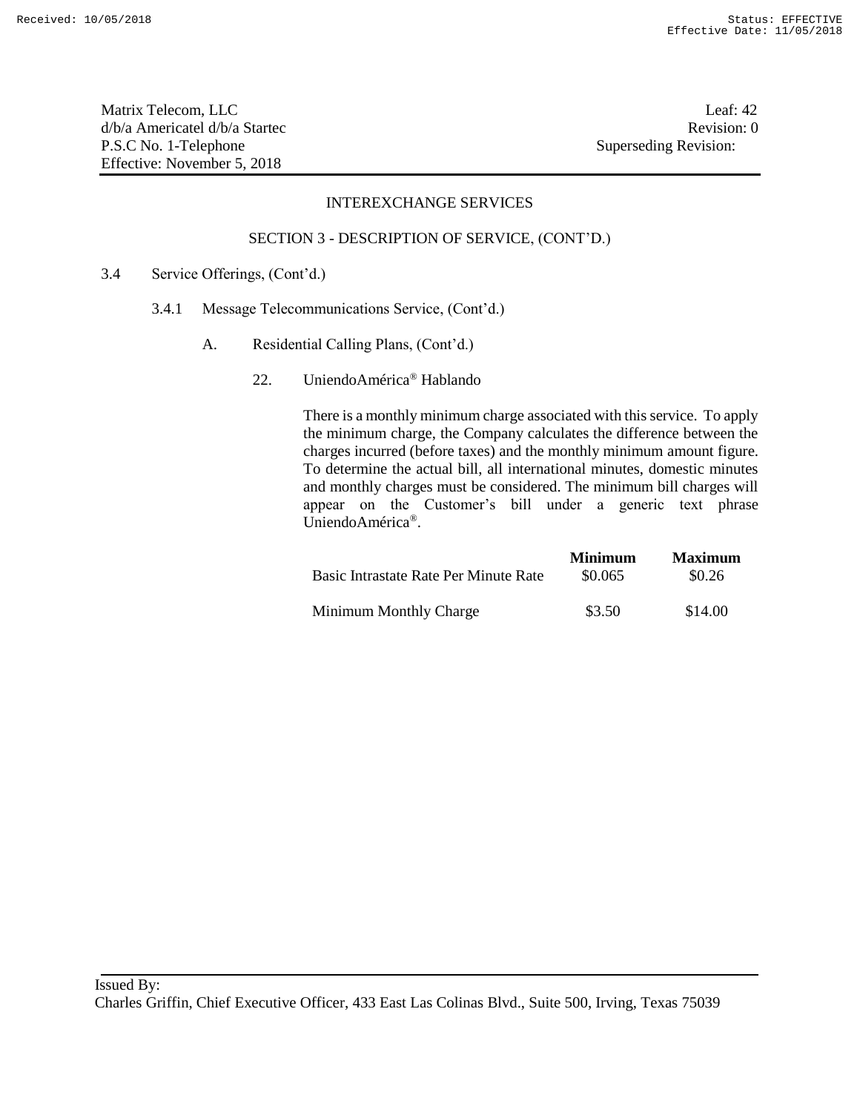Matrix Telecom, LLC Leaf: 42 d/b/a Americatel d/b/a Startec **Revision:** 0 P.S.C No. 1-Telephone Superseding Revision: Effective: November 5, 2018

## INTEREXCHANGE SERVICES

#### SECTION 3 - DESCRIPTION OF SERVICE, (CONT'D.)

- 3.4 Service Offerings, (Cont'd.)
	- 3.4.1 Message Telecommunications Service, (Cont'd.)
		- A. Residential Calling Plans, (Cont'd.)
			- 22. UniendoAmérica® Hablando

|                                       | <b>Minimum</b> | <b>Maximum</b> |
|---------------------------------------|----------------|----------------|
| Basic Intrastate Rate Per Minute Rate | \$0.065        | \$0.26         |
| Minimum Monthly Charge                | \$3.50         | \$14.00        |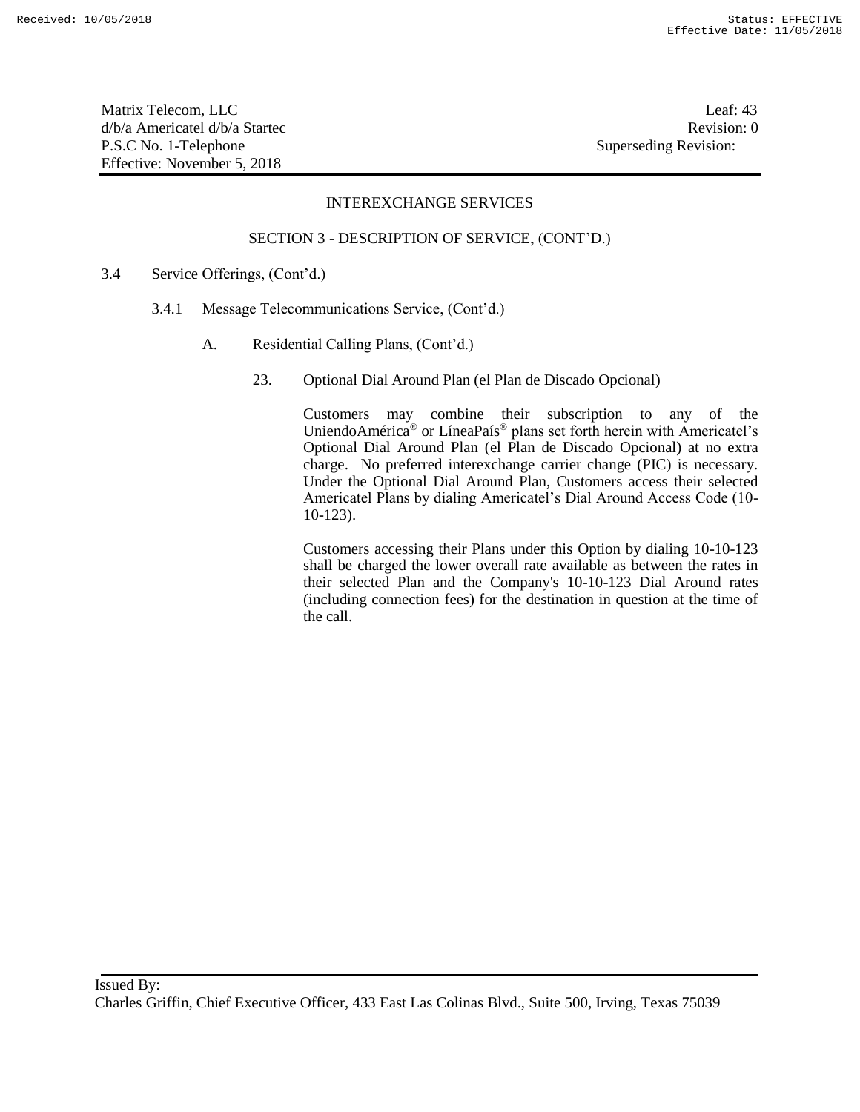Matrix Telecom, LLC Leaf: 43 d/b/a Americatel d/b/a Startec **Revision:** 0 P.S.C No. 1-Telephone Superseding Revision: Effective: November 5, 2018

#### INTEREXCHANGE SERVICES

#### SECTION 3 - DESCRIPTION OF SERVICE, (CONT'D.)

- 3.4 Service Offerings, (Cont'd.)
	- 3.4.1 Message Telecommunications Service, (Cont'd.)
		- A. Residential Calling Plans, (Cont'd.)
			- 23. Optional Dial Around Plan (el Plan de Discado Opcional)

Customers may combine their subscription to any of the UniendoAmérica® or LíneaPaís® plans set forth herein with Americatel's Optional Dial Around Plan (el Plan de Discado Opcional) at no extra charge. No preferred interexchange carrier change (PIC) is necessary. Under the Optional Dial Around Plan, Customers access their selected Americatel Plans by dialing Americatel's Dial Around Access Code (10- 10-123).

Customers accessing their Plans under this Option by dialing 10-10-123 shall be charged the lower overall rate available as between the rates in their selected Plan and the Company's 10-10-123 Dial Around rates (including connection fees) for the destination in question at the time of the call.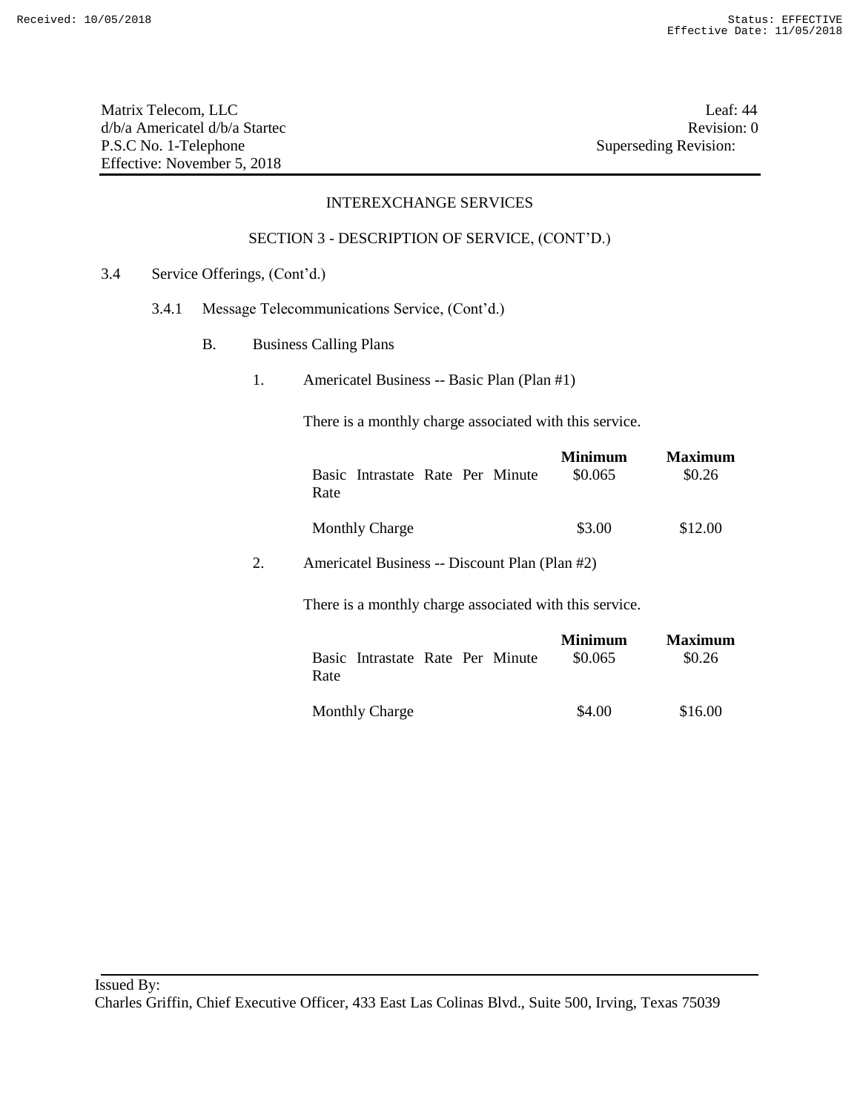Matrix Telecom, LLC Leaf: 44 d/b/a Americatel d/b/a Startec **Revision:** 0 P.S.C No. 1-Telephone Superseding Revision: Effective: November 5, 2018

## INTEREXCHANGE SERVICES

## SECTION 3 - DESCRIPTION OF SERVICE, (CONT'D.)

- 3.4 Service Offerings, (Cont'd.)
	- 3.4.1 Message Telecommunications Service, (Cont'd.)
		- B. Business Calling Plans
			- 1. Americatel Business -- Basic Plan (Plan #1)

There is a monthly charge associated with this service.

| Basic Intrastate Rate Per Minute | <b>Minimum</b> | <b>Maximum</b> |
|----------------------------------|----------------|----------------|
| Rate                             | \$0.065        | \$0.26         |
| <b>Monthly Charge</b>            | \$3.00         | \$12.00        |

2. Americatel Business -- Discount Plan (Plan #2)

There is a monthly charge associated with this service.

| Basic Intrastate Rate Per Minute | <b>Minimum</b> | <b>Maximum</b> |
|----------------------------------|----------------|----------------|
| Rate                             | \$0.065        | \$0.26         |
| <b>Monthly Charge</b>            | \$4.00         | \$16.00        |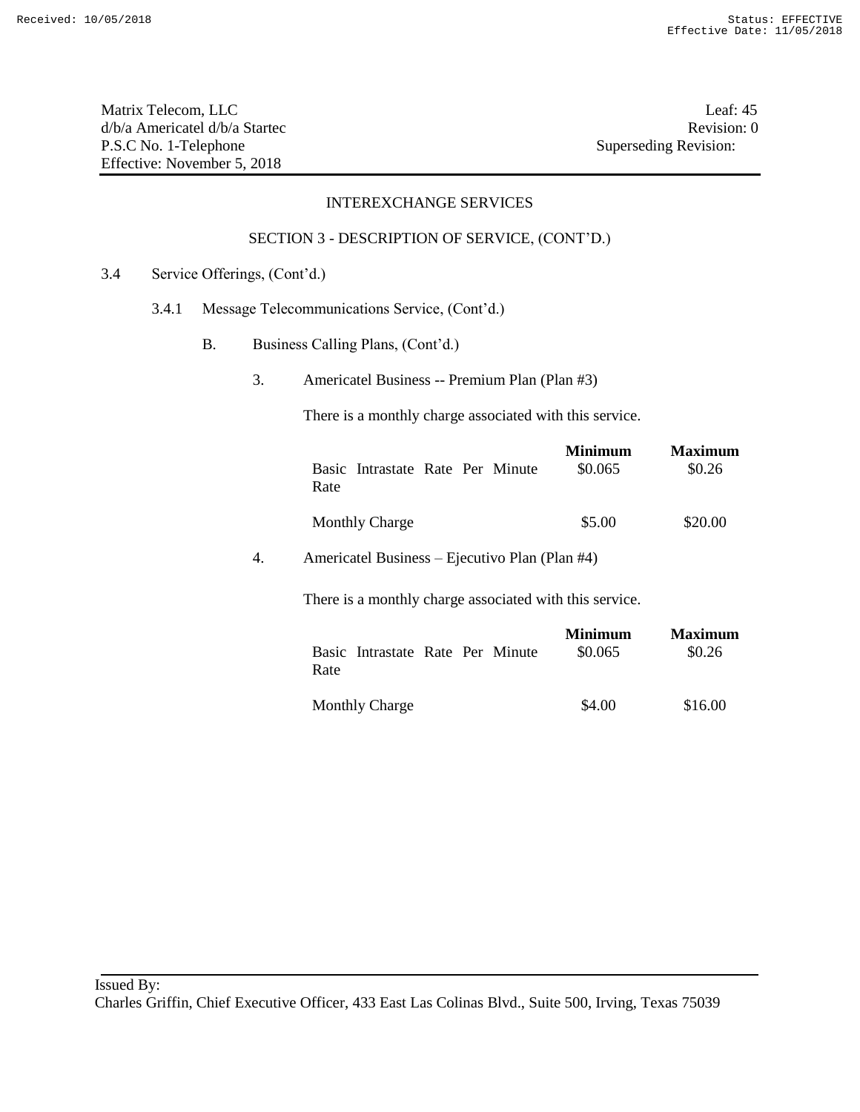Matrix Telecom, LLC Leaf: 45 d/b/a Americatel d/b/a Startec **Revision:** 0 P.S.C No. 1-Telephone Superseding Revision: Effective: November 5, 2018

## INTEREXCHANGE SERVICES

## SECTION 3 - DESCRIPTION OF SERVICE, (CONT'D.)

- 3.4 Service Offerings, (Cont'd.)
	- 3.4.1 Message Telecommunications Service, (Cont'd.)
		- B. Business Calling Plans, (Cont'd.)
			- 3. Americatel Business -- Premium Plan (Plan #3)

There is a monthly charge associated with this service.

| Basic Intrastate Rate Per Minute | <b>Minimum</b> | <b>Maximum</b> |
|----------------------------------|----------------|----------------|
| Rate                             | \$0.065        | \$0.26         |
| <b>Monthly Charge</b>            | \$5.00         | \$20.00        |

4. Americatel Business – Ejecutivo Plan (Plan #4)

There is a monthly charge associated with this service.

| Basic Intrastate Rate Per Minute | <b>Minimum</b> | <b>Maximum</b> |
|----------------------------------|----------------|----------------|
| Rate                             | \$0.065        | \$0.26         |
| <b>Monthly Charge</b>            | \$4.00         | \$16.00        |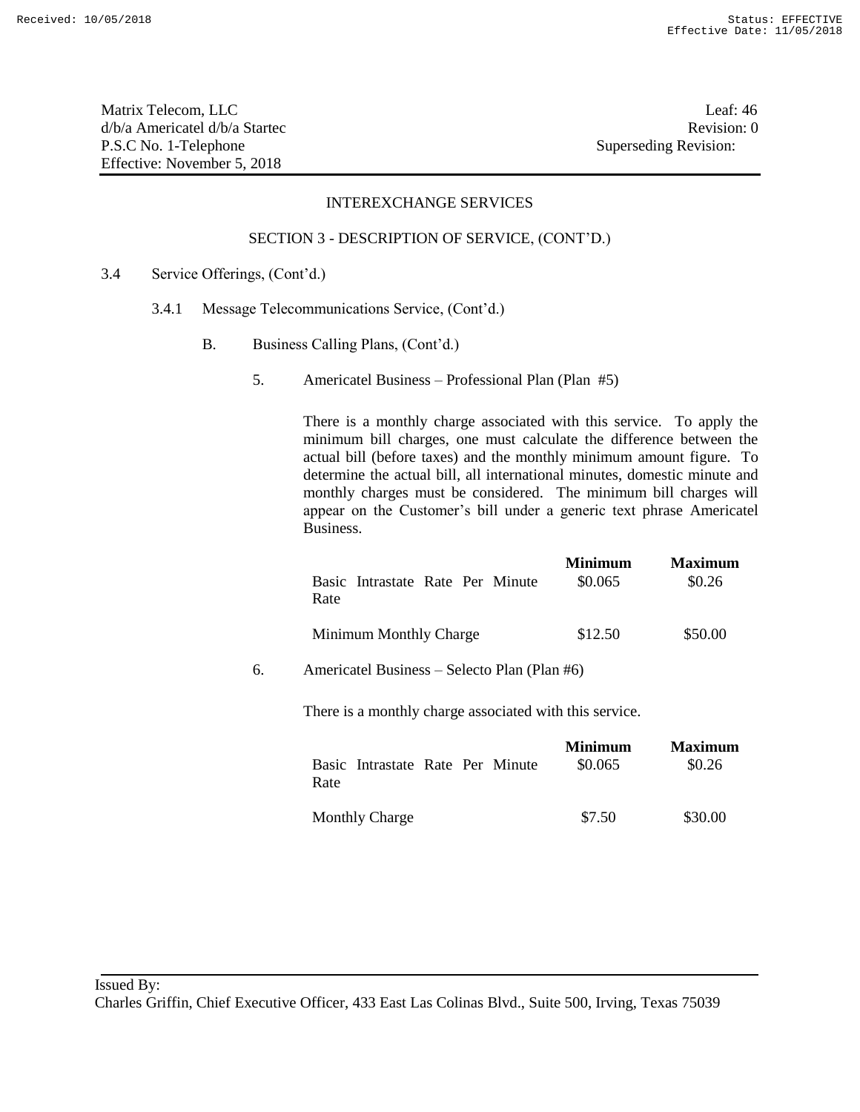Matrix Telecom, LLC Leaf: 46 d/b/a Americatel d/b/a Startec **Revision:** 0 P.S.C No. 1-Telephone Superseding Revision: Effective: November 5, 2018

## INTEREXCHANGE SERVICES

#### SECTION 3 - DESCRIPTION OF SERVICE, (CONT'D.)

- 3.4 Service Offerings, (Cont'd.)
	- 3.4.1 Message Telecommunications Service, (Cont'd.)
		- B. Business Calling Plans, (Cont'd.)
			- 5. Americatel Business Professional Plan (Plan #5)

There is a monthly charge associated with this service. To apply the minimum bill charges, one must calculate the difference between the actual bill (before taxes) and the monthly minimum amount figure. To determine the actual bill, all international minutes, domestic minute and monthly charges must be considered. The minimum bill charges will appear on the Customer's bill under a generic text phrase Americatel Business.

|    | Basic Intrastate Rate Per Minute<br>Rate                | <b>Minimum</b><br>\$0.065 | <b>Maximum</b><br>\$0.26 |
|----|---------------------------------------------------------|---------------------------|--------------------------|
|    | Minimum Monthly Charge                                  | \$12.50                   | \$50.00                  |
| б. | Americatel Business – Selecto Plan (Plan #6)            |                           |                          |
|    | There is a monthly charge associated with this service. |                           |                          |
|    | Basic Intrastate Rate Per Minute<br>Rate                | Minimum<br>\$0.065        | <b>Maximum</b><br>\$0.26 |

Monthly Charge  $$7.50$   $$30.00$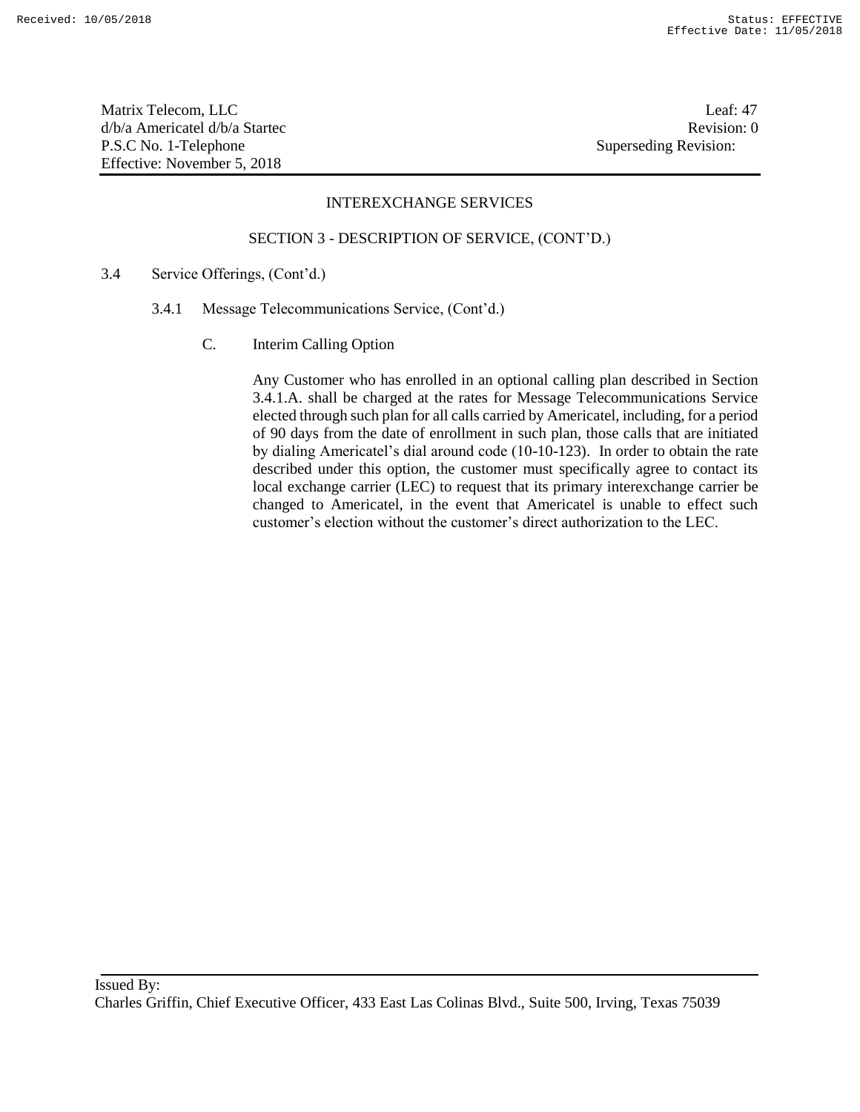Matrix Telecom, LLC Leaf: 47 d/b/a Americatel d/b/a Startec **Revision:** 0 P.S.C No. 1-Telephone Superseding Revision: Effective: November 5, 2018

#### INTEREXCHANGE SERVICES

#### SECTION 3 - DESCRIPTION OF SERVICE, (CONT'D.)

- 3.4 Service Offerings, (Cont'd.)
	- 3.4.1 Message Telecommunications Service, (Cont'd.)
		- C. Interim Calling Option

Any Customer who has enrolled in an optional calling plan described in Section 3.4.1.A. shall be charged at the rates for Message Telecommunications Service elected through such plan for all calls carried by Americatel, including, for a period of 90 days from the date of enrollment in such plan, those calls that are initiated by dialing Americatel's dial around code (10-10-123). In order to obtain the rate described under this option, the customer must specifically agree to contact its local exchange carrier (LEC) to request that its primary interexchange carrier be changed to Americatel, in the event that Americatel is unable to effect such customer's election without the customer's direct authorization to the LEC.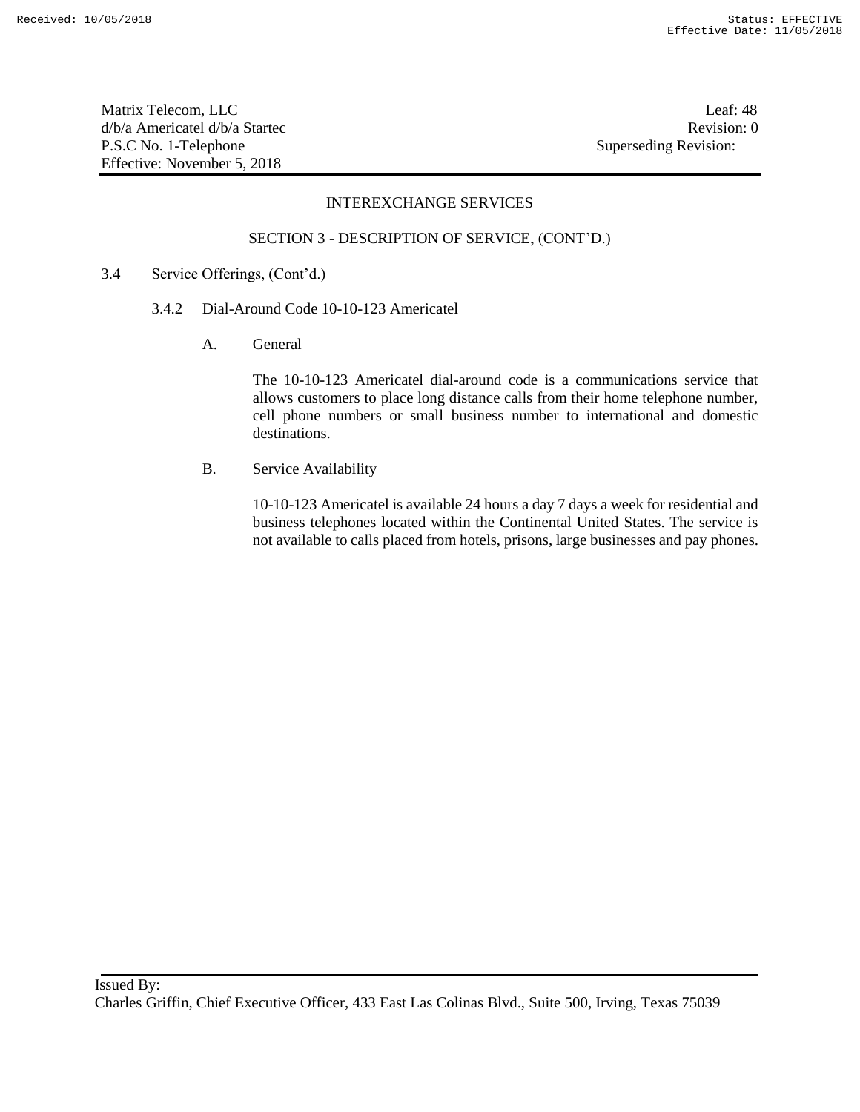Matrix Telecom, LLC Leaf: 48 d/b/a Americatel d/b/a Startec **Revision:** 0 P.S.C No. 1-Telephone Superseding Revision: Effective: November 5, 2018

#### INTEREXCHANGE SERVICES

#### SECTION 3 - DESCRIPTION OF SERVICE, (CONT'D.)

- 3.4 Service Offerings, (Cont'd.)
	- 3.4.2 Dial-Around Code 10-10-123 Americatel
		- A. General

The 10-10-123 Americatel dial-around code is a communications service that allows customers to place long distance calls from their home telephone number, cell phone numbers or small business number to international and domestic destinations.

B. Service Availability

10-10-123 Americatel is available 24 hours a day 7 days a week for residential and business telephones located within the Continental United States. The service is not available to calls placed from hotels, prisons, large businesses and pay phones.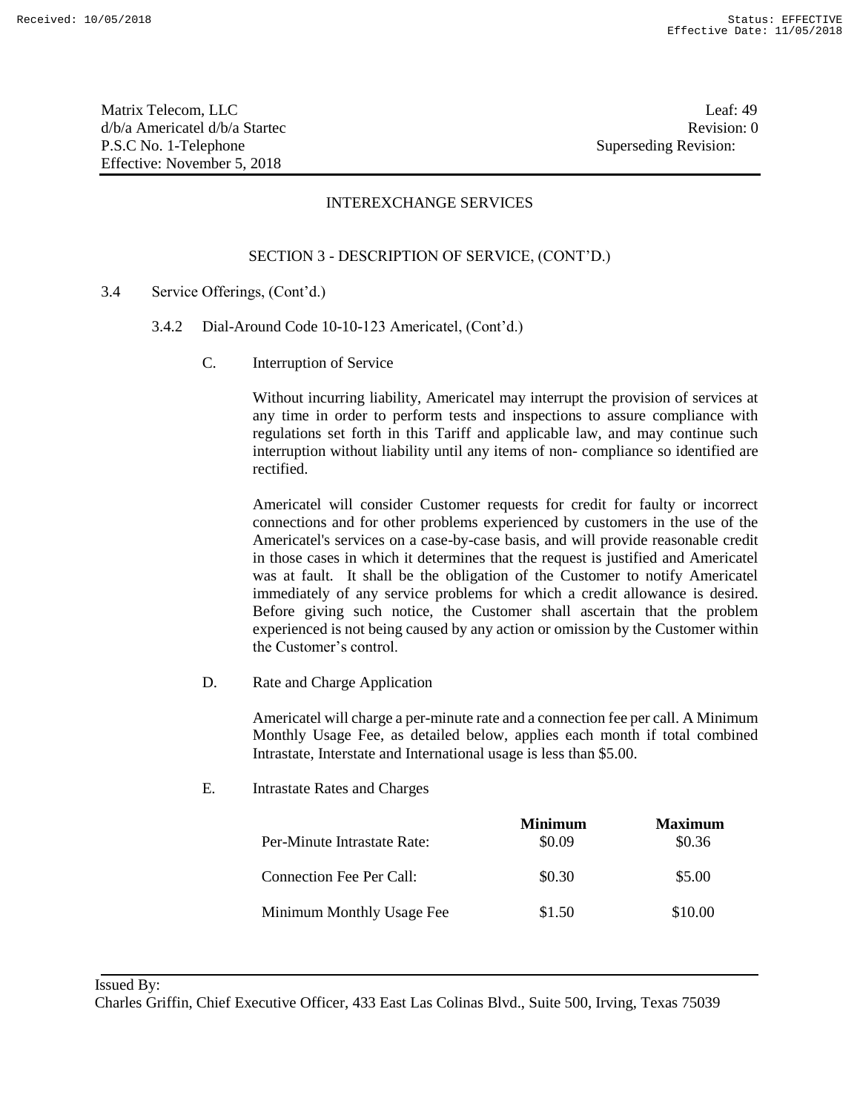Matrix Telecom, LLC Leaf: 49 d/b/a Americatel d/b/a Startec **Revision:** 0 P.S.C No. 1-Telephone Superseding Revision: Effective: November 5, 2018

## INTEREXCHANGE SERVICES

## SECTION 3 - DESCRIPTION OF SERVICE, (CONT'D.)

- 3.4 Service Offerings, (Cont'd.)
	- 3.4.2 Dial-Around Code 10-10-123 Americatel, (Cont'd.)
		- C. Interruption of Service

Without incurring liability, Americatel may interrupt the provision of services at any time in order to perform tests and inspections to assure compliance with regulations set forth in this Tariff and applicable law, and may continue such interruption without liability until any items of non- compliance so identified are rectified.

Americatel will consider Customer requests for credit for faulty or incorrect connections and for other problems experienced by customers in the use of the Americatel's services on a case-by-case basis, and will provide reasonable credit in those cases in which it determines that the request is justified and Americatel was at fault. It shall be the obligation of the Customer to notify Americatel immediately of any service problems for which a credit allowance is desired. Before giving such notice, the Customer shall ascertain that the problem experienced is not being caused by any action or omission by the Customer within the Customer's control.

D. Rate and Charge Application

Americatel will charge a per-minute rate and a connection fee per call. A Minimum Monthly Usage Fee, as detailed below, applies each month if total combined Intrastate, Interstate and International usage is less than \$5.00.

E. Intrastate Rates and Charges

|                             | <b>Minimum</b> | <b>Maximum</b> |
|-----------------------------|----------------|----------------|
| Per-Minute Intrastate Rate: | \$0.09         | \$0.36         |
| Connection Fee Per Call:    | \$0.30         | \$5.00         |
| Minimum Monthly Usage Fee   | \$1.50         | \$10.00        |

Issued By:

Charles Griffin, Chief Executive Officer, 433 East Las Colinas Blvd., Suite 500, Irving, Texas 75039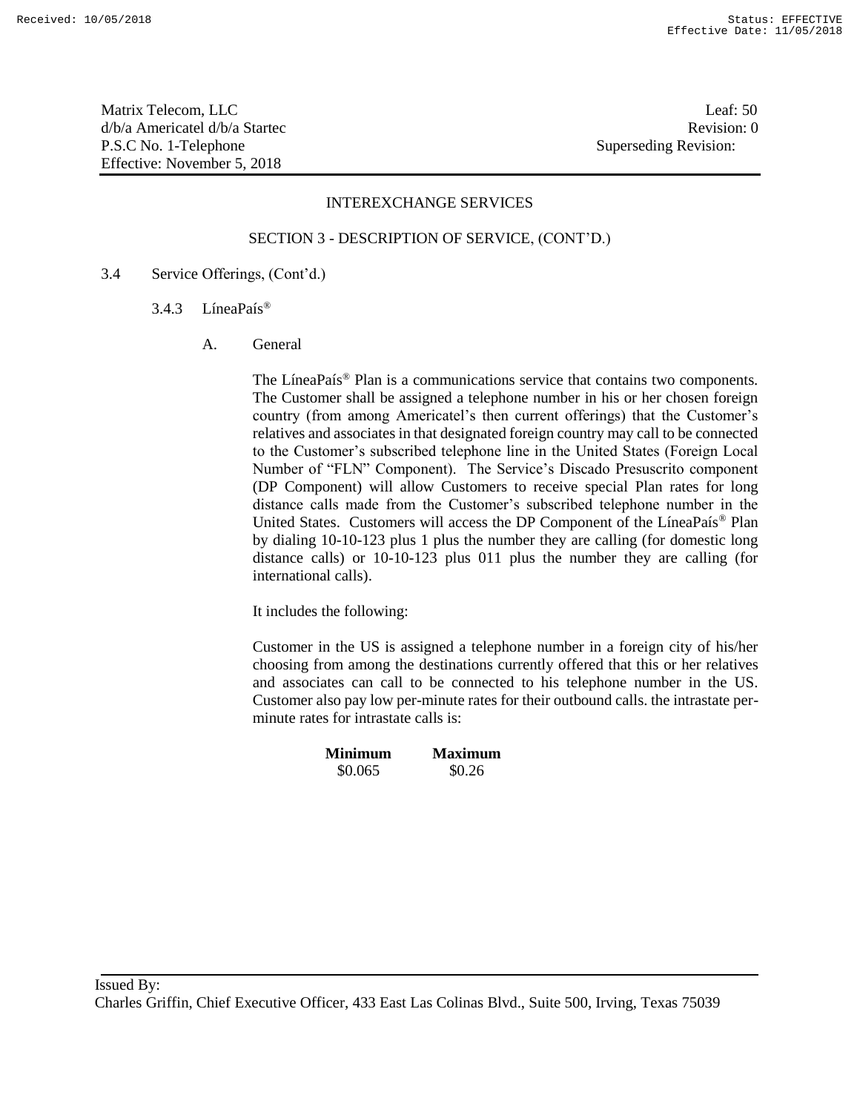Matrix Telecom, LLC Leaf: 50 d/b/a Americatel d/b/a Startec and a state of the state Revision: 0 P.S.C No. 1-Telephone Superseding Revision: Effective: November 5, 2018

#### INTEREXCHANGE SERVICES

#### SECTION 3 - DESCRIPTION OF SERVICE, (CONT'D.)

- 3.4 Service Offerings, (Cont'd.)
	- 3.4.3 LíneaPaís®
		- A. General

The LíneaPaís® Plan is a communications service that contains two components. The Customer shall be assigned a telephone number in his or her chosen foreign country (from among Americatel's then current offerings) that the Customer's relatives and associates in that designated foreign country may call to be connected to the Customer's subscribed telephone line in the United States (Foreign Local Number of "FLN" Component). The Service's Discado Presuscrito component (DP Component) will allow Customers to receive special Plan rates for long distance calls made from the Customer's subscribed telephone number in the United States. Customers will access the DP Component of the LíneaPaís® Plan by dialing 10-10-123 plus 1 plus the number they are calling (for domestic long distance calls) or 10-10-123 plus 011 plus the number they are calling (for international calls).

It includes the following:

Customer in the US is assigned a telephone number in a foreign city of his/her choosing from among the destinations currently offered that this or her relatives and associates can call to be connected to his telephone number in the US. Customer also pay low per-minute rates for their outbound calls. the intrastate perminute rates for intrastate calls is:

| <b>Minimum</b> | <b>Maximum</b> |
|----------------|----------------|
| \$0.065        | \$0.26         |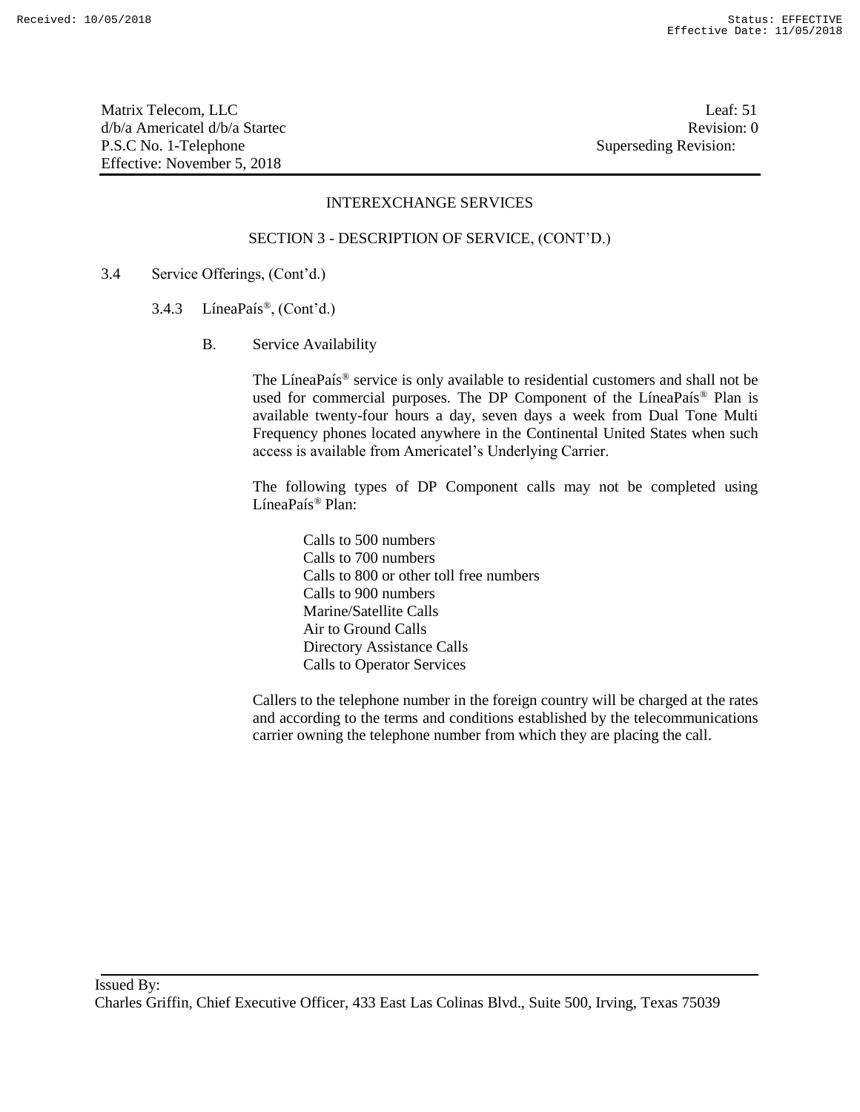Matrix Telecom, LLC Leaf: 51 d/b/a Americatel d/b/a Startec **Revision:** 0 P.S.C No. 1-Telephone Superseding Revision: Effective: November 5, 2018

### INTEREXCHANGE SERVICES

#### SECTION 3 - DESCRIPTION OF SERVICE, (CONT'D.)

- 3.4 Service Offerings, (Cont'd.)
	- 3.4.3 LíneaPaís®, (Cont'd.)
		- B. Service Availability

The LíneaPaís® service is only available to residential customers and shall not be used for commercial purposes. The DP Component of the LíneaPaís® Plan is available twenty-four hours a day, seven days a week from Dual Tone Multi Frequency phones located anywhere in the Continental United States when such access is available from Americatel's Underlying Carrier.

The following types of DP Component calls may not be completed using LíneaPaís® Plan:

Calls to 500 numbers Calls to 700 numbers Calls to 800 or other toll free numbers Calls to 900 numbers Marine/Satellite Calls Air to Ground Calls Directory Assistance Calls Calls to Operator Services

Callers to the telephone number in the foreign country will be charged at the rates and according to the terms and conditions established by the telecommunications carrier owning the telephone number from which they are placing the call.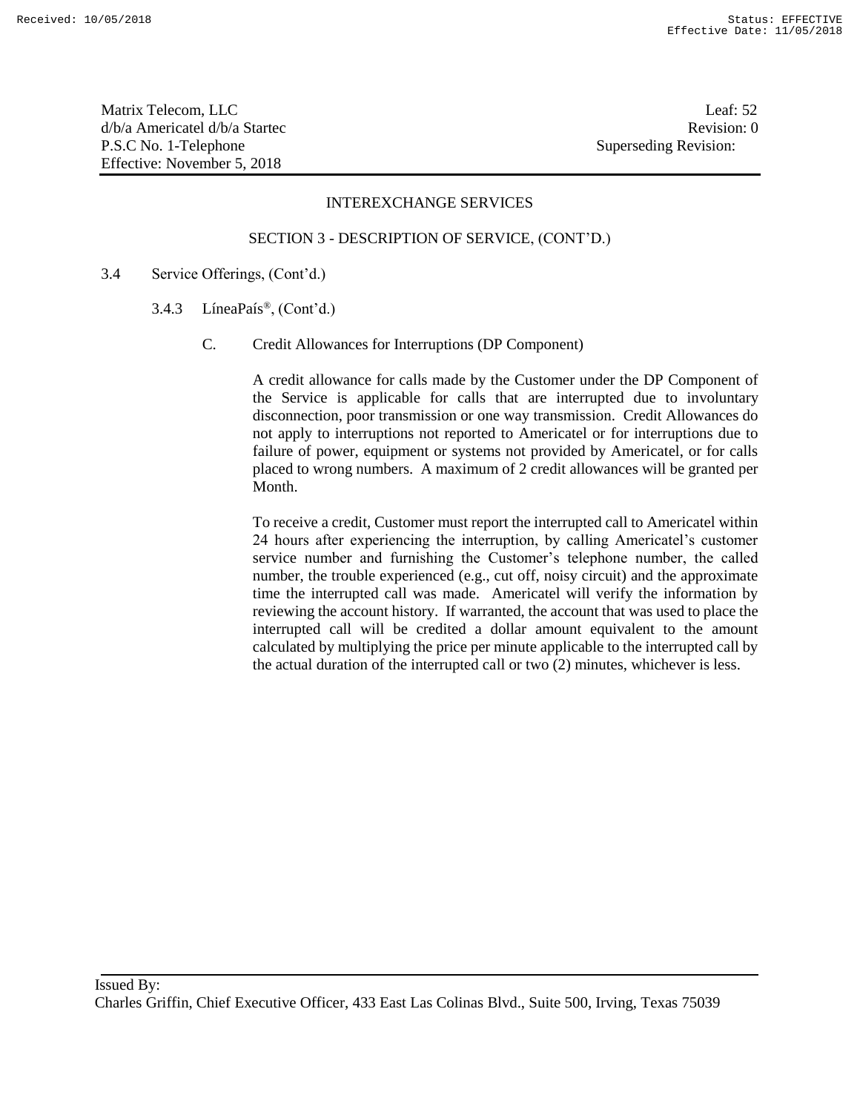Matrix Telecom, LLC Leaf: 52 d/b/a Americatel d/b/a Startec and a state of the state Revision: 0 P.S.C No. 1-Telephone Superseding Revision: Effective: November 5, 2018

#### INTEREXCHANGE SERVICES

#### SECTION 3 - DESCRIPTION OF SERVICE, (CONT'D.)

- 3.4 Service Offerings, (Cont'd.)
	- 3.4.3 LíneaPaís®, (Cont'd.)
		- C. Credit Allowances for Interruptions (DP Component)

A credit allowance for calls made by the Customer under the DP Component of the Service is applicable for calls that are interrupted due to involuntary disconnection, poor transmission or one way transmission. Credit Allowances do not apply to interruptions not reported to Americatel or for interruptions due to failure of power, equipment or systems not provided by Americatel, or for calls placed to wrong numbers. A maximum of 2 credit allowances will be granted per Month.

To receive a credit, Customer must report the interrupted call to Americatel within 24 hours after experiencing the interruption, by calling Americatel's customer service number and furnishing the Customer's telephone number, the called number, the trouble experienced (e.g., cut off, noisy circuit) and the approximate time the interrupted call was made. Americatel will verify the information by reviewing the account history. If warranted, the account that was used to place the interrupted call will be credited a dollar amount equivalent to the amount calculated by multiplying the price per minute applicable to the interrupted call by the actual duration of the interrupted call or two (2) minutes, whichever is less.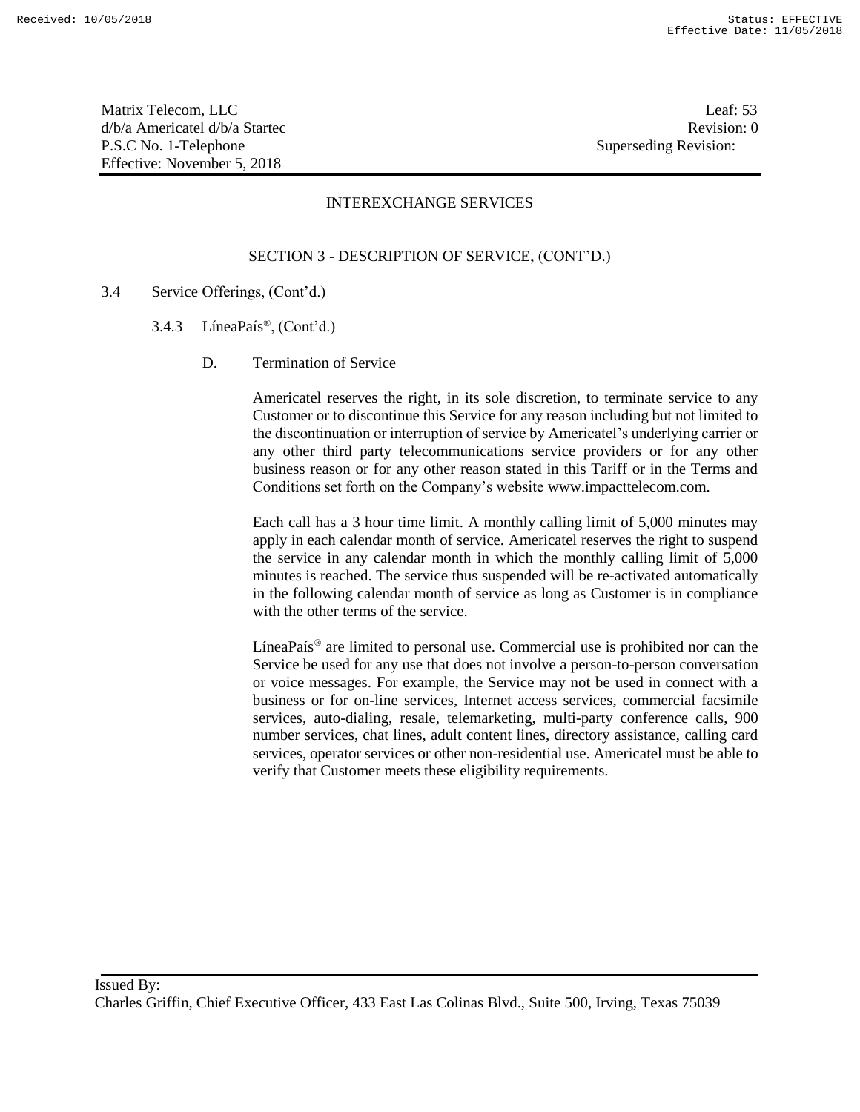Matrix Telecom, LLC Leaf: 53 d/b/a Americatel d/b/a Startec **Revision:** 0 P.S.C No. 1-Telephone Superseding Revision: Effective: November 5, 2018

## INTEREXCHANGE SERVICES

## SECTION 3 - DESCRIPTION OF SERVICE, (CONT'D.)

- 3.4 Service Offerings, (Cont'd.)
	- 3.4.3 Línea $País^{\circledR}$ , (Cont'd.)
		- D. Termination of Service

Americatel reserves the right, in its sole discretion, to terminate service to any Customer or to discontinue this Service for any reason including but not limited to the discontinuation or interruption of service by Americatel's underlying carrier or any other third party telecommunications service providers or for any other business reason or for any other reason stated in this Tariff or in the Terms and Conditions set forth on the Company's website www.impacttelecom.com.

Each call has a 3 hour time limit. A monthly calling limit of 5,000 minutes may apply in each calendar month of service. Americatel reserves the right to suspend the service in any calendar month in which the monthly calling limit of 5,000 minutes is reached. The service thus suspended will be re-activated automatically in the following calendar month of service as long as Customer is in compliance with the other terms of the service.

LíneaPaís® are limited to personal use. Commercial use is prohibited nor can the Service be used for any use that does not involve a person-to-person conversation or voice messages. For example, the Service may not be used in connect with a business or for on-line services, Internet access services, commercial facsimile services, auto-dialing, resale, telemarketing, multi-party conference calls, 900 number services, chat lines, adult content lines, directory assistance, calling card services, operator services or other non-residential use. Americatel must be able to verify that Customer meets these eligibility requirements.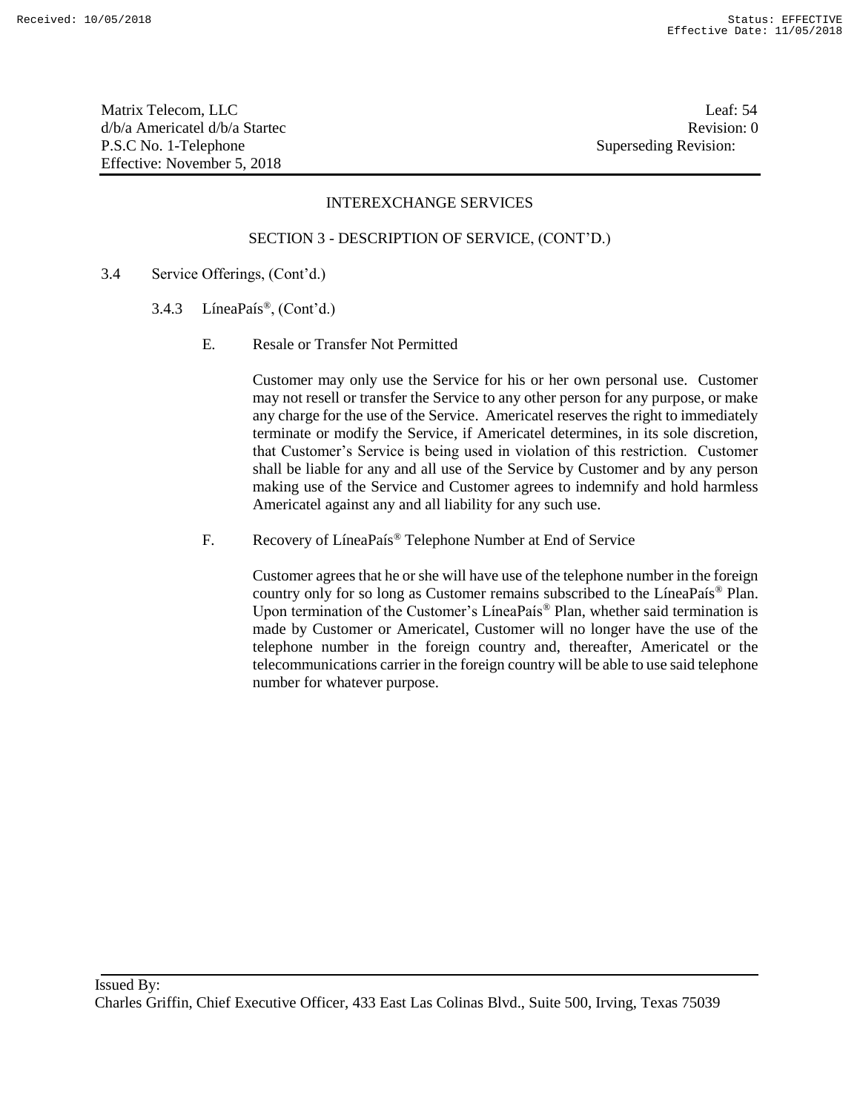Matrix Telecom, LLC Leaf: 54 d/b/a Americatel d/b/a Startec and a state of the state Revision: 0 P.S.C No. 1-Telephone Superseding Revision: Effective: November 5, 2018

#### INTEREXCHANGE SERVICES

#### SECTION 3 - DESCRIPTION OF SERVICE, (CONT'D.)

- 3.4 Service Offerings, (Cont'd.)
	- 3.4.3 LíneaPaís®, (Cont'd.)
		- E. Resale or Transfer Not Permitted

Customer may only use the Service for his or her own personal use. Customer may not resell or transfer the Service to any other person for any purpose, or make any charge for the use of the Service. Americatel reserves the right to immediately terminate or modify the Service, if Americatel determines, in its sole discretion, that Customer's Service is being used in violation of this restriction. Customer shall be liable for any and all use of the Service by Customer and by any person making use of the Service and Customer agrees to indemnify and hold harmless Americatel against any and all liability for any such use.

F. Recovery of LíneaPaís® Telephone Number at End of Service

Customer agrees that he or she will have use of the telephone number in the foreign country only for so long as Customer remains subscribed to the LíneaPaís® Plan. Upon termination of the Customer's LíneaPaís® Plan, whether said termination is made by Customer or Americatel, Customer will no longer have the use of the telephone number in the foreign country and, thereafter, Americatel or the telecommunications carrier in the foreign country will be able to use said telephone number for whatever purpose.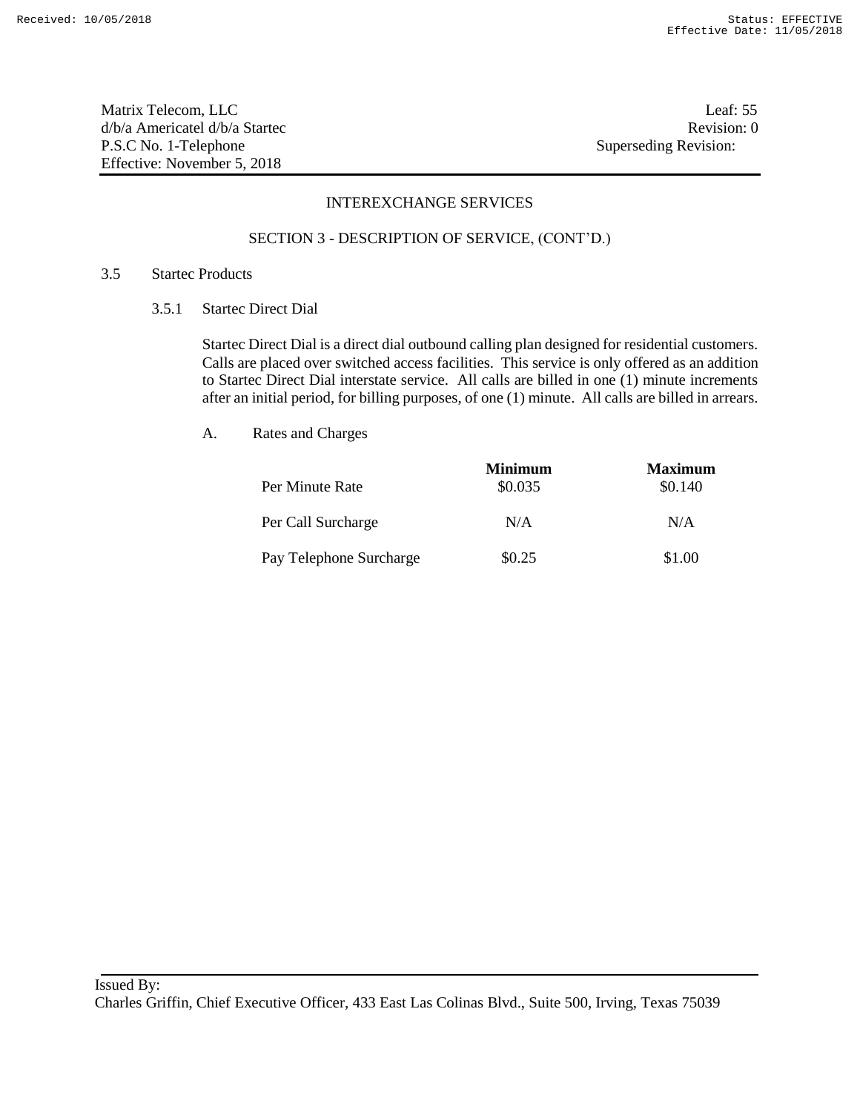Matrix Telecom, LLC Leaf: 55 d/b/a Americatel d/b/a Startec **Revision:** 0 P.S.C No. 1-Telephone Superseding Revision: Effective: November 5, 2018

## INTEREXCHANGE SERVICES

#### SECTION 3 - DESCRIPTION OF SERVICE, (CONT'D.)

#### 3.5 Startec Products

3.5.1 Startec Direct Dial

Startec Direct Dial is a direct dial outbound calling plan designed for residential customers. Calls are placed over switched access facilities. This service is only offered as an addition to Startec Direct Dial interstate service. All calls are billed in one (1) minute increments after an initial period, for billing purposes, of one (1) minute. All calls are billed in arrears.

| Per Minute Rate         | <b>Minimum</b><br>\$0.035 | <b>Maximum</b><br>\$0.140 |
|-------------------------|---------------------------|---------------------------|
| Per Call Surcharge      | N/A                       | N/A                       |
| Pay Telephone Surcharge | \$0.25                    | \$1.00                    |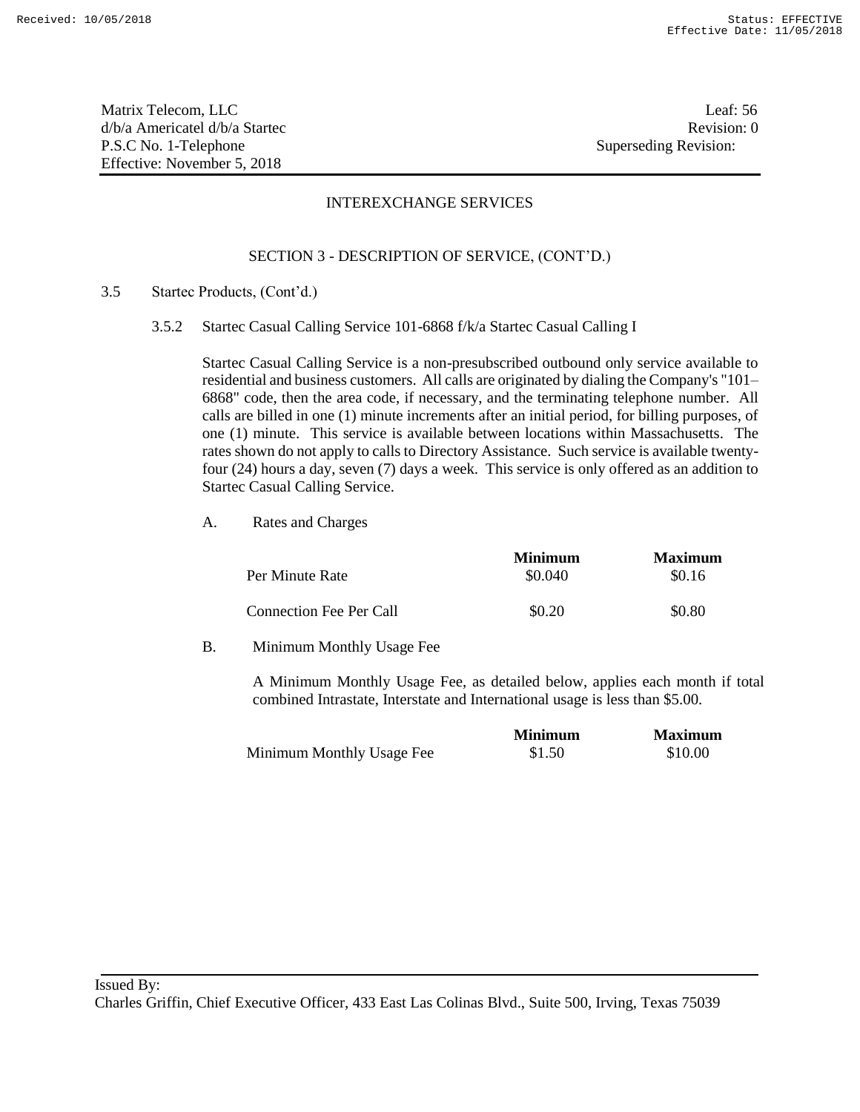Matrix Telecom, LLC Leaf: 56 d/b/a Americatel d/b/a Startec **Revision:** 0 P.S.C No. 1-Telephone Superseding Revision: Effective: November 5, 2018

## INTEREXCHANGE SERVICES

## SECTION 3 - DESCRIPTION OF SERVICE, (CONT'D.)

- 3.5 Startec Products, (Cont'd.)
	- 3.5.2 Startec Casual Calling Service 101-6868 f/k/a Startec Casual Calling I

Startec Casual Calling Service is a non-presubscribed outbound only service available to residential and business customers. All calls are originated by dialing the Company's "101– 6868" code, then the area code, if necessary, and the terminating telephone number. All calls are billed in one (1) minute increments after an initial period, for billing purposes, of one (1) minute. This service is available between locations within Massachusetts. The rates shown do not apply to calls to Directory Assistance. Such service is available twentyfour (24) hours a day, seven (7) days a week. This service is only offered as an addition to Startec Casual Calling Service.

A. Rates and Charges

|                         | <b>Minimum</b> | <b>Maximum</b> |
|-------------------------|----------------|----------------|
| Per Minute Rate         | \$0.040        | \$0.16         |
| Connection Fee Per Call | \$0.20         | \$0.80         |

B. Minimum Monthly Usage Fee

A Minimum Monthly Usage Fee, as detailed below, applies each month if total combined Intrastate, Interstate and International usage is less than \$5.00.

|                           | <b>Minimum</b> | <b>Maximum</b> |
|---------------------------|----------------|----------------|
| Minimum Monthly Usage Fee | \$1.50         | \$10.00        |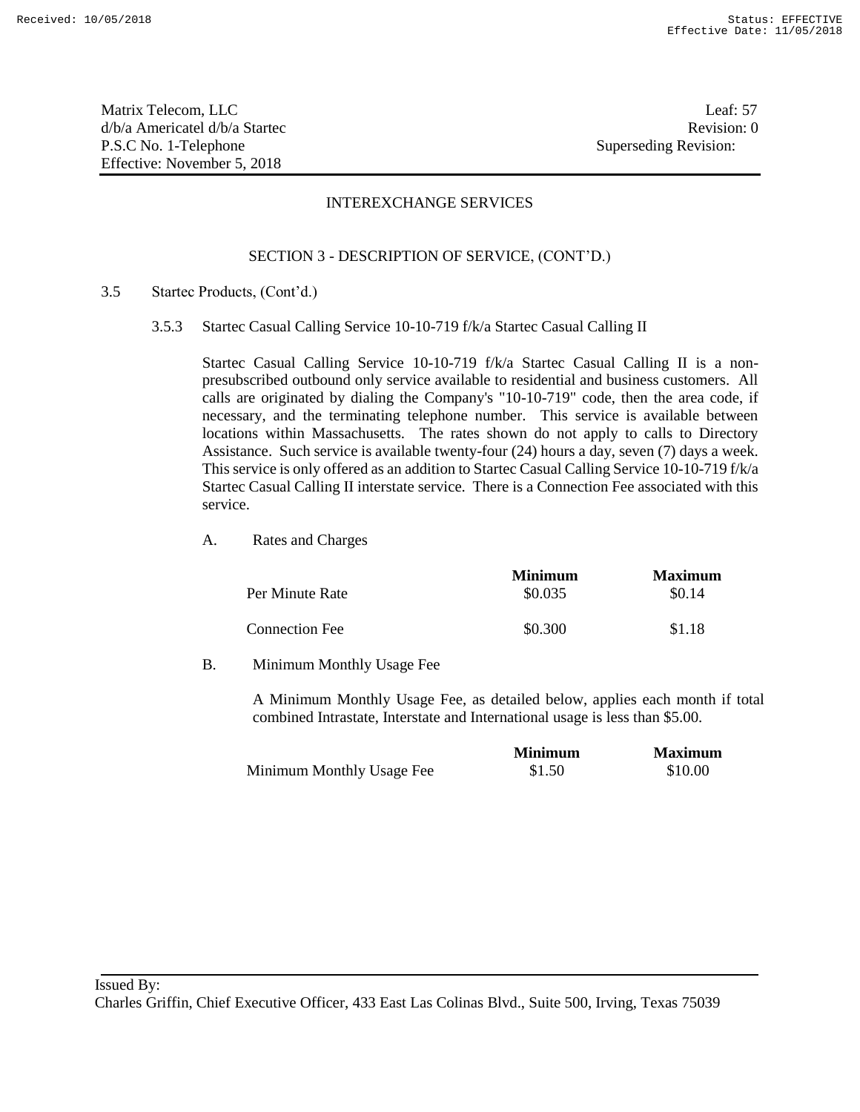Matrix Telecom, LLC Leaf: 57 d/b/a Americatel d/b/a Startec **Revision:** 0 P.S.C No. 1-Telephone Superseding Revision: Effective: November 5, 2018

## INTEREXCHANGE SERVICES

## SECTION 3 - DESCRIPTION OF SERVICE, (CONT'D.)

- 3.5 Startec Products, (Cont'd.)
	- 3.5.3 Startec Casual Calling Service 10-10-719 f/k/a Startec Casual Calling II

Startec Casual Calling Service 10-10-719 f/k/a Startec Casual Calling II is a nonpresubscribed outbound only service available to residential and business customers. All calls are originated by dialing the Company's "10-10-719" code, then the area code, if necessary, and the terminating telephone number. This service is available between locations within Massachusetts. The rates shown do not apply to calls to Directory Assistance. Such service is available twenty-four (24) hours a day, seven (7) days a week. This service is only offered as an addition to Startec Casual Calling Service 10-10-719 f/k/a Startec Casual Calling II interstate service. There is a Connection Fee associated with this service.

A. Rates and Charges

|                       | <b>Minimum</b> | <b>Maximum</b> |
|-----------------------|----------------|----------------|
| Per Minute Rate       | \$0.035        | \$0.14         |
| <b>Connection Fee</b> | \$0.300        | \$1.18         |

B. Minimum Monthly Usage Fee

A Minimum Monthly Usage Fee, as detailed below, applies each month if total combined Intrastate, Interstate and International usage is less than \$5.00.

|                           | <b>Minimum</b> | <b>Maximum</b> |
|---------------------------|----------------|----------------|
| Minimum Monthly Usage Fee | \$1.50         | \$10.00        |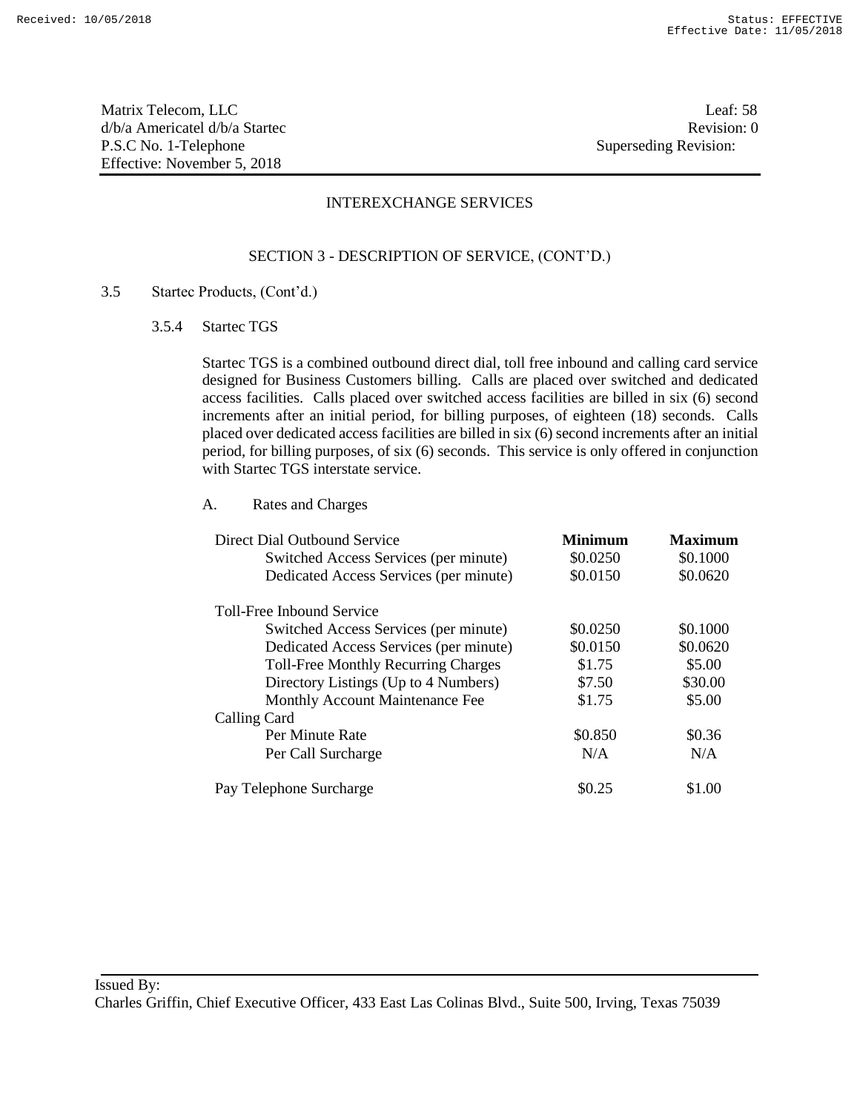Matrix Telecom, LLC Leaf: 58 d/b/a Americatel d/b/a Startec Revision: 0 P.S.C No. 1-Telephone Superseding Revision: Effective: November 5, 2018

## INTEREXCHANGE SERVICES

## SECTION 3 - DESCRIPTION OF SERVICE, (CONT'D.)

#### 3.5 Startec Products, (Cont'd.)

3.5.4 Startec TGS

Startec TGS is a combined outbound direct dial, toll free inbound and calling card service designed for Business Customers billing. Calls are placed over switched and dedicated access facilities. Calls placed over switched access facilities are billed in six (6) second increments after an initial period, for billing purposes, of eighteen (18) seconds. Calls placed over dedicated access facilities are billed in six (6) second increments after an initial period, for billing purposes, of six (6) seconds. This service is only offered in conjunction with Startec TGS interstate service.

| Direct Dial Outbound Service               | <b>Minimum</b> | <b>Maximum</b> |
|--------------------------------------------|----------------|----------------|
| Switched Access Services (per minute)      | \$0.0250       | \$0.1000       |
| Dedicated Access Services (per minute)     | \$0.0150       | \$0.0620       |
| <b>Toll-Free Inhound Service</b>           |                |                |
| Switched Access Services (per minute)      | \$0.0250       | \$0.1000       |
| Dedicated Access Services (per minute)     | \$0.0150       | \$0.0620       |
| <b>Toll-Free Monthly Recurring Charges</b> | \$1.75         | \$5.00         |
| Directory Listings (Up to 4 Numbers)       | \$7.50         | \$30.00        |
| Monthly Account Maintenance Fee            | \$1.75         | \$5.00         |
| Calling Card                               |                |                |
| Per Minute Rate                            | \$0.850        | \$0.36         |
| Per Call Surcharge                         | N/A            | N/A            |
| Pay Telephone Surcharge                    | \$0.25         | \$1.00         |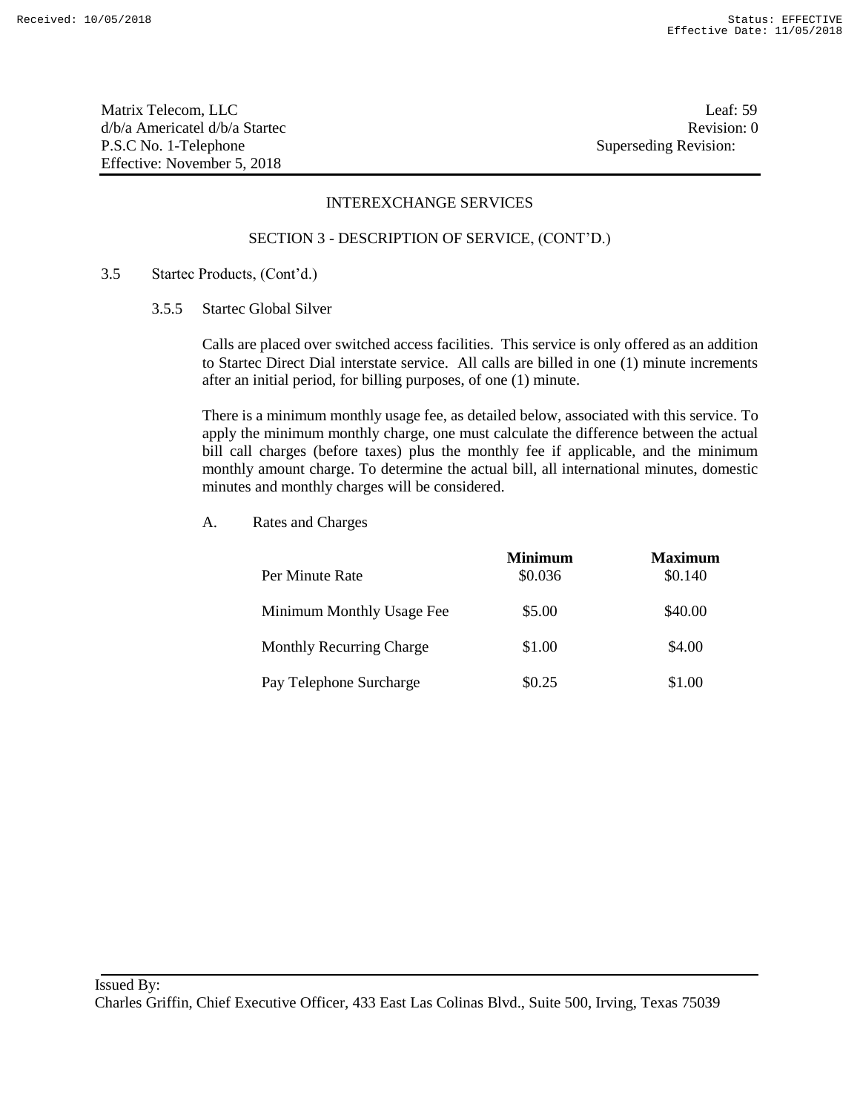Matrix Telecom, LLC Leaf: 59 d/b/a Americatel d/b/a Startec Revision: 0 P.S.C No. 1-Telephone Superseding Revision: Effective: November 5, 2018

## INTEREXCHANGE SERVICES

#### SECTION 3 - DESCRIPTION OF SERVICE, (CONT'D.)

## 3.5 Startec Products, (Cont'd.)

## 3.5.5 Startec Global Silver

Calls are placed over switched access facilities. This service is only offered as an addition to Startec Direct Dial interstate service. All calls are billed in one (1) minute increments after an initial period, for billing purposes, of one (1) minute.

There is a minimum monthly usage fee, as detailed below, associated with this service. To apply the minimum monthly charge, one must calculate the difference between the actual bill call charges (before taxes) plus the monthly fee if applicable, and the minimum monthly amount charge. To determine the actual bill, all international minutes, domestic minutes and monthly charges will be considered.

| Per Minute Rate                 | <b>Minimum</b><br>\$0.036 | <b>Maximum</b><br>\$0.140 |
|---------------------------------|---------------------------|---------------------------|
| Minimum Monthly Usage Fee       | \$5.00                    | \$40.00                   |
| <b>Monthly Recurring Charge</b> | \$1.00                    | \$4.00                    |
| Pay Telephone Surcharge         | \$0.25                    | \$1.00                    |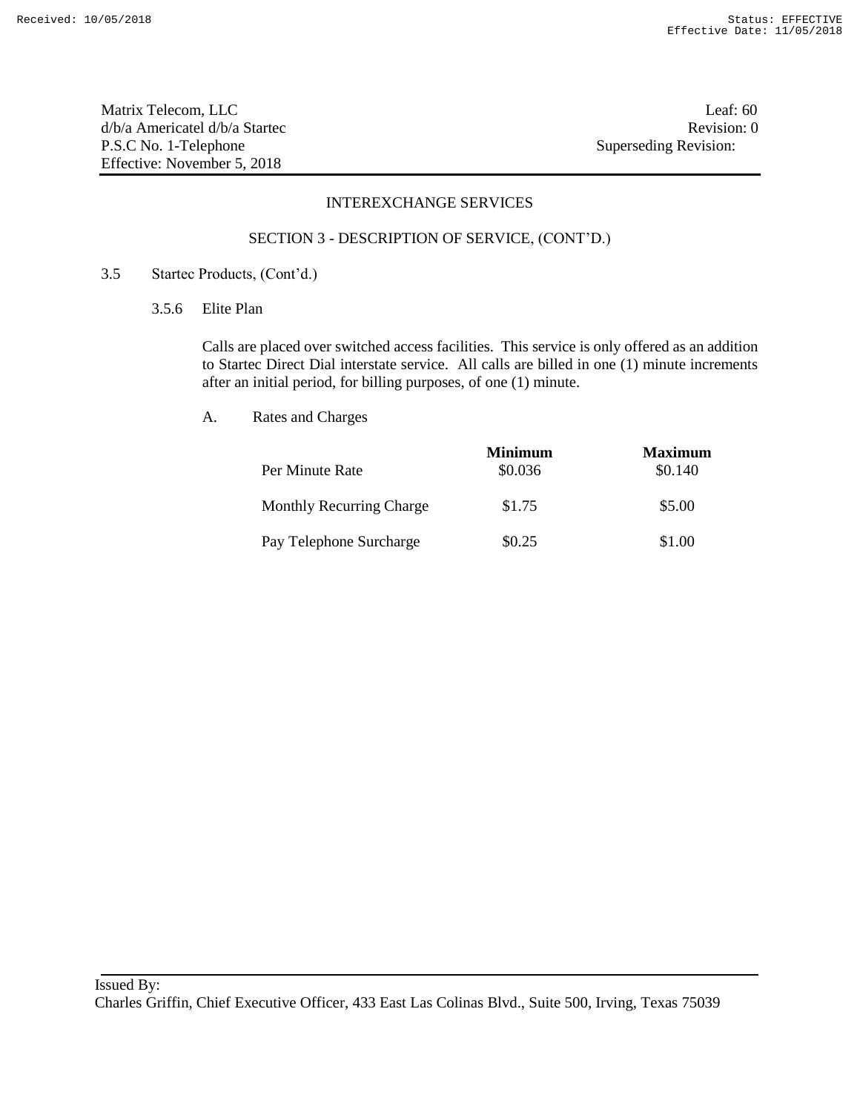Matrix Telecom, LLC Leaf: 60 d/b/a Americatel d/b/a Startec **Revision:** 0 P.S.C No. 1-Telephone Superseding Revision: Effective: November 5, 2018

### INTEREXCHANGE SERVICES

#### SECTION 3 - DESCRIPTION OF SERVICE, (CONT'D.)

## 3.5 Startec Products, (Cont'd.)

3.5.6 Elite Plan

Calls are placed over switched access facilities. This service is only offered as an addition to Startec Direct Dial interstate service. All calls are billed in one (1) minute increments after an initial period, for billing purposes, of one (1) minute.

|                                 | <b>Minimum</b> | <b>Maximum</b> |
|---------------------------------|----------------|----------------|
| Per Minute Rate                 | \$0.036        | \$0.140        |
| <b>Monthly Recurring Charge</b> | \$1.75         | \$5.00         |
| Pay Telephone Surcharge         | \$0.25         | \$1.00         |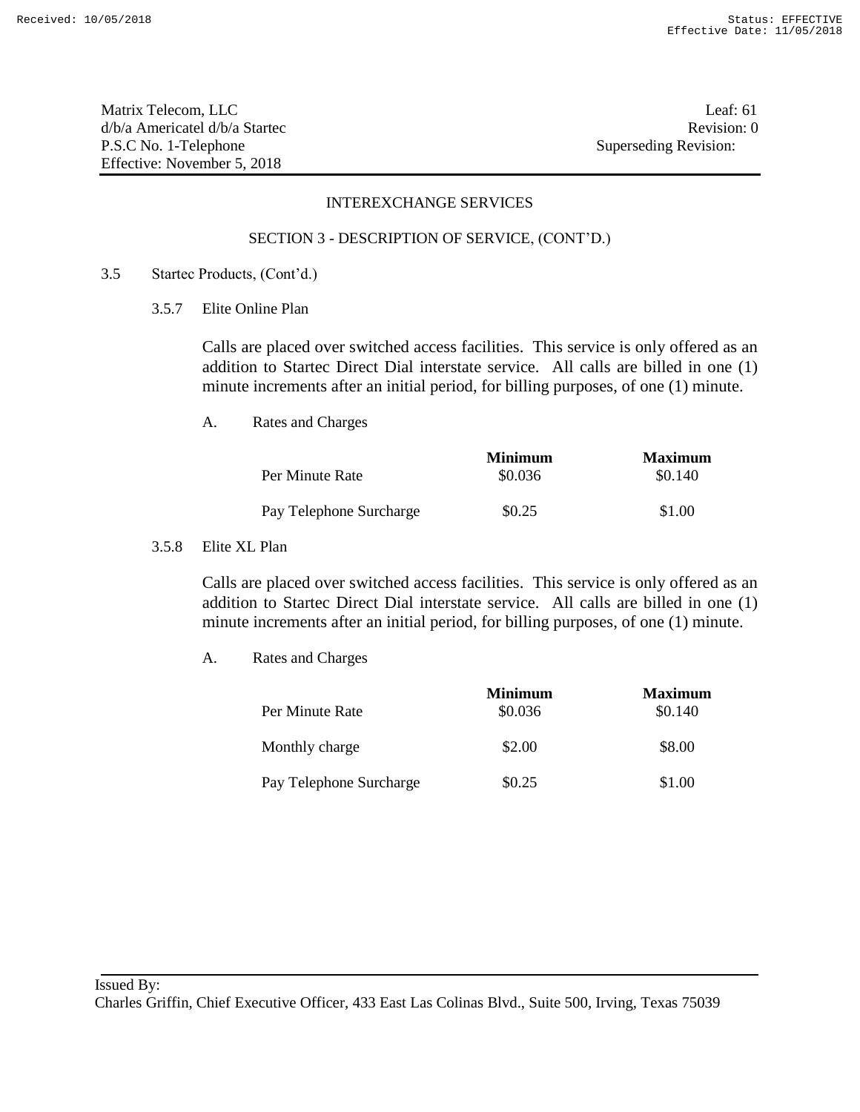Matrix Telecom, LLC Leaf: 61 d/b/a Americatel d/b/a Startec **Revision:** 0 P.S.C No. 1-Telephone Superseding Revision: Effective: November 5, 2018

## INTEREXCHANGE SERVICES

#### SECTION 3 - DESCRIPTION OF SERVICE, (CONT'D.)

## 3.5 Startec Products, (Cont'd.)

3.5.7 Elite Online Plan

Calls are placed over switched access facilities. This service is only offered as an addition to Startec Direct Dial interstate service. All calls are billed in one (1) minute increments after an initial period, for billing purposes, of one (1) minute.

A. Rates and Charges

|                         | <b>Minimum</b> | <b>Maximum</b> |
|-------------------------|----------------|----------------|
| Per Minute Rate         | \$0.036        | \$0.140        |
| Pay Telephone Surcharge | \$0.25         | \$1.00         |

3.5.8 Elite XL Plan

Calls are placed over switched access facilities. This service is only offered as an addition to Startec Direct Dial interstate service. All calls are billed in one (1) minute increments after an initial period, for billing purposes, of one (1) minute.

|                         | <b>Minimum</b> | <b>Maximum</b> |
|-------------------------|----------------|----------------|
| Per Minute Rate         | \$0.036        | \$0.140        |
| Monthly charge          | \$2.00         | \$8.00         |
| Pay Telephone Surcharge | \$0.25         | \$1.00         |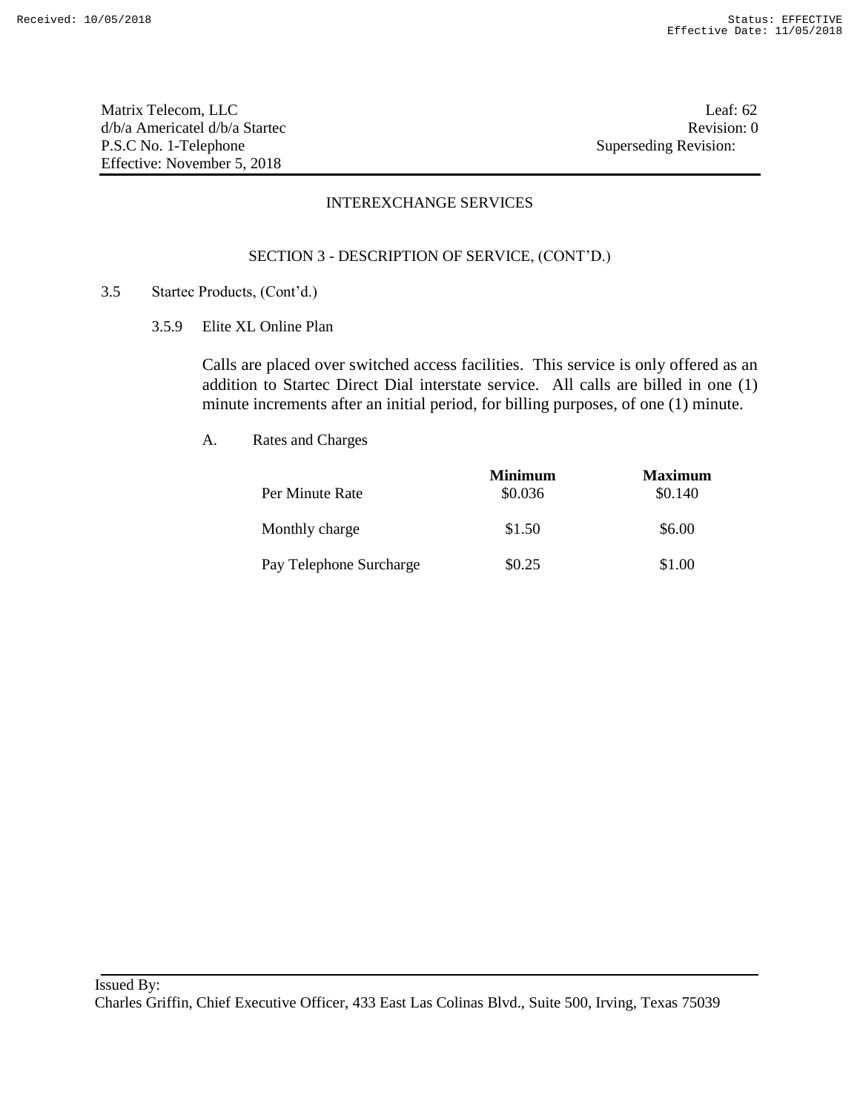Matrix Telecom, LLC Leaf: 62 d/b/a Americatel d/b/a Startec **Revision:** 0 P.S.C No. 1-Telephone Superseding Revision: Effective: November 5, 2018

## INTEREXCHANGE SERVICES

## SECTION 3 - DESCRIPTION OF SERVICE, (CONT'D.)

- 3.5 Startec Products, (Cont'd.)
	- 3.5.9 Elite XL Online Plan

Calls are placed over switched access facilities. This service is only offered as an addition to Startec Direct Dial interstate service. All calls are billed in one (1) minute increments after an initial period, for billing purposes, of one (1) minute.

| Per Minute Rate         | Minimum<br>\$0.036 | <b>Maximum</b><br>\$0.140 |
|-------------------------|--------------------|---------------------------|
| Monthly charge          | \$1.50             | \$6.00                    |
| Pay Telephone Surcharge | \$0.25             | \$1.00                    |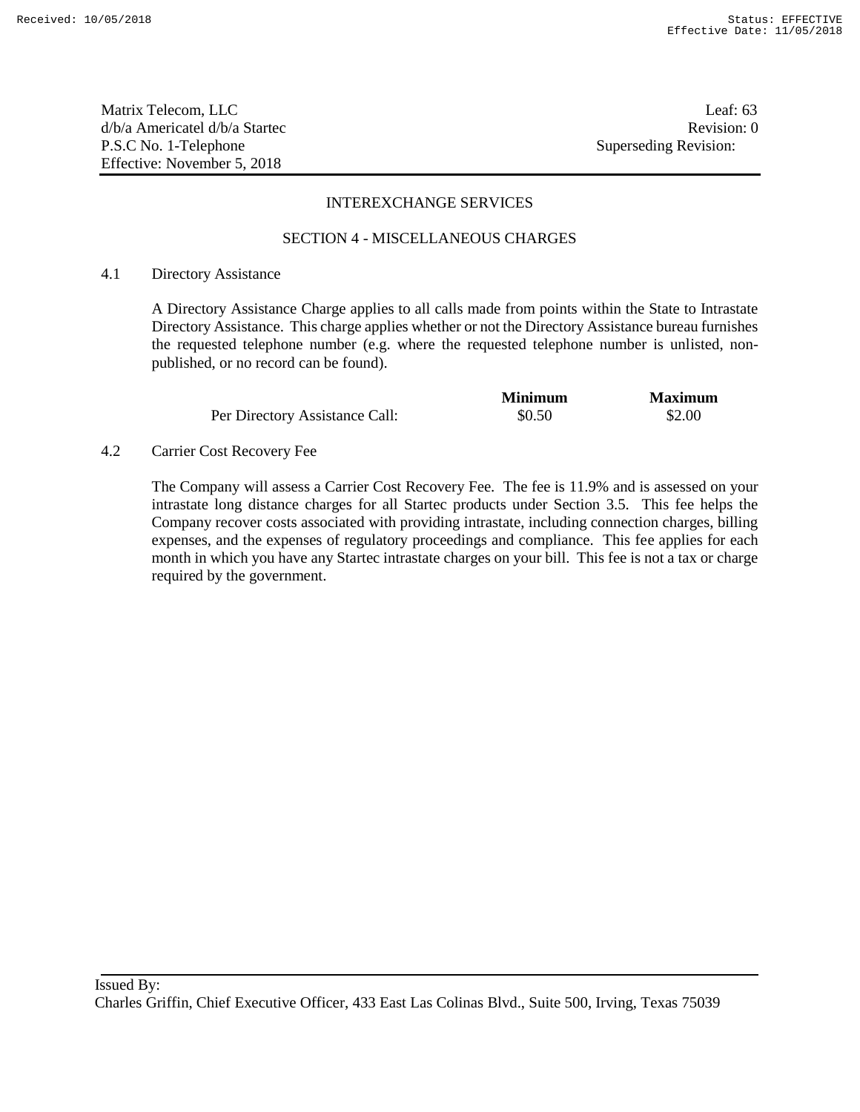Matrix Telecom, LLC Leaf: 63 d/b/a Americatel d/b/a Startec **Revision:** 0 P.S.C No. 1-Telephone Superseding Revision: Effective: November 5, 2018

#### INTEREXCHANGE SERVICES

#### SECTION 4 - MISCELLANEOUS CHARGES

#### 4.1 Directory Assistance

A Directory Assistance Charge applies to all calls made from points within the State to Intrastate Directory Assistance. This charge applies whether or not the Directory Assistance bureau furnishes the requested telephone number (e.g. where the requested telephone number is unlisted, nonpublished, or no record can be found).

|                                | <b>Minimum</b> | <b>Maximum</b> |
|--------------------------------|----------------|----------------|
| Per Directory Assistance Call: | \$0.50         | \$2.00         |

4.2 Carrier Cost Recovery Fee

The Company will assess a Carrier Cost Recovery Fee. The fee is 11.9% and is assessed on your intrastate long distance charges for all Startec products under Section 3.5. This fee helps the Company recover costs associated with providing intrastate, including connection charges, billing expenses, and the expenses of regulatory proceedings and compliance. This fee applies for each month in which you have any Startec intrastate charges on your bill. This fee is not a tax or charge required by the government.